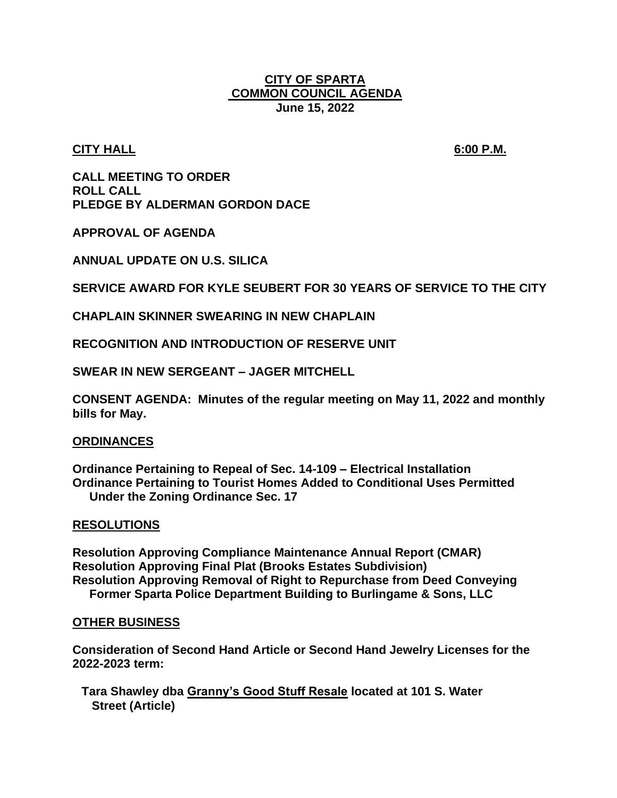#### **CITY OF SPARTA COMMON COUNCIL AGENDA June 15, 2022**

#### **CITY HALL 6:00 P.M.**

**CALL MEETING TO ORDER ROLL CALL PLEDGE BY ALDERMAN GORDON DACE**

**APPROVAL OF AGENDA**

**ANNUAL UPDATE ON U.S. SILICA**

**SERVICE AWARD FOR KYLE SEUBERT FOR 30 YEARS OF SERVICE TO THE CITY**

**CHAPLAIN SKINNER SWEARING IN NEW CHAPLAIN**

**RECOGNITION AND INTRODUCTION OF RESERVE UNIT**

**SWEAR IN NEW SERGEANT – JAGER MITCHELL**

**CONSENT AGENDA: Minutes of the regular meeting on May 11, 2022 and monthly bills for May.**

#### **ORDINANCES**

**Ordinance Pertaining to Repeal of Sec. 14-109 – Electrical Installation Ordinance Pertaining to Tourist Homes Added to Conditional Uses Permitted Under the Zoning Ordinance Sec. 17**

#### **RESOLUTIONS**

**Resolution Approving Compliance Maintenance Annual Report (CMAR) Resolution Approving Final Plat (Brooks Estates Subdivision) Resolution Approving Removal of Right to Repurchase from Deed Conveying Former Sparta Police Department Building to Burlingame & Sons, LLC**

#### **OTHER BUSINESS**

**Consideration of Second Hand Article or Second Hand Jewelry Licenses for the 2022-2023 term:**

**Tara Shawley dba Granny's Good Stuff Resale located at 101 S. Water Street (Article)**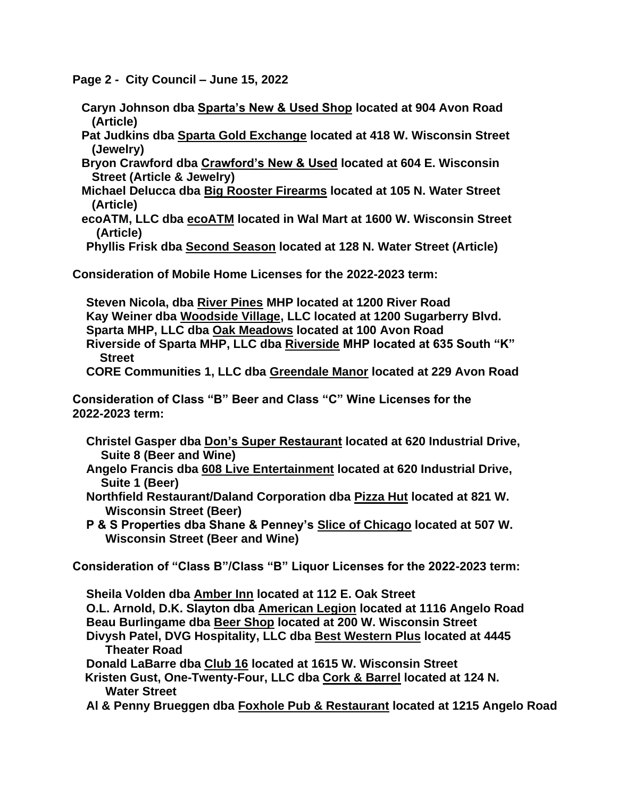**Page 2 - City Council – June 15, 2022**

- **Caryn Johnson dba Sparta's New & Used Shop located at 904 Avon Road (Article)**
- **Pat Judkins dba Sparta Gold Exchange located at 418 W. Wisconsin Street (Jewelry)**
- **Bryon Crawford dba Crawford's New & Used located at 604 E. Wisconsin Street (Article & Jewelry)**
- **Michael Delucca dba Big Rooster Firearms located at 105 N. Water Street (Article)**
- **ecoATM, LLC dba ecoATM located in Wal Mart at 1600 W. Wisconsin Street (Article)**

**Phyllis Frisk dba Second Season located at 128 N. Water Street (Article)**

**Consideration of Mobile Home Licenses for the 2022-2023 term:**

**Steven Nicola, dba River Pines MHP located at 1200 River Road Kay Weiner dba Woodside Village, LLC located at 1200 Sugarberry Blvd. Sparta MHP, LLC dba Oak Meadows located at 100 Avon Road Riverside of Sparta MHP, LLC dba Riverside MHP located at 635 South "K" Street**

**CORE Communities 1, LLC dba Greendale Manor located at 229 Avon Road**

**Consideration of Class "B" Beer and Class "C" Wine Licenses for the 2022-2023 term:**

- **Christel Gasper dba Don's Super Restaurant located at 620 Industrial Drive, Suite 8 (Beer and Wine)**
- **Angelo Francis dba 608 Live Entertainment located at 620 Industrial Drive, Suite 1 (Beer)**
- **Northfield Restaurant/Daland Corporation dba Pizza Hut located at 821 W. Wisconsin Street (Beer)**
- **P & S Properties dba Shane & Penney's Slice of Chicago located at 507 W. Wisconsin Street (Beer and Wine)**

**Consideration of "Class B"/Class "B" Liquor Licenses for the 2022-2023 term:**

**Sheila Volden dba Amber Inn located at 112 E. Oak Street O.L. Arnold, D.K. Slayton dba American Legion located at 1116 Angelo Road Beau Burlingame dba Beer Shop located at 200 W. Wisconsin Street Divysh Patel, DVG Hospitality, LLC dba Best Western Plus located at 4445 Theater Road Donald LaBarre dba Club 16 located at 1615 W. Wisconsin Street**

- **Kristen Gust, One-Twenty-Four, LLC dba Cork & Barrel located at 124 N. Water Street**
- **Al & Penny Brueggen dba Foxhole Pub & Restaurant located at 1215 Angelo Road**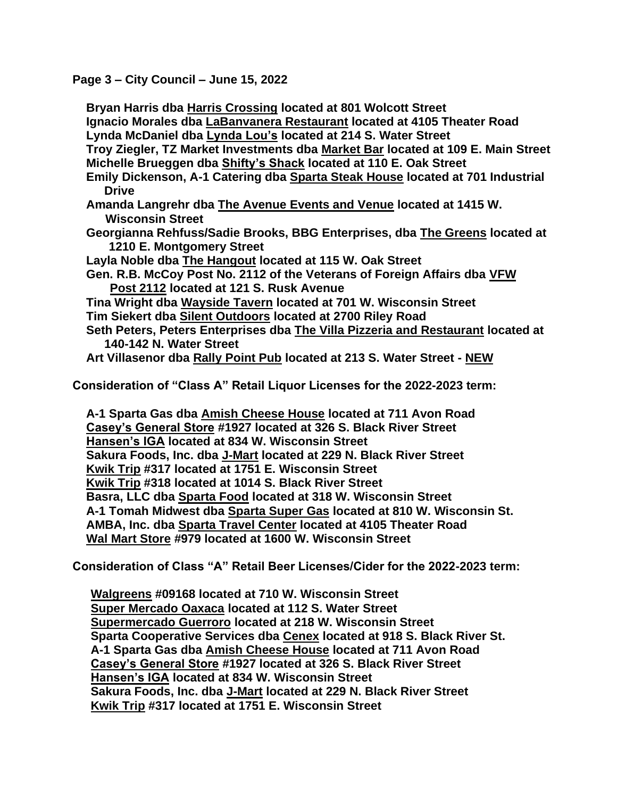**Page 3 – City Council – June 15, 2022**

**Bryan Harris dba Harris Crossing located at 801 Wolcott Street Ignacio Morales dba LaBanvanera Restaurant located at 4105 Theater Road Lynda McDaniel dba Lynda Lou's located at 214 S. Water Street Troy Ziegler, TZ Market Investments dba Market Bar located at 109 E. Main Street Michelle Brueggen dba Shifty's Shack located at 110 E. Oak Street Emily Dickenson, A-1 Catering dba Sparta Steak House located at 701 Industrial Drive Amanda Langrehr dba The Avenue Events and Venue located at 1415 W. Wisconsin Street Georgianna Rehfuss/Sadie Brooks, BBG Enterprises, dba The Greens located at 1210 E. Montgomery Street Layla Noble dba The Hangout located at 115 W. Oak Street Gen. R.B. McCoy Post No. 2112 of the Veterans of Foreign Affairs dba VFW Post 2112 located at 121 S. Rusk Avenue Tina Wright dba Wayside Tavern located at 701 W. Wisconsin Street Tim Siekert dba Silent Outdoors located at 2700 Riley Road Seth Peters, Peters Enterprises dba The Villa Pizzeria and Restaurant located at 140-142 N. Water Street Art Villasenor dba Rally Point Pub located at 213 S. Water Street - NEW**

**Consideration of "Class A" Retail Liquor Licenses for the 2022-2023 term:**

**A-1 Sparta Gas dba Amish Cheese House located at 711 Avon Road Casey's General Store #1927 located at 326 S. Black River Street Hansen's IGA located at 834 W. Wisconsin Street Sakura Foods, Inc. dba J-Mart located at 229 N. Black River Street Kwik Trip #317 located at 1751 E. Wisconsin Street Kwik Trip #318 located at 1014 S. Black River Street Basra, LLC dba Sparta Food located at 318 W. Wisconsin Street A-1 Tomah Midwest dba Sparta Super Gas located at 810 W. Wisconsin St. AMBA, Inc. dba Sparta Travel Center located at 4105 Theater Road Wal Mart Store #979 located at 1600 W. Wisconsin Street**

**Consideration of Class "A" Retail Beer Licenses/Cider for the 2022-2023 term:**

**Walgreens #09168 located at 710 W. Wisconsin Street Super Mercado Oaxaca located at 112 S. Water Street Supermercado Guerroro located at 218 W. Wisconsin Street Sparta Cooperative Services dba Cenex located at 918 S. Black River St. A-1 Sparta Gas dba Amish Cheese House located at 711 Avon Road Casey's General Store #1927 located at 326 S. Black River Street Hansen's IGA located at 834 W. Wisconsin Street Sakura Foods, Inc. dba J-Mart located at 229 N. Black River Street Kwik Trip #317 located at 1751 E. Wisconsin Street**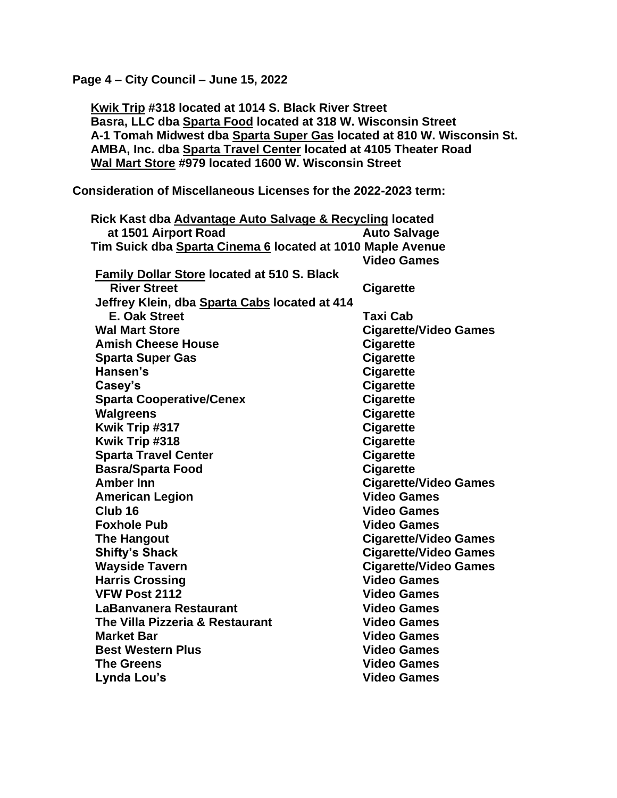**Page 4 – City Council – June 15, 2022**

**Kwik Trip #318 located at 1014 S. Black River Street Basra, LLC dba Sparta Food located at 318 W. Wisconsin Street A-1 Tomah Midwest dba Sparta Super Gas located at 810 W. Wisconsin St. AMBA, Inc. dba Sparta Travel Center located at 4105 Theater Road Wal Mart Store #979 located 1600 W. Wisconsin Street**

**Consideration of Miscellaneous Licenses for the 2022-2023 term:**

| Rick Kast dba Advantage Auto Salvage & Recycling located   |                              |
|------------------------------------------------------------|------------------------------|
| at 1501 Airport Road                                       | <b>Auto Salvage</b>          |
| Tim Suick dba Sparta Cinema 6 located at 1010 Maple Avenue |                              |
|                                                            | <b>Video Games</b>           |
| <b>Family Dollar Store located at 510 S. Black</b>         |                              |
| <b>River Street</b>                                        | <b>Cigarette</b>             |
| Jeffrey Klein, dba Sparta Cabs located at 414              |                              |
| <b>E. Oak Street</b>                                       | <b>Taxi Cab</b>              |
| <b>Wal Mart Store</b>                                      | <b>Cigarette/Video Games</b> |
| <b>Amish Cheese House</b>                                  | <b>Cigarette</b>             |
| <b>Sparta Super Gas</b>                                    | <b>Cigarette</b>             |
| Hansen's                                                   | <b>Cigarette</b>             |
| Casey's                                                    | <b>Cigarette</b>             |
| <b>Sparta Cooperative/Cenex</b>                            | <b>Cigarette</b>             |
| <b>Walgreens</b>                                           | <b>Cigarette</b>             |
| Kwik Trip #317                                             | <b>Cigarette</b>             |
| Kwik Trip #318                                             | <b>Cigarette</b>             |
| <b>Sparta Travel Center</b>                                | <b>Cigarette</b>             |
| <b>Basra/Sparta Food</b>                                   | <b>Cigarette</b>             |
| <b>Amber Inn</b>                                           | <b>Cigarette/Video Games</b> |
| <b>American Legion</b>                                     | <b>Video Games</b>           |
| Club <sub>16</sub>                                         | <b>Video Games</b>           |
| <b>Foxhole Pub</b>                                         | <b>Video Games</b>           |
| <b>The Hangout</b>                                         | <b>Cigarette/Video Games</b> |
| <b>Shifty's Shack</b>                                      | <b>Cigarette/Video Games</b> |
| <b>Wayside Tavern</b>                                      | <b>Cigarette/Video Games</b> |
| <b>Harris Crossing</b>                                     | <b>Video Games</b>           |
| VFW Post 2112                                              | <b>Video Games</b>           |
| LaBanvanera Restaurant                                     | <b>Video Games</b>           |
| The Villa Pizzeria & Restaurant                            | <b>Video Games</b>           |
| <b>Market Bar</b>                                          | <b>Video Games</b>           |
| <b>Best Western Plus</b>                                   | <b>Video Games</b>           |
| <b>The Greens</b>                                          | <b>Video Games</b>           |
| Lynda Lou's                                                | <b>Video Games</b>           |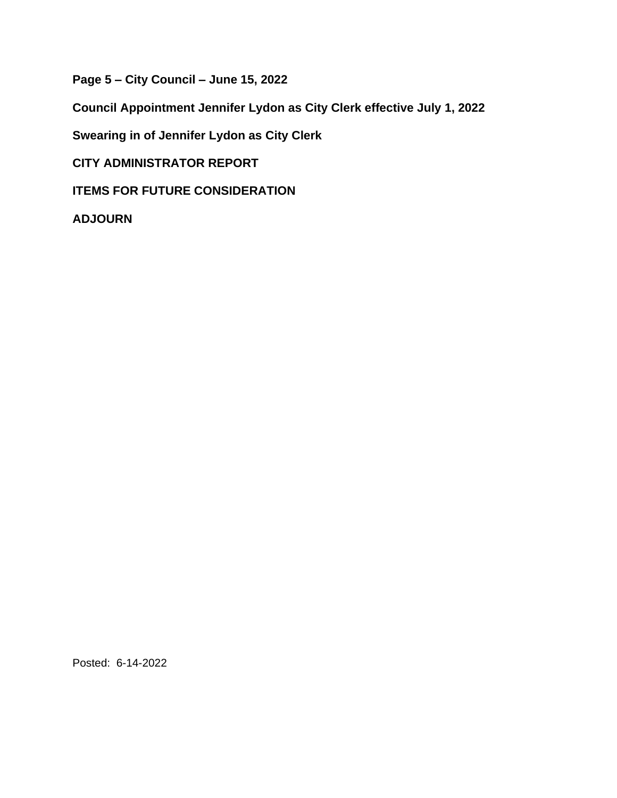**Page 5 – City Council – June 15, 2022**

**Council Appointment Jennifer Lydon as City Clerk effective July 1, 2022**

**Swearing in of Jennifer Lydon as City Clerk** 

**CITY ADMINISTRATOR REPORT**

**ITEMS FOR FUTURE CONSIDERATION**

**ADJOURN**

Posted: 6-14-2022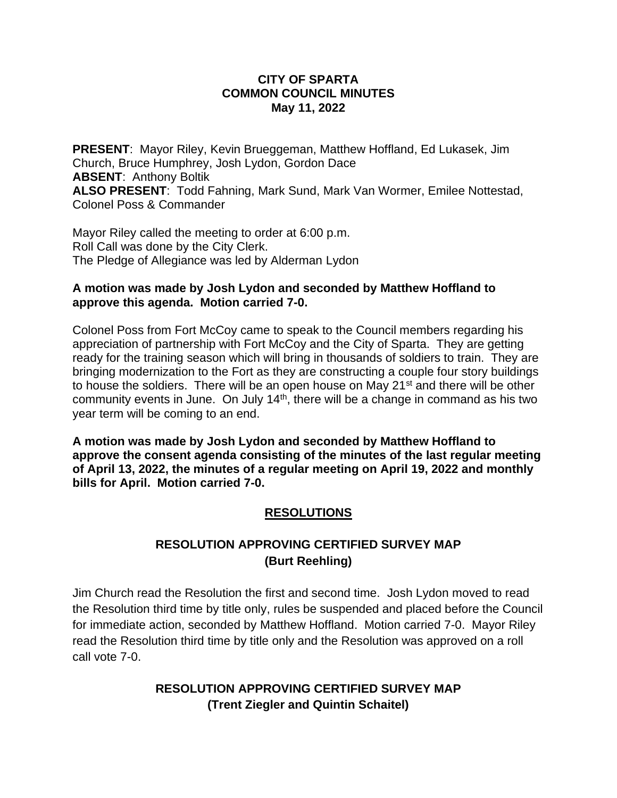#### **CITY OF SPARTA COMMON COUNCIL MINUTES May 11, 2022**

**PRESENT**: Mayor Riley, Kevin Brueggeman, Matthew Hoffland, Ed Lukasek, Jim Church, Bruce Humphrey, Josh Lydon, Gordon Dace **ABSENT**: Anthony Boltik **ALSO PRESENT**: Todd Fahning, Mark Sund, Mark Van Wormer, Emilee Nottestad, Colonel Poss & Commander

Mayor Riley called the meeting to order at 6:00 p.m. Roll Call was done by the City Clerk. The Pledge of Allegiance was led by Alderman Lydon

#### **A motion was made by Josh Lydon and seconded by Matthew Hoffland to approve this agenda. Motion carried 7-0.**

Colonel Poss from Fort McCoy came to speak to the Council members regarding his appreciation of partnership with Fort McCoy and the City of Sparta. They are getting ready for the training season which will bring in thousands of soldiers to train. They are bringing modernization to the Fort as they are constructing a couple four story buildings to house the soldiers. There will be an open house on May  $21<sup>st</sup>$  and there will be other community events in June. On July 14<sup>th</sup>, there will be a change in command as his two year term will be coming to an end.

**A motion was made by Josh Lydon and seconded by Matthew Hoffland to approve the consent agenda consisting of the minutes of the last regular meeting of April 13, 2022, the minutes of a regular meeting on April 19, 2022 and monthly bills for April. Motion carried 7-0.** 

### **RESOLUTIONS**

### **RESOLUTION APPROVING CERTIFIED SURVEY MAP (Burt Reehling)**

Jim Church read the Resolution the first and second time. Josh Lydon moved to read the Resolution third time by title only, rules be suspended and placed before the Council for immediate action, seconded by Matthew Hoffland. Motion carried 7-0. Mayor Riley read the Resolution third time by title only and the Resolution was approved on a roll call vote 7-0.

### **RESOLUTION APPROVING CERTIFIED SURVEY MAP (Trent Ziegler and Quintin Schaitel)**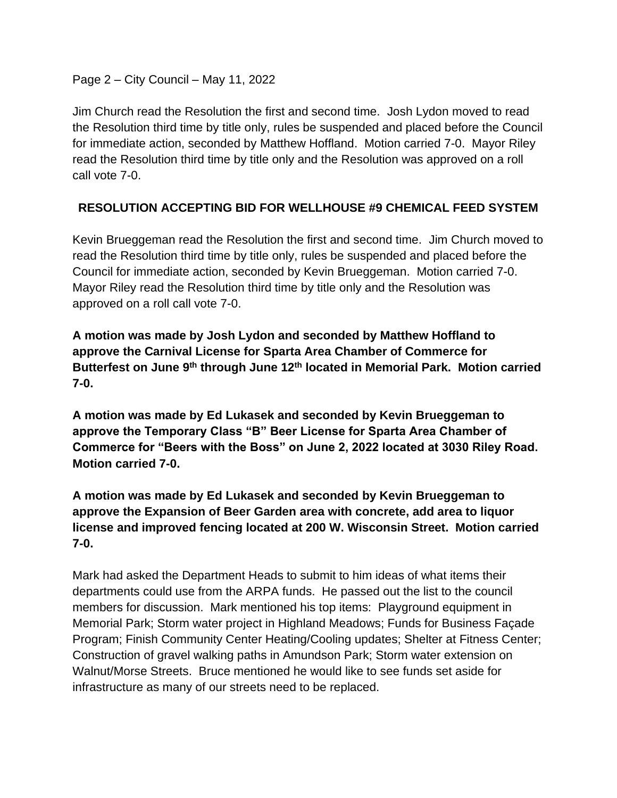Page 2 – City Council – May 11, 2022

Jim Church read the Resolution the first and second time. Josh Lydon moved to read the Resolution third time by title only, rules be suspended and placed before the Council for immediate action, seconded by Matthew Hoffland. Motion carried 7-0. Mayor Riley read the Resolution third time by title only and the Resolution was approved on a roll call vote 7-0.

### **RESOLUTION ACCEPTING BID FOR WELLHOUSE #9 CHEMICAL FEED SYSTEM**

Kevin Brueggeman read the Resolution the first and second time. Jim Church moved to read the Resolution third time by title only, rules be suspended and placed before the Council for immediate action, seconded by Kevin Brueggeman. Motion carried 7-0. Mayor Riley read the Resolution third time by title only and the Resolution was approved on a roll call vote 7-0.

**A motion was made by Josh Lydon and seconded by Matthew Hoffland to approve the Carnival License for Sparta Area Chamber of Commerce for Butterfest on June 9th through June 12th located in Memorial Park. Motion carried 7-0.**

**A motion was made by Ed Lukasek and seconded by Kevin Brueggeman to approve the Temporary Class "B" Beer License for Sparta Area Chamber of Commerce for "Beers with the Boss" on June 2, 2022 located at 3030 Riley Road. Motion carried 7-0.**

**A motion was made by Ed Lukasek and seconded by Kevin Brueggeman to approve the Expansion of Beer Garden area with concrete, add area to liquor license and improved fencing located at 200 W. Wisconsin Street. Motion carried 7-0.**

Mark had asked the Department Heads to submit to him ideas of what items their departments could use from the ARPA funds. He passed out the list to the council members for discussion. Mark mentioned his top items: Playground equipment in Memorial Park; Storm water project in Highland Meadows; Funds for Business Façade Program; Finish Community Center Heating/Cooling updates; Shelter at Fitness Center; Construction of gravel walking paths in Amundson Park; Storm water extension on Walnut/Morse Streets. Bruce mentioned he would like to see funds set aside for infrastructure as many of our streets need to be replaced.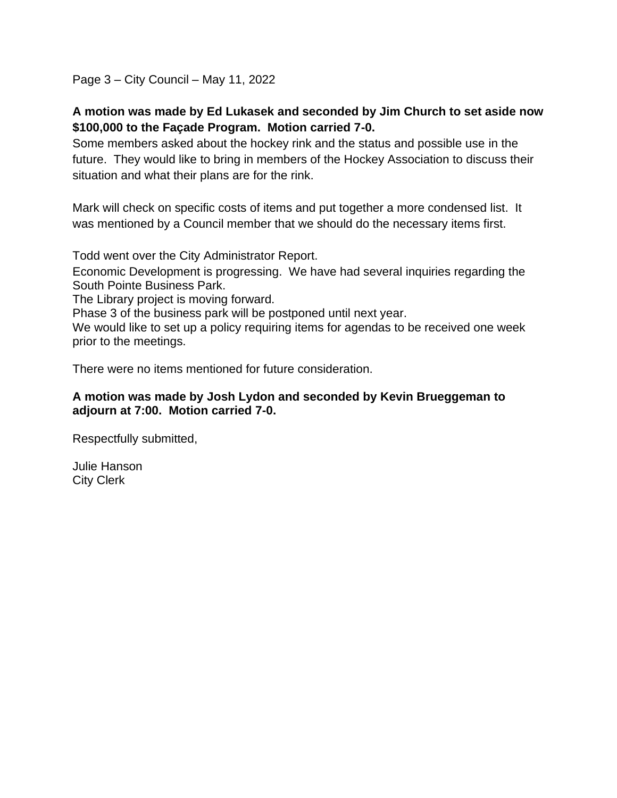Page 3 – City Council – May 11, 2022

### **A motion was made by Ed Lukasek and seconded by Jim Church to set aside now \$100,000 to the Façade Program. Motion carried 7-0.**

Some members asked about the hockey rink and the status and possible use in the future. They would like to bring in members of the Hockey Association to discuss their situation and what their plans are for the rink.

Mark will check on specific costs of items and put together a more condensed list. It was mentioned by a Council member that we should do the necessary items first.

Todd went over the City Administrator Report.

Economic Development is progressing. We have had several inquiries regarding the South Pointe Business Park.

The Library project is moving forward.

Phase 3 of the business park will be postponed until next year.

We would like to set up a policy requiring items for agendas to be received one week prior to the meetings.

There were no items mentioned for future consideration.

#### **A motion was made by Josh Lydon and seconded by Kevin Brueggeman to adjourn at 7:00. Motion carried 7-0.**

Respectfully submitted,

Julie Hanson City Clerk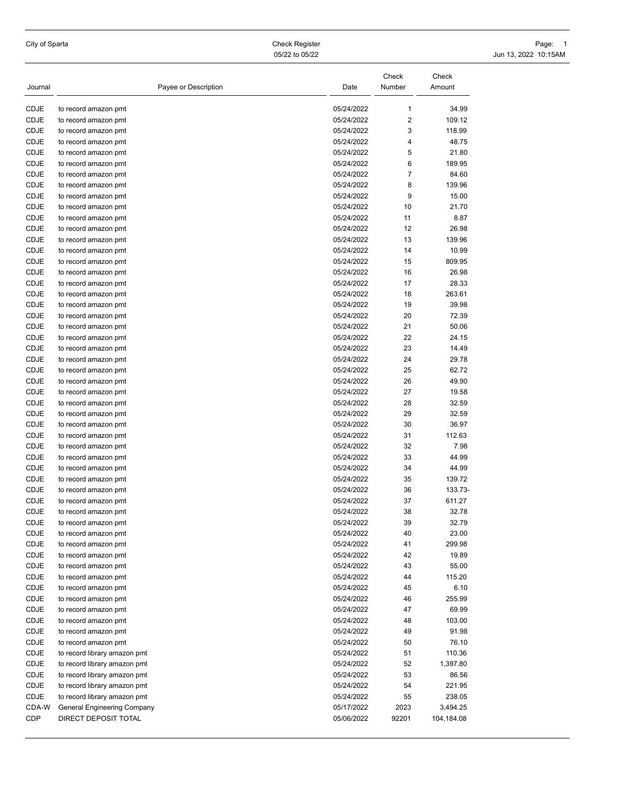City of Sparta Check Register Page: 1 05/22 to 05/22 10:15AM

|              |                                              | Date                     | Check<br>Number | Check<br>Amount |
|--------------|----------------------------------------------|--------------------------|-----------------|-----------------|
| Journal      | Payee or Description                         |                          |                 |                 |
| CDJE         | to record amazon pmt                         | 05/24/2022               | $\mathbf{1}$    | 34.99           |
| CDJE         | to record amazon pmt                         | 05/24/2022               | $\overline{2}$  | 109.12          |
| CDJE         | to record amazon pmt                         | 05/24/2022               | 3               | 118.99          |
| CDJE         | to record amazon pmt                         | 05/24/2022               | 4               | 48.75           |
| CDJE         | to record amazon pmt                         | 05/24/2022               | 5               | 21.80           |
| CDJE         | to record amazon pmt                         | 05/24/2022               | 6               | 189.95          |
| CDJE         | to record amazon pmt                         | 05/24/2022               | 7               | 84.60           |
| CDJE         | to record amazon pmt                         | 05/24/2022               | 8               | 139.96          |
| CDJE         | to record amazon pmt                         | 05/24/2022               | 9               | 15.00           |
| CDJE         | to record amazon pmt                         | 05/24/2022               | 10              | 21.70           |
| CDJE         | to record amazon pmt                         | 05/24/2022               | 11              | 8.87            |
| CDJE         | to record amazon pmt                         | 05/24/2022               | 12              | 26.98           |
| CDJE         | to record amazon pmt                         | 05/24/2022               | 13              | 139.96          |
| CDJE         | to record amazon pmt                         | 05/24/2022               | 14              | 10.99           |
| CDJE         | to record amazon pmt                         | 05/24/2022               | 15              | 809.95          |
| CDJE         | to record amazon pmt                         | 05/24/2022               | 16              | 26.98           |
| CDJE         | to record amazon pmt                         | 05/24/2022               | 17              | 28.33           |
| CDJE         | to record amazon pmt                         | 05/24/2022               | 18              | 263.61          |
| CDJE         | to record amazon pmt                         | 05/24/2022               | 19              | 39.98           |
| CDJE         | to record amazon pmt                         | 05/24/2022               | 20              | 72.39           |
| CDJE         | to record amazon pmt                         | 05/24/2022               | 21              | 50.06           |
| CDJE         | to record amazon pmt                         | 05/24/2022               | 22              | 24.15           |
| CDJE         | to record amazon pmt                         | 05/24/2022               | 23              | 14.49           |
| CDJE         | to record amazon pmt                         | 05/24/2022               | 24              | 29.78           |
| CDJE         | to record amazon pmt                         | 05/24/2022               | 25              | 62.72           |
| CDJE<br>CDJE | to record amazon pmt                         | 05/24/2022<br>05/24/2022 | 26<br>27        | 49.90           |
| CDJE         | to record amazon pmt                         | 05/24/2022               | 28              | 19.58<br>32.59  |
| CDJE         | to record amazon pmt<br>to record amazon pmt | 05/24/2022               | 29              | 32.59           |
| CDJE         | to record amazon pmt                         | 05/24/2022               | 30              | 36.97           |
| CDJE         | to record amazon pmt                         | 05/24/2022               | 31              | 112.63          |
| CDJE         | to record amazon pmt                         | 05/24/2022               | 32              | 7.98            |
| CDJE         | to record amazon pmt                         | 05/24/2022               | 33              | 44.99           |
| CDJE         | to record amazon pmt                         | 05/24/2022               | 34              | 44.99           |
| CDJE         | to record amazon pmt                         | 05/24/2022               | 35              | 139.72          |
| CDJE         | to record amazon pmt                         | 05/24/2022               | 36              | 133.73-         |
| CDJE         | to record amazon pmt                         | 05/24/2022               | 37              | 611.27          |
| CDJE         | to record amazon pmt                         | 05/24/2022               | 38              | 32.78           |
| CDJE         | to record amazon pmt                         | 05/24/2022               | 39              | 32.79           |
| CDJE         | to record amazon pmt                         | 05/24/2022               | 40              | 23.00           |
| CDJE         | to record amazon pmt                         | 05/24/2022               | 41              | 299.98          |
| CDJE         | to record amazon pmt                         | 05/24/2022               | 42              | 19.89           |
| CDJE         | to record amazon pmt                         | 05/24/2022               | 43              | 55.00           |
| CDJE         | to record amazon pmt                         | 05/24/2022               | 44              | 115.20          |
| CDJE         | to record amazon pmt                         | 05/24/2022               | 45              | 6.10            |
| CDJE         | to record amazon pmt                         | 05/24/2022               | 46              | 255.99          |
| CDJE         | to record amazon pmt                         | 05/24/2022               | 47              | 69.99           |
| CDJE         | to record amazon pmt                         | 05/24/2022               | 48              | 103.00          |
| CDJE         | to record amazon pmt                         | 05/24/2022               | 49              | 91.98           |
| CDJE         | to record amazon pmt                         | 05/24/2022               | 50              | 76.10           |
| CDJE         | to record library amazon pmt                 | 05/24/2022               | 51              | 110.36          |
| CDJE         | to record library amazon pmt                 | 05/24/2022               | 52              | 1,397.80        |
| CDJE         | to record library amazon pmt                 | 05/24/2022               | 53              | 86.56           |
| CDJE         | to record library amazon pmt                 | 05/24/2022               | 54              | 221.95          |
| CDJE         | to record library amazon pmt                 | 05/24/2022               | 55              | 238.05          |
| CDA-W        | <b>General Engineering Company</b>           | 05/17/2022               | 2023            | 3,494.25        |
| CDP          | DIRECT DEPOSIT TOTAL                         | 05/06/2022               | 92201           | 104,184.08      |
|              |                                              |                          |                 |                 |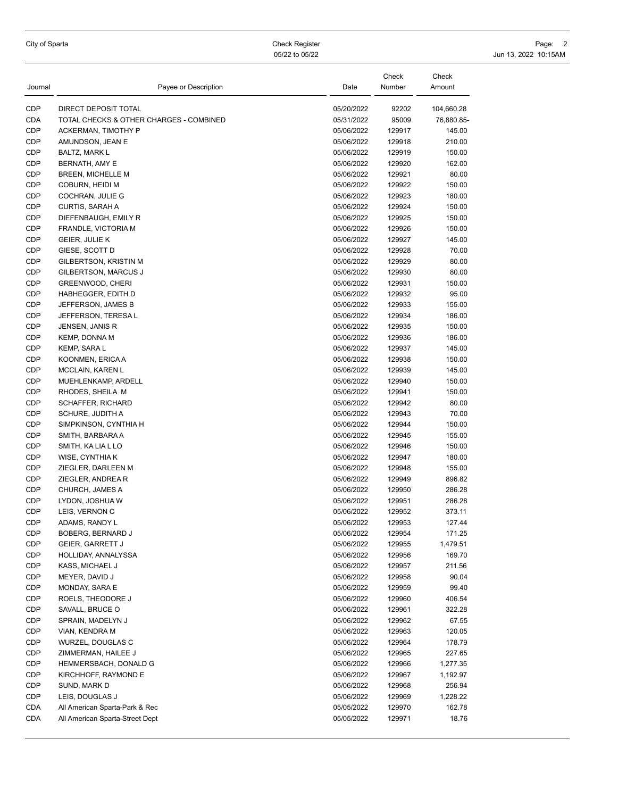|  | City of Sparta |  |  |  |  |
|--|----------------|--|--|--|--|
|--|----------------|--|--|--|--|

City of Sparta Check Register Page: 2 05/22 to 05/22 10:15AM

| Journal | Payee or Description                    | Date       | Check<br>Number | Check<br>Amount |
|---------|-----------------------------------------|------------|-----------------|-----------------|
| CDP     | DIRECT DEPOSIT TOTAL                    | 05/20/2022 | 92202           | 104,660.28      |
| CDA     | TOTAL CHECKS & OTHER CHARGES - COMBINED | 05/31/2022 | 95009           | 76,880.85-      |
| CDP     | ACKERMAN, TIMOTHY P                     | 05/06/2022 | 129917          | 145.00          |
| CDP     | AMUNDSON, JEAN E                        | 05/06/2022 | 129918          | 210.00          |
| CDP     | BALTZ, MARK L                           | 05/06/2022 | 129919          | 150.00          |
| CDP     | BERNATH, AMY E                          | 05/06/2022 | 129920          | 162.00          |
| CDP     | BREEN, MICHELLE M                       | 05/06/2022 | 129921          | 80.00           |
| CDP     | COBURN, HEIDI M                         | 05/06/2022 | 129922          | 150.00          |
| CDP     | COCHRAN, JULIE G                        | 05/06/2022 | 129923          | 180.00          |
| CDP     | <b>CURTIS, SARAH A</b>                  | 05/06/2022 | 129924          | 150.00          |
| CDP     | DIEFENBAUGH, EMILY R                    | 05/06/2022 | 129925          | 150.00          |
| CDP     | FRANDLE, VICTORIA M                     | 05/06/2022 | 129926          | 150.00          |
| CDP     | GEIER, JULIE K                          | 05/06/2022 | 129927          | 145.00          |
| CDP     | GIESE, SCOTT D                          | 05/06/2022 | 129928          | 70.00           |
| CDP     | GILBERTSON, KRISTIN M                   | 05/06/2022 | 129929          | 80.00           |
| CDP     | GILBERTSON, MARCUS J                    | 05/06/2022 | 129930          | 80.00           |
| CDP     | GREENWOOD, CHERI                        | 05/06/2022 | 129931          | 150.00          |
| CDP     | HABHEGGER, EDITH D                      | 05/06/2022 | 129932          | 95.00           |
| CDP     | JEFFERSON, JAMES B                      | 05/06/2022 | 129933          | 155.00          |
| CDP     | JEFFERSON, TERESA L                     | 05/06/2022 | 129934          | 186.00          |
| CDP     | JENSEN, JANIS R                         | 05/06/2022 | 129935          | 150.00          |
| CDP     | <b>KEMP, DONNA M</b>                    | 05/06/2022 | 129936          | 186.00          |
| CDP     | KEMP, SARA L                            | 05/06/2022 | 129937          | 145.00          |
| CDP     | KOONMEN, ERICA A                        | 05/06/2022 | 129938          | 150.00          |
| CDP     | MCCLAIN, KAREN L                        | 05/06/2022 | 129939          | 145.00          |
| CDP     | MUEHLENKAMP, ARDELL                     | 05/06/2022 | 129940          | 150.00          |
| CDP     | RHODES, SHEILA M                        | 05/06/2022 | 129941          | 150.00          |
| CDP     | SCHAFFER, RICHARD                       | 05/06/2022 | 129942          | 80.00           |
| CDP     | SCHURE, JUDITH A                        | 05/06/2022 | 129943          | 70.00           |
| CDP     | SIMPKINSON, CYNTHIA H                   | 05/06/2022 | 129944          | 150.00          |
| CDP     | SMITH, BARBARA A                        | 05/06/2022 | 129945          | 155.00          |
| CDP     | SMITH, KA LIA L LO                      | 05/06/2022 | 129946          | 150.00          |
| CDP     | WISE, CYNTHIA K                         | 05/06/2022 | 129947          | 180.00          |
| CDP     | ZIEGLER, DARLEEN M                      | 05/06/2022 | 129948          | 155.00          |
| CDP     | ZIEGLER, ANDREA R                       | 05/06/2022 | 129949          | 896.82          |
| CDP     | CHURCH, JAMES A                         | 05/06/2022 | 129950          | 286.28          |
| CDP     | LYDON, JOSHUA W                         | 05/06/2022 | 129951          | 286.28          |
| CDP     | LEIS, VERNON C                          | 05/06/2022 | 129952          | 373.11          |
| CDP     | ADAMS, RANDY L                          | 05/06/2022 | 129953          | 127.44          |
| CDP     | BOBERG, BERNARD J                       | 05/06/2022 | 129954          | 171.25          |
| CDP     | GEIER, GARRETT J                        | 05/06/2022 | 129955          | 1,479.51        |
| CDP     | HOLLIDAY, ANNALYSSA                     | 05/06/2022 | 129956          | 169.70          |
| CDP     | KASS, MICHAEL J                         | 05/06/2022 | 129957          | 211.56          |
| CDP     | MEYER, DAVID J                          | 05/06/2022 | 129958          | 90.04           |
| CDP     | MONDAY, SARA E                          | 05/06/2022 | 129959          | 99.40           |
| CDP     | ROELS, THEODORE J                       | 05/06/2022 | 129960          | 406.54          |
| CDP     | SAVALL, BRUCE O                         | 05/06/2022 | 129961          |                 |
| CDP     | SPRAIN, MADELYN J                       | 05/06/2022 | 129962          | 322.28<br>67.55 |
| CDP     | VIAN, KENDRA M                          |            | 129963          |                 |
|         | WURZEL, DOUGLAS C                       | 05/06/2022 |                 | 120.05          |
| CDP     |                                         | 05/06/2022 | 129964          | 178.79          |
| CDP     | ZIMMERMAN, HAILEE J                     | 05/06/2022 | 129965          | 227.65          |
| CDP     | HEMMERSBACH, DONALD G                   | 05/06/2022 | 129966          | 1,277.35        |
| CDP     | KIRCHHOFF, RAYMOND E                    | 05/06/2022 | 129967          | 1,192.97        |
| CDP     | SUND, MARK D                            | 05/06/2022 | 129968          | 256.94          |
| CDP     | LEIS, DOUGLAS J                         | 05/06/2022 | 129969          | 1,228.22        |
| CDA     | All American Sparta-Park & Rec          | 05/05/2022 | 129970          | 162.78          |
| CDA     | All American Sparta-Street Dept         | 05/05/2022 | 129971          | 18.76           |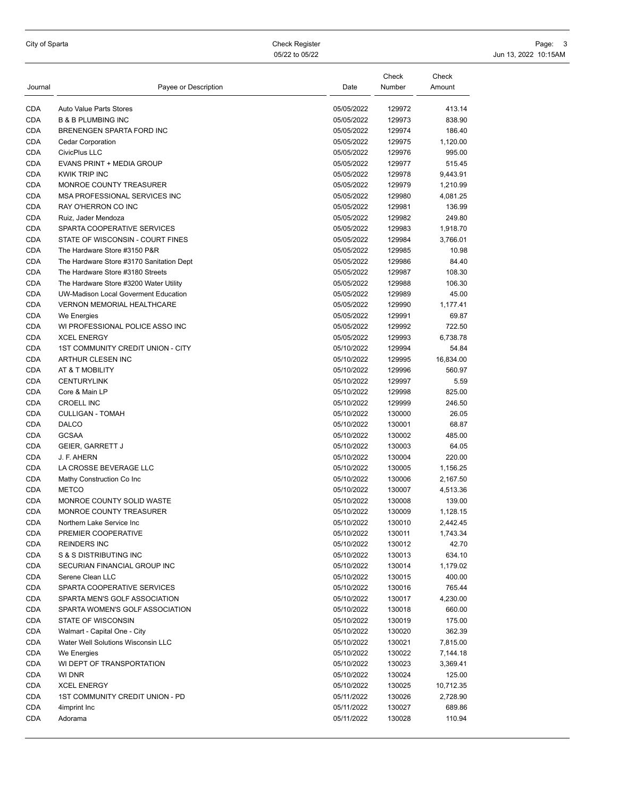City of Sparta Check Register Page: 3 05/22 to 05/22 10:15AM

| Journal    | Payee or Description                     | Date       | Check<br>Number | Check<br>Amount |
|------------|------------------------------------------|------------|-----------------|-----------------|
| <b>CDA</b> | <b>Auto Value Parts Stores</b>           | 05/05/2022 | 129972          | 413.14          |
| <b>CDA</b> | <b>B &amp; B PLUMBING INC</b>            | 05/05/2022 | 129973          | 838.90          |
| <b>CDA</b> | BRENENGEN SPARTA FORD INC                | 05/05/2022 | 129974          | 186.40          |
| <b>CDA</b> | <b>Cedar Corporation</b>                 | 05/05/2022 | 129975          | 1,120.00        |
| <b>CDA</b> | CivicPlus LLC                            | 05/05/2022 | 129976          | 995.00          |
| <b>CDA</b> | EVANS PRINT + MEDIA GROUP                | 05/05/2022 | 129977          | 515.45          |
| <b>CDA</b> | <b>KWIK TRIP INC</b>                     | 05/05/2022 | 129978          | 9,443.91        |
| <b>CDA</b> | MONROE COUNTY TREASURER                  | 05/05/2022 | 129979          | 1,210.99        |
| <b>CDA</b> | MSA PROFESSIONAL SERVICES INC            | 05/05/2022 | 129980          | 4,081.25        |
| <b>CDA</b> | RAY O'HERRON CO INC                      | 05/05/2022 | 129981          | 136.99          |
| <b>CDA</b> | Ruiz, Jader Mendoza                      | 05/05/2022 | 129982          | 249.80          |
| <b>CDA</b> | SPARTA COOPERATIVE SERVICES              | 05/05/2022 | 129983          | 1,918.70        |
| <b>CDA</b> | STATE OF WISCONSIN - COURT FINES         | 05/05/2022 | 129984          | 3,766.01        |
| <b>CDA</b> | The Hardware Store #3150 P&R             | 05/05/2022 | 129985          | 10.98           |
| <b>CDA</b> | The Hardware Store #3170 Sanitation Dept | 05/05/2022 | 129986          | 84.40           |
| <b>CDA</b> | The Hardware Store #3180 Streets         | 05/05/2022 | 129987          | 108.30          |
| <b>CDA</b> | The Hardware Store #3200 Water Utility   | 05/05/2022 | 129988          | 106.30          |
| <b>CDA</b> | UW-Madison Local Goverment Education     | 05/05/2022 | 129989          | 45.00           |
| <b>CDA</b> | <b>VERNON MEMORIAL HEALTHCARE</b>        | 05/05/2022 | 129990          | 1,177.41        |
| CDA        | We Energies                              | 05/05/2022 | 129991          | 69.87           |
| <b>CDA</b> | WI PROFESSIONAL POLICE ASSO INC          | 05/05/2022 | 129992          | 722.50          |
| <b>CDA</b> | <b>XCEL ENERGY</b>                       | 05/05/2022 | 129993          | 6,738.78        |
| <b>CDA</b> | <b>1ST COMMUNITY CREDIT UNION - CITY</b> | 05/10/2022 | 129994          | 54.84           |
| <b>CDA</b> | ARTHUR CLESEN INC                        | 05/10/2022 | 129995          | 16,834.00       |
| <b>CDA</b> | AT & T MOBILITY                          | 05/10/2022 | 129996          | 560.97          |
| <b>CDA</b> | <b>CENTURYLINK</b>                       | 05/10/2022 | 129997          | 5.59            |
| <b>CDA</b> | Core & Main LP                           | 05/10/2022 | 129998          | 825.00          |
| <b>CDA</b> | <b>CROELL INC</b>                        | 05/10/2022 | 129999          | 246.50          |
| <b>CDA</b> | <b>CULLIGAN - TOMAH</b>                  | 05/10/2022 | 130000          | 26.05           |
| <b>CDA</b> | DALCO                                    | 05/10/2022 | 130001          | 68.87           |
| <b>CDA</b> | <b>GCSAA</b>                             | 05/10/2022 | 130002          | 485.00          |
| <b>CDA</b> | <b>GEIER, GARRETT J</b>                  | 05/10/2022 | 130003          | 64.05           |
| <b>CDA</b> | J. F. AHERN                              | 05/10/2022 | 130004          | 220.00          |
| <b>CDA</b> | LA CROSSE BEVERAGE LLC                   | 05/10/2022 | 130005          | 1,156.25        |
| CDA        | Mathy Construction Co Inc                | 05/10/2022 | 130006          | 2,167.50        |
| <b>CDA</b> | <b>METCO</b>                             | 05/10/2022 | 130007          | 4,513.36        |
| <b>CDA</b> | MONROE COUNTY SOLID WASTE                | 05/10/2022 | 130008          | 139.00          |
| <b>CDA</b> | <b>MONROE COUNTY TREASURER</b>           | 05/10/2022 | 130009          | 1,128.15        |
| CDA        | Northern Lake Service Inc                | 05/10/2022 | 130010          | 2,442.45        |
| <b>CDA</b> | PREMIER COOPERATIVE                      | 05/10/2022 | 130011          | 1,743.34        |
| <b>CDA</b> | <b>REINDERS INC</b>                      | 05/10/2022 | 130012          | 42.70           |
| CDA        | S & S DISTRIBUTING INC                   | 05/10/2022 | 130013          | 634.10          |
| CDA        | SECURIAN FINANCIAL GROUP INC             | 05/10/2022 | 130014          | 1,179.02        |
| <b>CDA</b> | Serene Clean LLC                         | 05/10/2022 | 130015          | 400.00          |
| CDA        | SPARTA COOPERATIVE SERVICES              | 05/10/2022 | 130016          | 765.44          |
| CDA        | SPARTA MEN'S GOLF ASSOCIATION            | 05/10/2022 | 130017          | 4,230.00        |
| CDA        | SPARTA WOMEN'S GOLF ASSOCIATION          | 05/10/2022 | 130018          | 660.00          |
| CDA        | <b>STATE OF WISCONSIN</b>                | 05/10/2022 | 130019          | 175.00          |
| CDA        | Walmart - Capital One - City             | 05/10/2022 | 130020          | 362.39          |
| CDA        | Water Well Solutions Wisconsin LLC       | 05/10/2022 | 130021          | 7,815.00        |
| CDA        | We Energies                              | 05/10/2022 | 130022          | 7,144.18        |
| CDA        | WI DEPT OF TRANSPORTATION                | 05/10/2022 | 130023          | 3,369.41        |
| CDA        | WI DNR                                   | 05/10/2022 | 130024          | 125.00          |
| CDA        | <b>XCEL ENERGY</b>                       | 05/10/2022 | 130025          | 10,712.35       |
| <b>CDA</b> | 1ST COMMUNITY CREDIT UNION - PD          | 05/11/2022 | 130026          | 2,728.90        |
| <b>CDA</b> | 4imprint Inc                             | 05/11/2022 | 130027          | 689.86          |
| CDA        | Adorama                                  | 05/11/2022 | 130028          | 110.94          |
|            |                                          |            |                 |                 |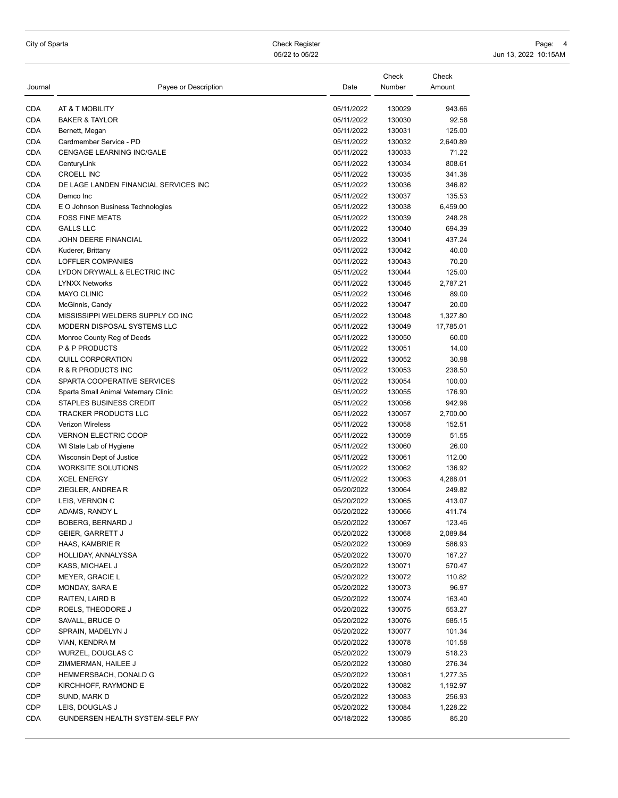City of Sparta Check Register Page: And Scheck Register Page: 4 Check Register Page: 4 Check Register Page: 4 Check Register Page: 4 Check Register Page: 4 Check Register Page: 4 Check Register Page: 4 Check Register Page: 05/22 to 05/22 10:15AM

| Journal    | Payee or Description                  | Date       | Check<br>Number | Check<br>Amount |
|------------|---------------------------------------|------------|-----------------|-----------------|
| CDA        | AT & T MOBILITY                       | 05/11/2022 | 130029          | 943.66          |
| <b>CDA</b> | <b>BAKER &amp; TAYLOR</b>             | 05/11/2022 | 130030          | 92.58           |
| CDA        | Bernett, Megan                        | 05/11/2022 | 130031          | 125.00          |
| CDA        | Cardmember Service - PD               | 05/11/2022 | 130032          | 2,640.89        |
| CDA        | CENGAGE LEARNING INC/GALE             | 05/11/2022 | 130033          | 71.22           |
| CDA        | CenturyLink                           | 05/11/2022 | 130034          | 808.61          |
| CDA        | <b>CROELL INC</b>                     | 05/11/2022 | 130035          | 341.38          |
| CDA        | DE LAGE LANDEN FINANCIAL SERVICES INC | 05/11/2022 | 130036          | 346.82          |
| CDA        | Demco Inc                             | 05/11/2022 | 130037          | 135.53          |
| CDA        | E O Johnson Business Technologies     | 05/11/2022 | 130038          | 6,459.00        |
| <b>CDA</b> | <b>FOSS FINE MEATS</b>                | 05/11/2022 | 130039          | 248.28          |
| CDA        | <b>GALLS LLC</b>                      | 05/11/2022 | 130040          | 694.39          |
| CDA        | JOHN DEERE FINANCIAL                  | 05/11/2022 | 130041          | 437.24          |
| CDA        | Kuderer, Brittany                     | 05/11/2022 | 130042          | 40.00           |
| CDA        | LOFFLER COMPANIES                     | 05/11/2022 | 130043          | 70.20           |
| CDA        | LYDON DRYWALL & ELECTRIC INC          | 05/11/2022 | 130044          | 125.00          |
| CDA        | <b>LYNXX Networks</b>                 | 05/11/2022 | 130045          | 2,787.21        |
| CDA        | <b>MAYO CLINIC</b>                    | 05/11/2022 | 130046          | 89.00           |
| CDA        | McGinnis, Candy                       | 05/11/2022 | 130047          | 20.00           |
| CDA        | MISSISSIPPI WELDERS SUPPLY CO INC     | 05/11/2022 | 130048          | 1,327.80        |
| <b>CDA</b> | MODERN DISPOSAL SYSTEMS LLC           | 05/11/2022 | 130049          | 17,785.01       |
| CDA        | Monroe County Reg of Deeds            | 05/11/2022 | 130050          | 60.00           |
| CDA        | <b>P &amp; P PRODUCTS</b>             | 05/11/2022 | 130051          | 14.00           |
| CDA        | QUILL CORPORATION                     | 05/11/2022 | 130052          | 30.98           |
| CDA        | R & R PRODUCTS INC                    | 05/11/2022 | 130053          | 238.50          |
| <b>CDA</b> | SPARTA COOPERATIVE SERVICES           | 05/11/2022 | 130054          | 100.00          |
| CDA        | Sparta Small Animal Veternary Clinic  | 05/11/2022 | 130055          | 176.90          |
| CDA        | STAPLES BUSINESS CREDIT               | 05/11/2022 | 130056          | 942.96          |
| CDA        | <b>TRACKER PRODUCTS LLC</b>           | 05/11/2022 | 130057          | 2,700.00        |
| CDA        | <b>Verizon Wireless</b>               | 05/11/2022 | 130058          | 152.51          |
| <b>CDA</b> | <b>VERNON ELECTRIC COOP</b>           | 05/11/2022 | 130059          | 51.55           |
| <b>CDA</b> | WI State Lab of Hygiene               | 05/11/2022 | 130060          | 26.00           |
| CDA        | Wisconsin Dept of Justice             | 05/11/2022 | 130061          | 112.00          |
| CDA        | <b>WORKSITE SOLUTIONS</b>             | 05/11/2022 | 130062          | 136.92          |
| CDA        | <b>XCEL ENERGY</b>                    | 05/11/2022 | 130063          | 4,288.01        |
| CDP        | ZIEGLER, ANDREA R                     | 05/20/2022 | 130064          | 249.82          |
| CDP        | LEIS, VERNON C                        | 05/20/2022 | 130065          | 413.07          |
| CDP        | ADAMS, RANDY L                        | 05/20/2022 | 130066          | 411.74          |
| CDP        | BOBERG, BERNARD J                     | 05/20/2022 | 130067          | 123.46          |
| CDP        | <b>GEIER, GARRETT J</b>               | 05/20/2022 | 130068          | 2,089.84        |
| CDP        | HAAS, KAMBRIE R                       | 05/20/2022 | 130069          | 586.93          |
| CDP        | HOLLIDAY, ANNALYSSA                   | 05/20/2022 | 130070          | 167.27          |
| CDP        | KASS, MICHAEL J                       | 05/20/2022 | 130071          | 570.47          |
| CDP        | MEYER, GRACIE L                       | 05/20/2022 | 130072          | 110.82          |
| CDP        | MONDAY, SARA E                        | 05/20/2022 | 130073          | 96.97           |
| CDP        | RAITEN, LAIRD B                       | 05/20/2022 | 130074          | 163.40          |
| CDP        | ROELS, THEODORE J                     | 05/20/2022 | 130075          | 553.27          |
| CDP        | SAVALL, BRUCE O                       | 05/20/2022 | 130076          | 585.15          |
| CDP        | SPRAIN, MADELYN J                     | 05/20/2022 | 130077          | 101.34          |
| CDP        | VIAN, KENDRA M                        | 05/20/2022 | 130078          | 101.58          |
| CDP        | WURZEL, DOUGLAS C                     | 05/20/2022 | 130079          | 518.23          |
| CDP        | ZIMMERMAN, HAILEE J                   | 05/20/2022 | 130080          | 276.34          |
| CDP        | HEMMERSBACH, DONALD G                 | 05/20/2022 | 130081          | 1,277.35        |
| CDP        | KIRCHHOFF, RAYMOND E                  | 05/20/2022 | 130082          | 1,192.97        |
| CDP        | SUND, MARK D                          | 05/20/2022 | 130083          | 256.93          |
| CDP        | LEIS, DOUGLAS J                       | 05/20/2022 | 130084          | 1,228.22        |
| CDA        | GUNDERSEN HEALTH SYSTEM-SELF PAY      | 05/18/2022 | 130085          | 85.20           |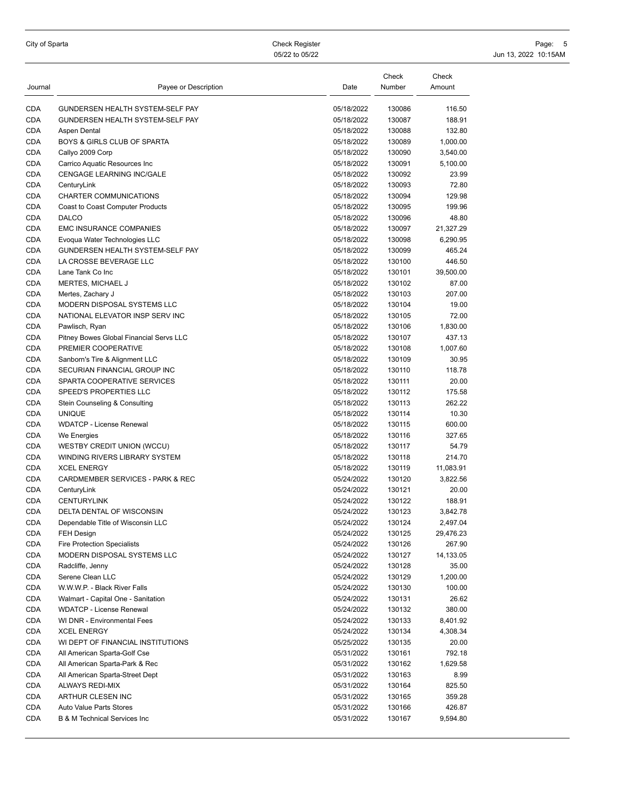| City of Sparta |  |  |  |  |  |  |
|----------------|--|--|--|--|--|--|
|----------------|--|--|--|--|--|--|

City of Sparta Check Register Page: 5 05/22 to 05/22 10:15AM

| CDA<br>GUNDERSEN HEALTH SYSTEM-SELF PAY<br>05/18/2022<br>130086<br>116.50<br>CDA<br>GUNDERSEN HEALTH SYSTEM-SELF PAY<br>130087<br>05/18/2022<br>188.91<br>CDA<br>Aspen Dental<br>05/18/2022<br>130088<br>132.80<br>CDA<br>BOYS & GIRLS CLUB OF SPARTA<br>05/18/2022<br>130089<br>1,000.00<br>CDA<br>05/18/2022<br>130090<br>Callyo 2009 Corp<br>3,540.00<br><b>CDA</b><br>05/18/2022<br>130091<br>Carrico Aquatic Resources Inc<br>5,100.00<br>CDA<br>CENGAGE LEARNING INC/GALE<br>05/18/2022<br>130092<br>23.99<br>CDA<br>05/18/2022<br>130093<br>72.80<br>CenturyLink<br>CDA<br>CHARTER COMMUNICATIONS<br>130094<br>05/18/2022<br>129.98<br>CDA<br>05/18/2022<br>130095<br>199.96<br>Coast to Coast Computer Products<br>CDA<br><b>DALCO</b><br>05/18/2022<br>130096<br>48.80<br>CDA<br><b>EMC INSURANCE COMPANIES</b><br>05/18/2022<br>130097<br>21,327.29<br>CDA<br>Evoqua Water Technologies LLC<br>05/18/2022<br>130098<br>6,290.95<br>CDA<br>GUNDERSEN HEALTH SYSTEM-SELF PAY<br>05/18/2022<br>130099<br>465.24<br>CDA<br>LA CROSSE BEVERAGE LLC<br>05/18/2022<br>130100<br>446.50<br>CDA<br>Lane Tank Co Inc<br>05/18/2022<br>130101<br>39,500.00<br>CDA<br>MERTES, MICHAEL J<br>05/18/2022<br>130102<br>87.00<br>CDA<br>05/18/2022<br>130103<br>Mertes, Zachary J<br>207.00<br>CDA<br>MODERN DISPOSAL SYSTEMS LLC<br>05/18/2022<br>130104<br>19.00<br>CDA<br>NATIONAL ELEVATOR INSP SERV INC<br>05/18/2022<br>130105<br>72.00<br>CDA<br>05/18/2022<br>130106<br>Pawlisch, Ryan<br>1,830.00<br>CDA<br>05/18/2022<br>130107<br>Pitney Bowes Global Financial Servs LLC<br>437.13<br>CDA<br>PREMIER COOPERATIVE<br>05/18/2022<br>130108<br>1,007.60<br>CDA<br>130109<br>Sanborn's Tire & Alignment LLC<br>05/18/2022<br>30.95<br>CDA<br>SECURIAN FINANCIAL GROUP INC<br>05/18/2022<br>130110<br>118.78<br>CDA<br>SPARTA COOPERATIVE SERVICES<br>05/18/2022<br>130111<br>20.00<br>CDA<br>SPEED'S PROPERTIES LLC<br>05/18/2022<br>130112<br>175.58<br>CDA<br>130113<br>262.22<br>Stein Counseling & Consulting<br>05/18/2022<br><b>UNIQUE</b><br>CDA<br>05/18/2022<br>130114<br>10.30<br>CDA<br><b>WDATCP - License Renewal</b><br>05/18/2022<br>130115<br>600.00<br>CDA<br>05/18/2022<br>130116<br>327.65<br>We Energies<br>CDA<br>WESTBY CREDIT UNION (WCCU)<br>130117<br>05/18/2022<br>54.79<br>CDA<br>WINDING RIVERS LIBRARY SYSTEM<br>05/18/2022<br>130118<br>214.70<br>CDA<br><b>XCEL ENERGY</b><br>05/18/2022<br>130119<br>11,083.91<br>CDA<br>CARDMEMBER SERVICES - PARK & REC<br>130120<br>05/24/2022<br>3,822.56<br>CDA<br>05/24/2022<br>CenturyLink<br>130121<br>20.00<br>CDA<br>130122<br><b>CENTURYLINK</b><br>05/24/2022<br>188.91<br><b>CDA</b><br><b>DELTA DENTAL OF WISCONSIN</b><br>05/24/2022<br>130123<br>3,842.78<br>CDA<br>05/24/2022<br>130124<br>2,497.04<br>Dependable Title of Wisconsin LLC<br>CDA<br>FEH Design<br>05/24/2022<br>130125<br>29,476.23<br>CDA<br><b>Fire Protection Specialists</b><br>05/24/2022<br>130126<br>267.90<br>CDA<br>MODERN DISPOSAL SYSTEMS LLC<br>05/24/2022<br>130127<br>14,133.05<br>CDA<br>Radcliffe, Jenny<br>05/24/2022<br>130128<br>35.00<br>CDA<br>Serene Clean LLC<br>05/24/2022<br>130129<br>1,200.00<br>CDA<br>W.W.W.P. - Black River Falls<br>05/24/2022<br>130130<br>100.00<br>CDA<br>Walmart - Capital One - Sanitation<br>05/24/2022<br>130131<br>26.62<br>CDA<br><b>WDATCP - License Renewal</b><br>130132<br>380.00<br>05/24/2022<br>CDA<br>WI DNR - Environmental Fees<br>130133<br>05/24/2022<br>8,401.92<br>CDA<br>130134<br><b>XCEL ENERGY</b><br>05/24/2022<br>4,308.34<br>CDA<br>WI DEPT OF FINANCIAL INSTITUTIONS<br>05/25/2022<br>130135<br>20.00<br>CDA<br>All American Sparta-Golf Cse<br>05/31/2022<br>130161<br>792.18<br>CDA<br>All American Sparta-Park & Rec<br>130162<br>05/31/2022<br>1,629.58<br>CDA<br>All American Sparta-Street Dept<br>8.99<br>05/31/2022<br>130163<br>CDA<br>ALWAYS REDI-MIX<br>130164<br>05/31/2022<br>825.50<br>CDA<br>ARTHUR CLESEN INC<br>05/31/2022<br>130165<br>359.28<br>CDA<br>05/31/2022<br><b>Auto Value Parts Stores</b><br>130166<br>426.87<br>CDA<br><b>B &amp; M Technical Services Inc</b><br>05/31/2022<br>130167<br>9,594.80 | Journal | Payee or Description | Date | Check<br>Number | Check<br>Amount |
|-----------------------------------------------------------------------------------------------------------------------------------------------------------------------------------------------------------------------------------------------------------------------------------------------------------------------------------------------------------------------------------------------------------------------------------------------------------------------------------------------------------------------------------------------------------------------------------------------------------------------------------------------------------------------------------------------------------------------------------------------------------------------------------------------------------------------------------------------------------------------------------------------------------------------------------------------------------------------------------------------------------------------------------------------------------------------------------------------------------------------------------------------------------------------------------------------------------------------------------------------------------------------------------------------------------------------------------------------------------------------------------------------------------------------------------------------------------------------------------------------------------------------------------------------------------------------------------------------------------------------------------------------------------------------------------------------------------------------------------------------------------------------------------------------------------------------------------------------------------------------------------------------------------------------------------------------------------------------------------------------------------------------------------------------------------------------------------------------------------------------------------------------------------------------------------------------------------------------------------------------------------------------------------------------------------------------------------------------------------------------------------------------------------------------------------------------------------------------------------------------------------------------------------------------------------------------------------------------------------------------------------------------------------------------------------------------------------------------------------------------------------------------------------------------------------------------------------------------------------------------------------------------------------------------------------------------------------------------------------------------------------------------------------------------------------------------------------------------------------------------------------------------------------------------------------------------------------------------------------------------------------------------------------------------------------------------------------------------------------------------------------------------------------------------------------------------------------------------------------------------------------------------------------------------------------------------------------------------------------------------------------------------------------------------------------------------------------------------------------------------------------------------------------------------------------------------------------------------------------------------------------------------------------------------------------------------------------------------------------------------------------------------------------------------------------------------------------------------------------------------------------------------------------------|---------|----------------------|------|-----------------|-----------------|
|                                                                                                                                                                                                                                                                                                                                                                                                                                                                                                                                                                                                                                                                                                                                                                                                                                                                                                                                                                                                                                                                                                                                                                                                                                                                                                                                                                                                                                                                                                                                                                                                                                                                                                                                                                                                                                                                                                                                                                                                                                                                                                                                                                                                                                                                                                                                                                                                                                                                                                                                                                                                                                                                                                                                                                                                                                                                                                                                                                                                                                                                                                                                                                                                                                                                                                                                                                                                                                                                                                                                                                                                                                                                                                                                                                                                                                                                                                                                                                                                                                                                                                                                                                 |         |                      |      |                 |                 |
|                                                                                                                                                                                                                                                                                                                                                                                                                                                                                                                                                                                                                                                                                                                                                                                                                                                                                                                                                                                                                                                                                                                                                                                                                                                                                                                                                                                                                                                                                                                                                                                                                                                                                                                                                                                                                                                                                                                                                                                                                                                                                                                                                                                                                                                                                                                                                                                                                                                                                                                                                                                                                                                                                                                                                                                                                                                                                                                                                                                                                                                                                                                                                                                                                                                                                                                                                                                                                                                                                                                                                                                                                                                                                                                                                                                                                                                                                                                                                                                                                                                                                                                                                                 |         |                      |      |                 |                 |
|                                                                                                                                                                                                                                                                                                                                                                                                                                                                                                                                                                                                                                                                                                                                                                                                                                                                                                                                                                                                                                                                                                                                                                                                                                                                                                                                                                                                                                                                                                                                                                                                                                                                                                                                                                                                                                                                                                                                                                                                                                                                                                                                                                                                                                                                                                                                                                                                                                                                                                                                                                                                                                                                                                                                                                                                                                                                                                                                                                                                                                                                                                                                                                                                                                                                                                                                                                                                                                                                                                                                                                                                                                                                                                                                                                                                                                                                                                                                                                                                                                                                                                                                                                 |         |                      |      |                 |                 |
|                                                                                                                                                                                                                                                                                                                                                                                                                                                                                                                                                                                                                                                                                                                                                                                                                                                                                                                                                                                                                                                                                                                                                                                                                                                                                                                                                                                                                                                                                                                                                                                                                                                                                                                                                                                                                                                                                                                                                                                                                                                                                                                                                                                                                                                                                                                                                                                                                                                                                                                                                                                                                                                                                                                                                                                                                                                                                                                                                                                                                                                                                                                                                                                                                                                                                                                                                                                                                                                                                                                                                                                                                                                                                                                                                                                                                                                                                                                                                                                                                                                                                                                                                                 |         |                      |      |                 |                 |
|                                                                                                                                                                                                                                                                                                                                                                                                                                                                                                                                                                                                                                                                                                                                                                                                                                                                                                                                                                                                                                                                                                                                                                                                                                                                                                                                                                                                                                                                                                                                                                                                                                                                                                                                                                                                                                                                                                                                                                                                                                                                                                                                                                                                                                                                                                                                                                                                                                                                                                                                                                                                                                                                                                                                                                                                                                                                                                                                                                                                                                                                                                                                                                                                                                                                                                                                                                                                                                                                                                                                                                                                                                                                                                                                                                                                                                                                                                                                                                                                                                                                                                                                                                 |         |                      |      |                 |                 |
|                                                                                                                                                                                                                                                                                                                                                                                                                                                                                                                                                                                                                                                                                                                                                                                                                                                                                                                                                                                                                                                                                                                                                                                                                                                                                                                                                                                                                                                                                                                                                                                                                                                                                                                                                                                                                                                                                                                                                                                                                                                                                                                                                                                                                                                                                                                                                                                                                                                                                                                                                                                                                                                                                                                                                                                                                                                                                                                                                                                                                                                                                                                                                                                                                                                                                                                                                                                                                                                                                                                                                                                                                                                                                                                                                                                                                                                                                                                                                                                                                                                                                                                                                                 |         |                      |      |                 |                 |
|                                                                                                                                                                                                                                                                                                                                                                                                                                                                                                                                                                                                                                                                                                                                                                                                                                                                                                                                                                                                                                                                                                                                                                                                                                                                                                                                                                                                                                                                                                                                                                                                                                                                                                                                                                                                                                                                                                                                                                                                                                                                                                                                                                                                                                                                                                                                                                                                                                                                                                                                                                                                                                                                                                                                                                                                                                                                                                                                                                                                                                                                                                                                                                                                                                                                                                                                                                                                                                                                                                                                                                                                                                                                                                                                                                                                                                                                                                                                                                                                                                                                                                                                                                 |         |                      |      |                 |                 |
|                                                                                                                                                                                                                                                                                                                                                                                                                                                                                                                                                                                                                                                                                                                                                                                                                                                                                                                                                                                                                                                                                                                                                                                                                                                                                                                                                                                                                                                                                                                                                                                                                                                                                                                                                                                                                                                                                                                                                                                                                                                                                                                                                                                                                                                                                                                                                                                                                                                                                                                                                                                                                                                                                                                                                                                                                                                                                                                                                                                                                                                                                                                                                                                                                                                                                                                                                                                                                                                                                                                                                                                                                                                                                                                                                                                                                                                                                                                                                                                                                                                                                                                                                                 |         |                      |      |                 |                 |
|                                                                                                                                                                                                                                                                                                                                                                                                                                                                                                                                                                                                                                                                                                                                                                                                                                                                                                                                                                                                                                                                                                                                                                                                                                                                                                                                                                                                                                                                                                                                                                                                                                                                                                                                                                                                                                                                                                                                                                                                                                                                                                                                                                                                                                                                                                                                                                                                                                                                                                                                                                                                                                                                                                                                                                                                                                                                                                                                                                                                                                                                                                                                                                                                                                                                                                                                                                                                                                                                                                                                                                                                                                                                                                                                                                                                                                                                                                                                                                                                                                                                                                                                                                 |         |                      |      |                 |                 |
|                                                                                                                                                                                                                                                                                                                                                                                                                                                                                                                                                                                                                                                                                                                                                                                                                                                                                                                                                                                                                                                                                                                                                                                                                                                                                                                                                                                                                                                                                                                                                                                                                                                                                                                                                                                                                                                                                                                                                                                                                                                                                                                                                                                                                                                                                                                                                                                                                                                                                                                                                                                                                                                                                                                                                                                                                                                                                                                                                                                                                                                                                                                                                                                                                                                                                                                                                                                                                                                                                                                                                                                                                                                                                                                                                                                                                                                                                                                                                                                                                                                                                                                                                                 |         |                      |      |                 |                 |
|                                                                                                                                                                                                                                                                                                                                                                                                                                                                                                                                                                                                                                                                                                                                                                                                                                                                                                                                                                                                                                                                                                                                                                                                                                                                                                                                                                                                                                                                                                                                                                                                                                                                                                                                                                                                                                                                                                                                                                                                                                                                                                                                                                                                                                                                                                                                                                                                                                                                                                                                                                                                                                                                                                                                                                                                                                                                                                                                                                                                                                                                                                                                                                                                                                                                                                                                                                                                                                                                                                                                                                                                                                                                                                                                                                                                                                                                                                                                                                                                                                                                                                                                                                 |         |                      |      |                 |                 |
|                                                                                                                                                                                                                                                                                                                                                                                                                                                                                                                                                                                                                                                                                                                                                                                                                                                                                                                                                                                                                                                                                                                                                                                                                                                                                                                                                                                                                                                                                                                                                                                                                                                                                                                                                                                                                                                                                                                                                                                                                                                                                                                                                                                                                                                                                                                                                                                                                                                                                                                                                                                                                                                                                                                                                                                                                                                                                                                                                                                                                                                                                                                                                                                                                                                                                                                                                                                                                                                                                                                                                                                                                                                                                                                                                                                                                                                                                                                                                                                                                                                                                                                                                                 |         |                      |      |                 |                 |
|                                                                                                                                                                                                                                                                                                                                                                                                                                                                                                                                                                                                                                                                                                                                                                                                                                                                                                                                                                                                                                                                                                                                                                                                                                                                                                                                                                                                                                                                                                                                                                                                                                                                                                                                                                                                                                                                                                                                                                                                                                                                                                                                                                                                                                                                                                                                                                                                                                                                                                                                                                                                                                                                                                                                                                                                                                                                                                                                                                                                                                                                                                                                                                                                                                                                                                                                                                                                                                                                                                                                                                                                                                                                                                                                                                                                                                                                                                                                                                                                                                                                                                                                                                 |         |                      |      |                 |                 |
|                                                                                                                                                                                                                                                                                                                                                                                                                                                                                                                                                                                                                                                                                                                                                                                                                                                                                                                                                                                                                                                                                                                                                                                                                                                                                                                                                                                                                                                                                                                                                                                                                                                                                                                                                                                                                                                                                                                                                                                                                                                                                                                                                                                                                                                                                                                                                                                                                                                                                                                                                                                                                                                                                                                                                                                                                                                                                                                                                                                                                                                                                                                                                                                                                                                                                                                                                                                                                                                                                                                                                                                                                                                                                                                                                                                                                                                                                                                                                                                                                                                                                                                                                                 |         |                      |      |                 |                 |
|                                                                                                                                                                                                                                                                                                                                                                                                                                                                                                                                                                                                                                                                                                                                                                                                                                                                                                                                                                                                                                                                                                                                                                                                                                                                                                                                                                                                                                                                                                                                                                                                                                                                                                                                                                                                                                                                                                                                                                                                                                                                                                                                                                                                                                                                                                                                                                                                                                                                                                                                                                                                                                                                                                                                                                                                                                                                                                                                                                                                                                                                                                                                                                                                                                                                                                                                                                                                                                                                                                                                                                                                                                                                                                                                                                                                                                                                                                                                                                                                                                                                                                                                                                 |         |                      |      |                 |                 |
|                                                                                                                                                                                                                                                                                                                                                                                                                                                                                                                                                                                                                                                                                                                                                                                                                                                                                                                                                                                                                                                                                                                                                                                                                                                                                                                                                                                                                                                                                                                                                                                                                                                                                                                                                                                                                                                                                                                                                                                                                                                                                                                                                                                                                                                                                                                                                                                                                                                                                                                                                                                                                                                                                                                                                                                                                                                                                                                                                                                                                                                                                                                                                                                                                                                                                                                                                                                                                                                                                                                                                                                                                                                                                                                                                                                                                                                                                                                                                                                                                                                                                                                                                                 |         |                      |      |                 |                 |
|                                                                                                                                                                                                                                                                                                                                                                                                                                                                                                                                                                                                                                                                                                                                                                                                                                                                                                                                                                                                                                                                                                                                                                                                                                                                                                                                                                                                                                                                                                                                                                                                                                                                                                                                                                                                                                                                                                                                                                                                                                                                                                                                                                                                                                                                                                                                                                                                                                                                                                                                                                                                                                                                                                                                                                                                                                                                                                                                                                                                                                                                                                                                                                                                                                                                                                                                                                                                                                                                                                                                                                                                                                                                                                                                                                                                                                                                                                                                                                                                                                                                                                                                                                 |         |                      |      |                 |                 |
|                                                                                                                                                                                                                                                                                                                                                                                                                                                                                                                                                                                                                                                                                                                                                                                                                                                                                                                                                                                                                                                                                                                                                                                                                                                                                                                                                                                                                                                                                                                                                                                                                                                                                                                                                                                                                                                                                                                                                                                                                                                                                                                                                                                                                                                                                                                                                                                                                                                                                                                                                                                                                                                                                                                                                                                                                                                                                                                                                                                                                                                                                                                                                                                                                                                                                                                                                                                                                                                                                                                                                                                                                                                                                                                                                                                                                                                                                                                                                                                                                                                                                                                                                                 |         |                      |      |                 |                 |
|                                                                                                                                                                                                                                                                                                                                                                                                                                                                                                                                                                                                                                                                                                                                                                                                                                                                                                                                                                                                                                                                                                                                                                                                                                                                                                                                                                                                                                                                                                                                                                                                                                                                                                                                                                                                                                                                                                                                                                                                                                                                                                                                                                                                                                                                                                                                                                                                                                                                                                                                                                                                                                                                                                                                                                                                                                                                                                                                                                                                                                                                                                                                                                                                                                                                                                                                                                                                                                                                                                                                                                                                                                                                                                                                                                                                                                                                                                                                                                                                                                                                                                                                                                 |         |                      |      |                 |                 |
|                                                                                                                                                                                                                                                                                                                                                                                                                                                                                                                                                                                                                                                                                                                                                                                                                                                                                                                                                                                                                                                                                                                                                                                                                                                                                                                                                                                                                                                                                                                                                                                                                                                                                                                                                                                                                                                                                                                                                                                                                                                                                                                                                                                                                                                                                                                                                                                                                                                                                                                                                                                                                                                                                                                                                                                                                                                                                                                                                                                                                                                                                                                                                                                                                                                                                                                                                                                                                                                                                                                                                                                                                                                                                                                                                                                                                                                                                                                                                                                                                                                                                                                                                                 |         |                      |      |                 |                 |
|                                                                                                                                                                                                                                                                                                                                                                                                                                                                                                                                                                                                                                                                                                                                                                                                                                                                                                                                                                                                                                                                                                                                                                                                                                                                                                                                                                                                                                                                                                                                                                                                                                                                                                                                                                                                                                                                                                                                                                                                                                                                                                                                                                                                                                                                                                                                                                                                                                                                                                                                                                                                                                                                                                                                                                                                                                                                                                                                                                                                                                                                                                                                                                                                                                                                                                                                                                                                                                                                                                                                                                                                                                                                                                                                                                                                                                                                                                                                                                                                                                                                                                                                                                 |         |                      |      |                 |                 |
|                                                                                                                                                                                                                                                                                                                                                                                                                                                                                                                                                                                                                                                                                                                                                                                                                                                                                                                                                                                                                                                                                                                                                                                                                                                                                                                                                                                                                                                                                                                                                                                                                                                                                                                                                                                                                                                                                                                                                                                                                                                                                                                                                                                                                                                                                                                                                                                                                                                                                                                                                                                                                                                                                                                                                                                                                                                                                                                                                                                                                                                                                                                                                                                                                                                                                                                                                                                                                                                                                                                                                                                                                                                                                                                                                                                                                                                                                                                                                                                                                                                                                                                                                                 |         |                      |      |                 |                 |
|                                                                                                                                                                                                                                                                                                                                                                                                                                                                                                                                                                                                                                                                                                                                                                                                                                                                                                                                                                                                                                                                                                                                                                                                                                                                                                                                                                                                                                                                                                                                                                                                                                                                                                                                                                                                                                                                                                                                                                                                                                                                                                                                                                                                                                                                                                                                                                                                                                                                                                                                                                                                                                                                                                                                                                                                                                                                                                                                                                                                                                                                                                                                                                                                                                                                                                                                                                                                                                                                                                                                                                                                                                                                                                                                                                                                                                                                                                                                                                                                                                                                                                                                                                 |         |                      |      |                 |                 |
|                                                                                                                                                                                                                                                                                                                                                                                                                                                                                                                                                                                                                                                                                                                                                                                                                                                                                                                                                                                                                                                                                                                                                                                                                                                                                                                                                                                                                                                                                                                                                                                                                                                                                                                                                                                                                                                                                                                                                                                                                                                                                                                                                                                                                                                                                                                                                                                                                                                                                                                                                                                                                                                                                                                                                                                                                                                                                                                                                                                                                                                                                                                                                                                                                                                                                                                                                                                                                                                                                                                                                                                                                                                                                                                                                                                                                                                                                                                                                                                                                                                                                                                                                                 |         |                      |      |                 |                 |
|                                                                                                                                                                                                                                                                                                                                                                                                                                                                                                                                                                                                                                                                                                                                                                                                                                                                                                                                                                                                                                                                                                                                                                                                                                                                                                                                                                                                                                                                                                                                                                                                                                                                                                                                                                                                                                                                                                                                                                                                                                                                                                                                                                                                                                                                                                                                                                                                                                                                                                                                                                                                                                                                                                                                                                                                                                                                                                                                                                                                                                                                                                                                                                                                                                                                                                                                                                                                                                                                                                                                                                                                                                                                                                                                                                                                                                                                                                                                                                                                                                                                                                                                                                 |         |                      |      |                 |                 |
|                                                                                                                                                                                                                                                                                                                                                                                                                                                                                                                                                                                                                                                                                                                                                                                                                                                                                                                                                                                                                                                                                                                                                                                                                                                                                                                                                                                                                                                                                                                                                                                                                                                                                                                                                                                                                                                                                                                                                                                                                                                                                                                                                                                                                                                                                                                                                                                                                                                                                                                                                                                                                                                                                                                                                                                                                                                                                                                                                                                                                                                                                                                                                                                                                                                                                                                                                                                                                                                                                                                                                                                                                                                                                                                                                                                                                                                                                                                                                                                                                                                                                                                                                                 |         |                      |      |                 |                 |
|                                                                                                                                                                                                                                                                                                                                                                                                                                                                                                                                                                                                                                                                                                                                                                                                                                                                                                                                                                                                                                                                                                                                                                                                                                                                                                                                                                                                                                                                                                                                                                                                                                                                                                                                                                                                                                                                                                                                                                                                                                                                                                                                                                                                                                                                                                                                                                                                                                                                                                                                                                                                                                                                                                                                                                                                                                                                                                                                                                                                                                                                                                                                                                                                                                                                                                                                                                                                                                                                                                                                                                                                                                                                                                                                                                                                                                                                                                                                                                                                                                                                                                                                                                 |         |                      |      |                 |                 |
|                                                                                                                                                                                                                                                                                                                                                                                                                                                                                                                                                                                                                                                                                                                                                                                                                                                                                                                                                                                                                                                                                                                                                                                                                                                                                                                                                                                                                                                                                                                                                                                                                                                                                                                                                                                                                                                                                                                                                                                                                                                                                                                                                                                                                                                                                                                                                                                                                                                                                                                                                                                                                                                                                                                                                                                                                                                                                                                                                                                                                                                                                                                                                                                                                                                                                                                                                                                                                                                                                                                                                                                                                                                                                                                                                                                                                                                                                                                                                                                                                                                                                                                                                                 |         |                      |      |                 |                 |
|                                                                                                                                                                                                                                                                                                                                                                                                                                                                                                                                                                                                                                                                                                                                                                                                                                                                                                                                                                                                                                                                                                                                                                                                                                                                                                                                                                                                                                                                                                                                                                                                                                                                                                                                                                                                                                                                                                                                                                                                                                                                                                                                                                                                                                                                                                                                                                                                                                                                                                                                                                                                                                                                                                                                                                                                                                                                                                                                                                                                                                                                                                                                                                                                                                                                                                                                                                                                                                                                                                                                                                                                                                                                                                                                                                                                                                                                                                                                                                                                                                                                                                                                                                 |         |                      |      |                 |                 |
|                                                                                                                                                                                                                                                                                                                                                                                                                                                                                                                                                                                                                                                                                                                                                                                                                                                                                                                                                                                                                                                                                                                                                                                                                                                                                                                                                                                                                                                                                                                                                                                                                                                                                                                                                                                                                                                                                                                                                                                                                                                                                                                                                                                                                                                                                                                                                                                                                                                                                                                                                                                                                                                                                                                                                                                                                                                                                                                                                                                                                                                                                                                                                                                                                                                                                                                                                                                                                                                                                                                                                                                                                                                                                                                                                                                                                                                                                                                                                                                                                                                                                                                                                                 |         |                      |      |                 |                 |
|                                                                                                                                                                                                                                                                                                                                                                                                                                                                                                                                                                                                                                                                                                                                                                                                                                                                                                                                                                                                                                                                                                                                                                                                                                                                                                                                                                                                                                                                                                                                                                                                                                                                                                                                                                                                                                                                                                                                                                                                                                                                                                                                                                                                                                                                                                                                                                                                                                                                                                                                                                                                                                                                                                                                                                                                                                                                                                                                                                                                                                                                                                                                                                                                                                                                                                                                                                                                                                                                                                                                                                                                                                                                                                                                                                                                                                                                                                                                                                                                                                                                                                                                                                 |         |                      |      |                 |                 |
|                                                                                                                                                                                                                                                                                                                                                                                                                                                                                                                                                                                                                                                                                                                                                                                                                                                                                                                                                                                                                                                                                                                                                                                                                                                                                                                                                                                                                                                                                                                                                                                                                                                                                                                                                                                                                                                                                                                                                                                                                                                                                                                                                                                                                                                                                                                                                                                                                                                                                                                                                                                                                                                                                                                                                                                                                                                                                                                                                                                                                                                                                                                                                                                                                                                                                                                                                                                                                                                                                                                                                                                                                                                                                                                                                                                                                                                                                                                                                                                                                                                                                                                                                                 |         |                      |      |                 |                 |
|                                                                                                                                                                                                                                                                                                                                                                                                                                                                                                                                                                                                                                                                                                                                                                                                                                                                                                                                                                                                                                                                                                                                                                                                                                                                                                                                                                                                                                                                                                                                                                                                                                                                                                                                                                                                                                                                                                                                                                                                                                                                                                                                                                                                                                                                                                                                                                                                                                                                                                                                                                                                                                                                                                                                                                                                                                                                                                                                                                                                                                                                                                                                                                                                                                                                                                                                                                                                                                                                                                                                                                                                                                                                                                                                                                                                                                                                                                                                                                                                                                                                                                                                                                 |         |                      |      |                 |                 |
|                                                                                                                                                                                                                                                                                                                                                                                                                                                                                                                                                                                                                                                                                                                                                                                                                                                                                                                                                                                                                                                                                                                                                                                                                                                                                                                                                                                                                                                                                                                                                                                                                                                                                                                                                                                                                                                                                                                                                                                                                                                                                                                                                                                                                                                                                                                                                                                                                                                                                                                                                                                                                                                                                                                                                                                                                                                                                                                                                                                                                                                                                                                                                                                                                                                                                                                                                                                                                                                                                                                                                                                                                                                                                                                                                                                                                                                                                                                                                                                                                                                                                                                                                                 |         |                      |      |                 |                 |
|                                                                                                                                                                                                                                                                                                                                                                                                                                                                                                                                                                                                                                                                                                                                                                                                                                                                                                                                                                                                                                                                                                                                                                                                                                                                                                                                                                                                                                                                                                                                                                                                                                                                                                                                                                                                                                                                                                                                                                                                                                                                                                                                                                                                                                                                                                                                                                                                                                                                                                                                                                                                                                                                                                                                                                                                                                                                                                                                                                                                                                                                                                                                                                                                                                                                                                                                                                                                                                                                                                                                                                                                                                                                                                                                                                                                                                                                                                                                                                                                                                                                                                                                                                 |         |                      |      |                 |                 |
|                                                                                                                                                                                                                                                                                                                                                                                                                                                                                                                                                                                                                                                                                                                                                                                                                                                                                                                                                                                                                                                                                                                                                                                                                                                                                                                                                                                                                                                                                                                                                                                                                                                                                                                                                                                                                                                                                                                                                                                                                                                                                                                                                                                                                                                                                                                                                                                                                                                                                                                                                                                                                                                                                                                                                                                                                                                                                                                                                                                                                                                                                                                                                                                                                                                                                                                                                                                                                                                                                                                                                                                                                                                                                                                                                                                                                                                                                                                                                                                                                                                                                                                                                                 |         |                      |      |                 |                 |
|                                                                                                                                                                                                                                                                                                                                                                                                                                                                                                                                                                                                                                                                                                                                                                                                                                                                                                                                                                                                                                                                                                                                                                                                                                                                                                                                                                                                                                                                                                                                                                                                                                                                                                                                                                                                                                                                                                                                                                                                                                                                                                                                                                                                                                                                                                                                                                                                                                                                                                                                                                                                                                                                                                                                                                                                                                                                                                                                                                                                                                                                                                                                                                                                                                                                                                                                                                                                                                                                                                                                                                                                                                                                                                                                                                                                                                                                                                                                                                                                                                                                                                                                                                 |         |                      |      |                 |                 |
|                                                                                                                                                                                                                                                                                                                                                                                                                                                                                                                                                                                                                                                                                                                                                                                                                                                                                                                                                                                                                                                                                                                                                                                                                                                                                                                                                                                                                                                                                                                                                                                                                                                                                                                                                                                                                                                                                                                                                                                                                                                                                                                                                                                                                                                                                                                                                                                                                                                                                                                                                                                                                                                                                                                                                                                                                                                                                                                                                                                                                                                                                                                                                                                                                                                                                                                                                                                                                                                                                                                                                                                                                                                                                                                                                                                                                                                                                                                                                                                                                                                                                                                                                                 |         |                      |      |                 |                 |
|                                                                                                                                                                                                                                                                                                                                                                                                                                                                                                                                                                                                                                                                                                                                                                                                                                                                                                                                                                                                                                                                                                                                                                                                                                                                                                                                                                                                                                                                                                                                                                                                                                                                                                                                                                                                                                                                                                                                                                                                                                                                                                                                                                                                                                                                                                                                                                                                                                                                                                                                                                                                                                                                                                                                                                                                                                                                                                                                                                                                                                                                                                                                                                                                                                                                                                                                                                                                                                                                                                                                                                                                                                                                                                                                                                                                                                                                                                                                                                                                                                                                                                                                                                 |         |                      |      |                 |                 |
|                                                                                                                                                                                                                                                                                                                                                                                                                                                                                                                                                                                                                                                                                                                                                                                                                                                                                                                                                                                                                                                                                                                                                                                                                                                                                                                                                                                                                                                                                                                                                                                                                                                                                                                                                                                                                                                                                                                                                                                                                                                                                                                                                                                                                                                                                                                                                                                                                                                                                                                                                                                                                                                                                                                                                                                                                                                                                                                                                                                                                                                                                                                                                                                                                                                                                                                                                                                                                                                                                                                                                                                                                                                                                                                                                                                                                                                                                                                                                                                                                                                                                                                                                                 |         |                      |      |                 |                 |
|                                                                                                                                                                                                                                                                                                                                                                                                                                                                                                                                                                                                                                                                                                                                                                                                                                                                                                                                                                                                                                                                                                                                                                                                                                                                                                                                                                                                                                                                                                                                                                                                                                                                                                                                                                                                                                                                                                                                                                                                                                                                                                                                                                                                                                                                                                                                                                                                                                                                                                                                                                                                                                                                                                                                                                                                                                                                                                                                                                                                                                                                                                                                                                                                                                                                                                                                                                                                                                                                                                                                                                                                                                                                                                                                                                                                                                                                                                                                                                                                                                                                                                                                                                 |         |                      |      |                 |                 |
|                                                                                                                                                                                                                                                                                                                                                                                                                                                                                                                                                                                                                                                                                                                                                                                                                                                                                                                                                                                                                                                                                                                                                                                                                                                                                                                                                                                                                                                                                                                                                                                                                                                                                                                                                                                                                                                                                                                                                                                                                                                                                                                                                                                                                                                                                                                                                                                                                                                                                                                                                                                                                                                                                                                                                                                                                                                                                                                                                                                                                                                                                                                                                                                                                                                                                                                                                                                                                                                                                                                                                                                                                                                                                                                                                                                                                                                                                                                                                                                                                                                                                                                                                                 |         |                      |      |                 |                 |
|                                                                                                                                                                                                                                                                                                                                                                                                                                                                                                                                                                                                                                                                                                                                                                                                                                                                                                                                                                                                                                                                                                                                                                                                                                                                                                                                                                                                                                                                                                                                                                                                                                                                                                                                                                                                                                                                                                                                                                                                                                                                                                                                                                                                                                                                                                                                                                                                                                                                                                                                                                                                                                                                                                                                                                                                                                                                                                                                                                                                                                                                                                                                                                                                                                                                                                                                                                                                                                                                                                                                                                                                                                                                                                                                                                                                                                                                                                                                                                                                                                                                                                                                                                 |         |                      |      |                 |                 |
|                                                                                                                                                                                                                                                                                                                                                                                                                                                                                                                                                                                                                                                                                                                                                                                                                                                                                                                                                                                                                                                                                                                                                                                                                                                                                                                                                                                                                                                                                                                                                                                                                                                                                                                                                                                                                                                                                                                                                                                                                                                                                                                                                                                                                                                                                                                                                                                                                                                                                                                                                                                                                                                                                                                                                                                                                                                                                                                                                                                                                                                                                                                                                                                                                                                                                                                                                                                                                                                                                                                                                                                                                                                                                                                                                                                                                                                                                                                                                                                                                                                                                                                                                                 |         |                      |      |                 |                 |
|                                                                                                                                                                                                                                                                                                                                                                                                                                                                                                                                                                                                                                                                                                                                                                                                                                                                                                                                                                                                                                                                                                                                                                                                                                                                                                                                                                                                                                                                                                                                                                                                                                                                                                                                                                                                                                                                                                                                                                                                                                                                                                                                                                                                                                                                                                                                                                                                                                                                                                                                                                                                                                                                                                                                                                                                                                                                                                                                                                                                                                                                                                                                                                                                                                                                                                                                                                                                                                                                                                                                                                                                                                                                                                                                                                                                                                                                                                                                                                                                                                                                                                                                                                 |         |                      |      |                 |                 |
|                                                                                                                                                                                                                                                                                                                                                                                                                                                                                                                                                                                                                                                                                                                                                                                                                                                                                                                                                                                                                                                                                                                                                                                                                                                                                                                                                                                                                                                                                                                                                                                                                                                                                                                                                                                                                                                                                                                                                                                                                                                                                                                                                                                                                                                                                                                                                                                                                                                                                                                                                                                                                                                                                                                                                                                                                                                                                                                                                                                                                                                                                                                                                                                                                                                                                                                                                                                                                                                                                                                                                                                                                                                                                                                                                                                                                                                                                                                                                                                                                                                                                                                                                                 |         |                      |      |                 |                 |
|                                                                                                                                                                                                                                                                                                                                                                                                                                                                                                                                                                                                                                                                                                                                                                                                                                                                                                                                                                                                                                                                                                                                                                                                                                                                                                                                                                                                                                                                                                                                                                                                                                                                                                                                                                                                                                                                                                                                                                                                                                                                                                                                                                                                                                                                                                                                                                                                                                                                                                                                                                                                                                                                                                                                                                                                                                                                                                                                                                                                                                                                                                                                                                                                                                                                                                                                                                                                                                                                                                                                                                                                                                                                                                                                                                                                                                                                                                                                                                                                                                                                                                                                                                 |         |                      |      |                 |                 |
|                                                                                                                                                                                                                                                                                                                                                                                                                                                                                                                                                                                                                                                                                                                                                                                                                                                                                                                                                                                                                                                                                                                                                                                                                                                                                                                                                                                                                                                                                                                                                                                                                                                                                                                                                                                                                                                                                                                                                                                                                                                                                                                                                                                                                                                                                                                                                                                                                                                                                                                                                                                                                                                                                                                                                                                                                                                                                                                                                                                                                                                                                                                                                                                                                                                                                                                                                                                                                                                                                                                                                                                                                                                                                                                                                                                                                                                                                                                                                                                                                                                                                                                                                                 |         |                      |      |                 |                 |
|                                                                                                                                                                                                                                                                                                                                                                                                                                                                                                                                                                                                                                                                                                                                                                                                                                                                                                                                                                                                                                                                                                                                                                                                                                                                                                                                                                                                                                                                                                                                                                                                                                                                                                                                                                                                                                                                                                                                                                                                                                                                                                                                                                                                                                                                                                                                                                                                                                                                                                                                                                                                                                                                                                                                                                                                                                                                                                                                                                                                                                                                                                                                                                                                                                                                                                                                                                                                                                                                                                                                                                                                                                                                                                                                                                                                                                                                                                                                                                                                                                                                                                                                                                 |         |                      |      |                 |                 |
|                                                                                                                                                                                                                                                                                                                                                                                                                                                                                                                                                                                                                                                                                                                                                                                                                                                                                                                                                                                                                                                                                                                                                                                                                                                                                                                                                                                                                                                                                                                                                                                                                                                                                                                                                                                                                                                                                                                                                                                                                                                                                                                                                                                                                                                                                                                                                                                                                                                                                                                                                                                                                                                                                                                                                                                                                                                                                                                                                                                                                                                                                                                                                                                                                                                                                                                                                                                                                                                                                                                                                                                                                                                                                                                                                                                                                                                                                                                                                                                                                                                                                                                                                                 |         |                      |      |                 |                 |
|                                                                                                                                                                                                                                                                                                                                                                                                                                                                                                                                                                                                                                                                                                                                                                                                                                                                                                                                                                                                                                                                                                                                                                                                                                                                                                                                                                                                                                                                                                                                                                                                                                                                                                                                                                                                                                                                                                                                                                                                                                                                                                                                                                                                                                                                                                                                                                                                                                                                                                                                                                                                                                                                                                                                                                                                                                                                                                                                                                                                                                                                                                                                                                                                                                                                                                                                                                                                                                                                                                                                                                                                                                                                                                                                                                                                                                                                                                                                                                                                                                                                                                                                                                 |         |                      |      |                 |                 |
|                                                                                                                                                                                                                                                                                                                                                                                                                                                                                                                                                                                                                                                                                                                                                                                                                                                                                                                                                                                                                                                                                                                                                                                                                                                                                                                                                                                                                                                                                                                                                                                                                                                                                                                                                                                                                                                                                                                                                                                                                                                                                                                                                                                                                                                                                                                                                                                                                                                                                                                                                                                                                                                                                                                                                                                                                                                                                                                                                                                                                                                                                                                                                                                                                                                                                                                                                                                                                                                                                                                                                                                                                                                                                                                                                                                                                                                                                                                                                                                                                                                                                                                                                                 |         |                      |      |                 |                 |
|                                                                                                                                                                                                                                                                                                                                                                                                                                                                                                                                                                                                                                                                                                                                                                                                                                                                                                                                                                                                                                                                                                                                                                                                                                                                                                                                                                                                                                                                                                                                                                                                                                                                                                                                                                                                                                                                                                                                                                                                                                                                                                                                                                                                                                                                                                                                                                                                                                                                                                                                                                                                                                                                                                                                                                                                                                                                                                                                                                                                                                                                                                                                                                                                                                                                                                                                                                                                                                                                                                                                                                                                                                                                                                                                                                                                                                                                                                                                                                                                                                                                                                                                                                 |         |                      |      |                 |                 |
|                                                                                                                                                                                                                                                                                                                                                                                                                                                                                                                                                                                                                                                                                                                                                                                                                                                                                                                                                                                                                                                                                                                                                                                                                                                                                                                                                                                                                                                                                                                                                                                                                                                                                                                                                                                                                                                                                                                                                                                                                                                                                                                                                                                                                                                                                                                                                                                                                                                                                                                                                                                                                                                                                                                                                                                                                                                                                                                                                                                                                                                                                                                                                                                                                                                                                                                                                                                                                                                                                                                                                                                                                                                                                                                                                                                                                                                                                                                                                                                                                                                                                                                                                                 |         |                      |      |                 |                 |
|                                                                                                                                                                                                                                                                                                                                                                                                                                                                                                                                                                                                                                                                                                                                                                                                                                                                                                                                                                                                                                                                                                                                                                                                                                                                                                                                                                                                                                                                                                                                                                                                                                                                                                                                                                                                                                                                                                                                                                                                                                                                                                                                                                                                                                                                                                                                                                                                                                                                                                                                                                                                                                                                                                                                                                                                                                                                                                                                                                                                                                                                                                                                                                                                                                                                                                                                                                                                                                                                                                                                                                                                                                                                                                                                                                                                                                                                                                                                                                                                                                                                                                                                                                 |         |                      |      |                 |                 |
|                                                                                                                                                                                                                                                                                                                                                                                                                                                                                                                                                                                                                                                                                                                                                                                                                                                                                                                                                                                                                                                                                                                                                                                                                                                                                                                                                                                                                                                                                                                                                                                                                                                                                                                                                                                                                                                                                                                                                                                                                                                                                                                                                                                                                                                                                                                                                                                                                                                                                                                                                                                                                                                                                                                                                                                                                                                                                                                                                                                                                                                                                                                                                                                                                                                                                                                                                                                                                                                                                                                                                                                                                                                                                                                                                                                                                                                                                                                                                                                                                                                                                                                                                                 |         |                      |      |                 |                 |
|                                                                                                                                                                                                                                                                                                                                                                                                                                                                                                                                                                                                                                                                                                                                                                                                                                                                                                                                                                                                                                                                                                                                                                                                                                                                                                                                                                                                                                                                                                                                                                                                                                                                                                                                                                                                                                                                                                                                                                                                                                                                                                                                                                                                                                                                                                                                                                                                                                                                                                                                                                                                                                                                                                                                                                                                                                                                                                                                                                                                                                                                                                                                                                                                                                                                                                                                                                                                                                                                                                                                                                                                                                                                                                                                                                                                                                                                                                                                                                                                                                                                                                                                                                 |         |                      |      |                 |                 |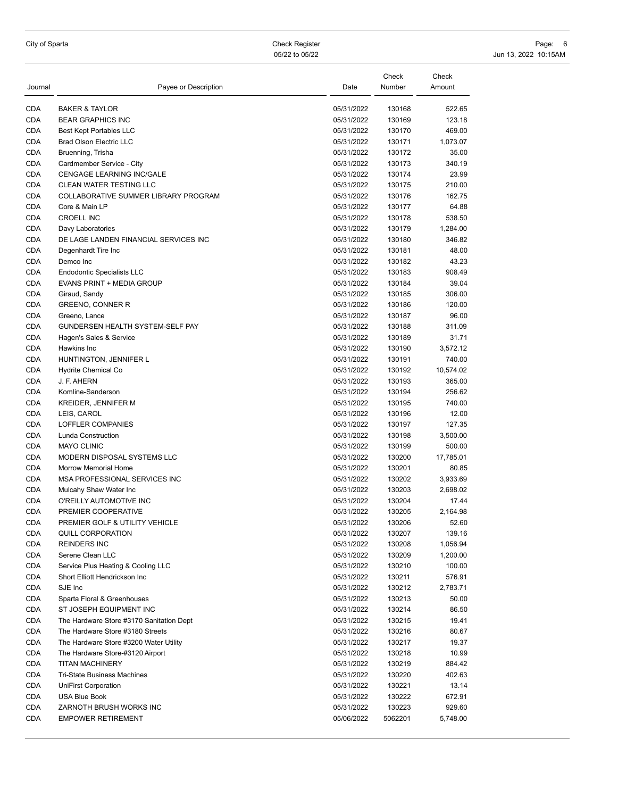| Journal    | Payee or Description                        | Date       | Check<br>Number | Check<br>Amount |
|------------|---------------------------------------------|------------|-----------------|-----------------|
| <b>CDA</b> | <b>BAKER &amp; TAYLOR</b>                   | 05/31/2022 | 130168          | 522.65          |
| <b>CDA</b> | <b>BEAR GRAPHICS INC</b>                    | 05/31/2022 | 130169          | 123.18          |
| <b>CDA</b> | <b>Best Kept Portables LLC</b>              | 05/31/2022 | 130170          | 469.00          |
| <b>CDA</b> | <b>Brad Olson Electric LLC</b>              | 05/31/2022 | 130171          | 1,073.07        |
| CDA        | Bruenning, Trisha                           | 05/31/2022 | 130172          | 35.00           |
| <b>CDA</b> | Cardmember Service - City                   | 05/31/2022 | 130173          | 340.19          |
| <b>CDA</b> | CENGAGE LEARNING INC/GALE                   | 05/31/2022 | 130174          | 23.99           |
| <b>CDA</b> | CLEAN WATER TESTING LLC                     | 05/31/2022 | 130175          | 210.00          |
| CDA        | <b>COLLABORATIVE SUMMER LIBRARY PROGRAM</b> | 05/31/2022 | 130176          | 162.75          |
| <b>CDA</b> | Core & Main LP                              | 05/31/2022 | 130177          | 64.88           |
| <b>CDA</b> | <b>CROELL INC</b>                           | 05/31/2022 | 130178          | 538.50          |
| <b>CDA</b> | Davy Laboratories                           | 05/31/2022 | 130179          | 1,284.00        |
| <b>CDA</b> | DE LAGE LANDEN FINANCIAL SERVICES INC       | 05/31/2022 | 130180          | 346.82          |
| <b>CDA</b> | Degenhardt Tire Inc                         | 05/31/2022 | 130181          | 48.00           |
| <b>CDA</b> | Demco Inc                                   | 05/31/2022 | 130182          | 43.23           |
| CDA        | <b>Endodontic Specialists LLC</b>           | 05/31/2022 | 130183          | 908.49          |
| <b>CDA</b> | EVANS PRINT + MEDIA GROUP                   | 05/31/2022 | 130184          | 39.04           |
| <b>CDA</b> | Giraud, Sandy                               | 05/31/2022 | 130185          | 306.00          |
| CDA        | GREENO, CONNER R                            | 05/31/2022 | 130186          | 120.00          |
| <b>CDA</b> | Greeno, Lance                               | 05/31/2022 | 130187          | 96.00           |
| <b>CDA</b> | GUNDERSEN HEALTH SYSTEM-SELF PAY            | 05/31/2022 | 130188          | 311.09          |
| <b>CDA</b> | Hagen's Sales & Service                     | 05/31/2022 | 130189          | 31.71           |
| <b>CDA</b> | Hawkins Inc                                 | 05/31/2022 | 130190          | 3,572.12        |
| <b>CDA</b> | HUNTINGTON, JENNIFER L                      | 05/31/2022 | 130191          | 740.00          |
| <b>CDA</b> | Hydrite Chemical Co                         | 05/31/2022 | 130192          | 10,574.02       |
| CDA        | J. F. AHERN                                 | 05/31/2022 | 130193          | 365.00          |
| <b>CDA</b> | Komline-Sanderson                           | 05/31/2022 | 130194          | 256.62          |
| <b>CDA</b> | <b>KREIDER, JENNIFER M</b>                  | 05/31/2022 | 130195          | 740.00          |
| <b>CDA</b> | LEIS, CAROL                                 | 05/31/2022 | 130196          | 12.00           |
| <b>CDA</b> | LOFFLER COMPANIES                           | 05/31/2022 | 130197          | 127.35          |
| <b>CDA</b> | Lunda Construction                          | 05/31/2022 | 130198          | 3,500.00        |
| <b>CDA</b> | <b>MAYO CLINIC</b>                          | 05/31/2022 | 130199          | 500.00          |
| <b>CDA</b> | MODERN DISPOSAL SYSTEMS LLC                 | 05/31/2022 | 130200          | 17,785.01       |
| <b>CDA</b> | Morrow Memorial Home                        | 05/31/2022 | 130201          | 80.85           |
| <b>CDA</b> | MSA PROFESSIONAL SERVICES INC               | 05/31/2022 | 130202          | 3,933.69        |
| <b>CDA</b> | Mulcahy Shaw Water Inc                      | 05/31/2022 | 130203          | 2,698.02        |
| <b>CDA</b> | O'REILLY AUTOMOTIVE INC                     | 05/31/2022 | 130204          | 17.44           |
| <b>CDA</b> | PREMIER COOPERATIVE                         | 05/31/2022 | 130205          | 2,164.98        |
| <b>CDA</b> | PREMIER GOLF & UTILITY VEHICLE              | 05/31/2022 | 130206          | 52.60           |
| CDA        | QUILL CORPORATION                           | 05/31/2022 | 130207          | 139.16          |
| <b>CDA</b> | <b>REINDERS INC</b>                         | 05/31/2022 | 130208          | 1,056.94        |
| CDA        | Serene Clean LLC                            | 05/31/2022 | 130209          | 1,200.00        |
| CDA        | Service Plus Heating & Cooling LLC          | 05/31/2022 | 130210          | 100.00          |
| <b>CDA</b> | Short Elliott Hendrickson Inc               | 05/31/2022 | 130211          | 576.91          |
| CDA        | SJE Inc                                     | 05/31/2022 | 130212          | 2,783.71        |
| CDA        | Sparta Floral & Greenhouses                 | 05/31/2022 | 130213          | 50.00           |
| CDA        | ST JOSEPH EQUIPMENT INC                     | 05/31/2022 | 130214          | 86.50           |
| CDA        | The Hardware Store #3170 Sanitation Dept    | 05/31/2022 | 130215          | 19.41           |
| CDA        | The Hardware Store #3180 Streets            | 05/31/2022 | 130216          | 80.67           |
| CDA        | The Hardware Store #3200 Water Utility      | 05/31/2022 | 130217          | 19.37           |
| CDA        | The Hardware Store-#3120 Airport            | 05/31/2022 | 130218          | 10.99           |
| CDA        | <b>TITAN MACHINERY</b>                      | 05/31/2022 | 130219          | 884.42          |
| CDA        | Tri-State Business Machines                 | 05/31/2022 | 130220          | 402.63          |
| <b>CDA</b> | <b>UniFirst Corporation</b>                 | 05/31/2022 | 130221          | 13.14           |
| CDA        | USA Blue Book                               | 05/31/2022 | 130222          | 672.91          |
| CDA        | ZARNOTH BRUSH WORKS INC                     | 05/31/2022 | 130223          | 929.60          |
| CDA        | <b>EMPOWER RETIREMENT</b>                   | 05/06/2022 | 5062201         | 5,748.00        |
|            |                                             |            |                 |                 |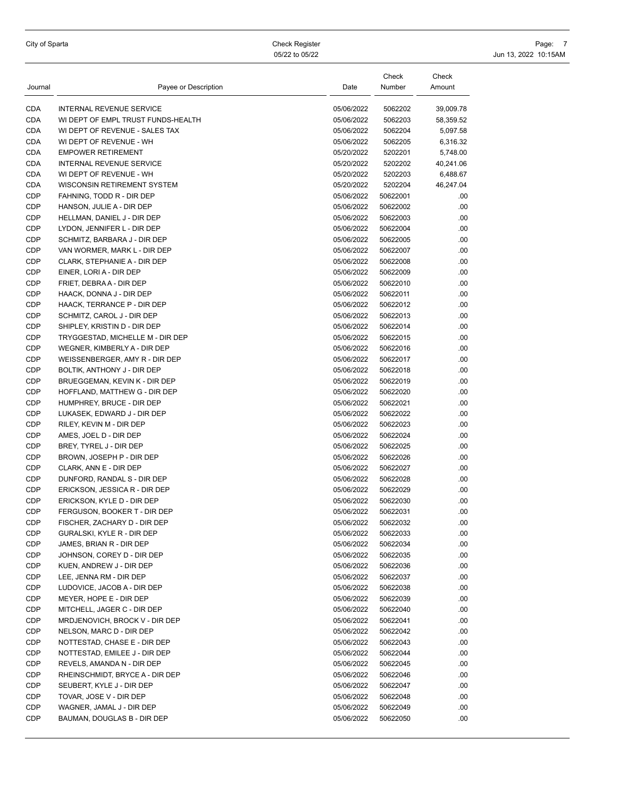| City of Sparta |  |  |  |  |
|----------------|--|--|--|--|
|----------------|--|--|--|--|

City of Sparta Check Register Page: 2014 - Check Register Page: 2014 - Check Register Page: 2014 - Check Register Page: 2014 - 2016 05/22 to 05/22 10:15AM

| Journal    | Payee or Description               | Date       | Check<br>Number | Check<br>Amount |
|------------|------------------------------------|------------|-----------------|-----------------|
| CDA        | INTERNAL REVENUE SERVICE           | 05/06/2022 | 5062202         | 39,009.78       |
| CDA        | WI DEPT OF EMPL TRUST FUNDS-HEALTH | 05/06/2022 | 5062203         | 58,359.52       |
| CDA        | WI DEPT OF REVENUE - SALES TAX     | 05/06/2022 | 5062204         | 5,097.58        |
| CDA        | WI DEPT OF REVENUE - WH            | 05/06/2022 | 5062205         | 6,316.32        |
| CDA        | <b>EMPOWER RETIREMENT</b>          | 05/20/2022 | 5202201         | 5,748.00        |
| CDA        | INTERNAL REVENUE SERVICE           | 05/20/2022 | 5202202         | 40,241.06       |
| CDA        | WI DEPT OF REVENUE - WH            | 05/20/2022 | 5202203         | 6,488.67        |
| CDA        | WISCONSIN RETIREMENT SYSTEM        | 05/20/2022 | 5202204         | 46,247.04       |
| CDP        | FAHNING, TODD R - DIR DEP          | 05/06/2022 | 50622001        | .00             |
| CDP        | HANSON, JULIE A - DIR DEP          | 05/06/2022 | 50622002        | .00             |
| CDP        | HELLMAN, DANIEL J - DIR DEP        | 05/06/2022 | 50622003        | .00             |
| CDP        | LYDON, JENNIFER L - DIR DEP        | 05/06/2022 | 50622004        | .00             |
| CDP        | SCHMITZ, BARBARA J - DIR DEP       | 05/06/2022 | 50622005        | .00             |
| CDP        | VAN WORMER, MARK L - DIR DEP       | 05/06/2022 | 50622007        | .00             |
| CDP        | CLARK, STEPHANIE A - DIR DEP       | 05/06/2022 | 50622008        | .00             |
| CDP        | EINER, LORI A - DIR DEP            | 05/06/2022 | 50622009        | .00             |
| CDP        | FRIET, DEBRA A - DIR DEP           | 05/06/2022 | 50622010        | .00             |
| CDP        | HAACK, DONNA J - DIR DEP           | 05/06/2022 | 50622011        | .00             |
| CDP        | HAACK, TERRANCE P - DIR DEP        | 05/06/2022 | 50622012        | .00             |
| CDP        | SCHMITZ, CAROL J - DIR DEP         | 05/06/2022 | 50622013        | .00             |
| CDP        | SHIPLEY, KRISTIN D - DIR DEP       | 05/06/2022 | 50622014        | .00             |
| CDP        | TRYGGESTAD, MICHELLE M - DIR DEP   | 05/06/2022 | 50622015        | .00             |
| CDP        | WEGNER, KIMBERLY A - DIR DEP       | 05/06/2022 | 50622016        | .00             |
| CDP        | WEISSENBERGER, AMY R - DIR DEP     | 05/06/2022 | 50622017        | .00             |
| CDP        | BOLTIK, ANTHONY J - DIR DEP        | 05/06/2022 | 50622018        | .00             |
| CDP        | BRUEGGEMAN, KEVIN K - DIR DEP      | 05/06/2022 | 50622019        | .00             |
| CDP        | HOFFLAND, MATTHEW G - DIR DEP      | 05/06/2022 | 50622020        | .00             |
| CDP        | HUMPHREY, BRUCE - DIR DEP          | 05/06/2022 | 50622021        | .00             |
| CDP        | LUKASEK, EDWARD J - DIR DEP        | 05/06/2022 | 50622022        | .00             |
| CDP        | RILEY, KEVIN M - DIR DEP           | 05/06/2022 | 50622023        | .00             |
| CDP        | AMES, JOEL D - DIR DEP             | 05/06/2022 | 50622024        | .00             |
| CDP        | BREY, TYREL J - DIR DEP            | 05/06/2022 | 50622025        | .00             |
| CDP        | BROWN, JOSEPH P - DIR DEP          | 05/06/2022 | 50622026        | .00             |
| CDP        | CLARK, ANN E - DIR DEP             | 05/06/2022 | 50622027        | .00             |
| CDP        | DUNFORD, RANDAL S - DIR DEP        | 05/06/2022 | 50622028        | .00             |
| CDP        | ERICKSON, JESSICA R - DIR DEP      | 05/06/2022 | 50622029        | .00             |
| CDP        | ERICKSON, KYLE D - DIR DEP         | 05/06/2022 | 50622030        | .00             |
| CDP        | FERGUSON, BOOKER T - DIR DEP       | 05/06/2022 | 50622031        | .00             |
| CDP        | FISCHER, ZACHARY D - DIR DEP       | 05/06/2022 | 50622032        | .00             |
| CDP        | GURALSKI, KYLE R - DIR DEP         | 05/06/2022 | 50622033        | .00             |
| CDP        | JAMES, BRIAN R - DIR DEP           | 05/06/2022 | 50622034        | .00             |
| CDP        | JOHNSON, COREY D - DIR DEP         | 05/06/2022 | 50622035        | .00             |
| CDP        | KUEN, ANDREW J - DIR DEP           | 05/06/2022 | 50622036        | .00             |
| CDP        | LEE, JENNA RM - DIR DEP            | 05/06/2022 | 50622037        | .00             |
| CDP        | LUDOVICE, JACOB A - DIR DEP        | 05/06/2022 | 50622038        | .00             |
| CDP        | MEYER, HOPE E - DIR DEP            | 05/06/2022 | 50622039        | .00             |
| CDP        | MITCHELL, JAGER C - DIR DEP        | 05/06/2022 | 50622040        | .00             |
| CDP        | MRDJENOVICH, BROCK V - DIR DEP     | 05/06/2022 | 50622041        | .00             |
| CDP        | NELSON, MARC D - DIR DEP           | 05/06/2022 | 50622042        | .00             |
| CDP        | NOTTESTAD, CHASE E - DIR DEP       | 05/06/2022 | 50622043        | .00             |
| CDP        | NOTTESTAD, EMILEE J - DIR DEP      | 05/06/2022 | 50622044        | .00             |
| CDP        | REVELS, AMANDA N - DIR DEP         | 05/06/2022 | 50622045        | .00             |
| CDP        | RHEINSCHMIDT, BRYCE A - DIR DEP    | 05/06/2022 | 50622046        | .00             |
| CDP        | SEUBERT, KYLE J - DIR DEP          | 05/06/2022 | 50622047        | .00             |
| CDP        | TOVAR, JOSE V - DIR DEP            | 05/06/2022 | 50622048        | .00             |
| CDP<br>CDP | WAGNER, JAMAL J - DIR DEP          | 05/06/2022 | 50622049        | .00.            |
|            | BAUMAN, DOUGLAS B - DIR DEP        | 05/06/2022 | 50622050        | .00             |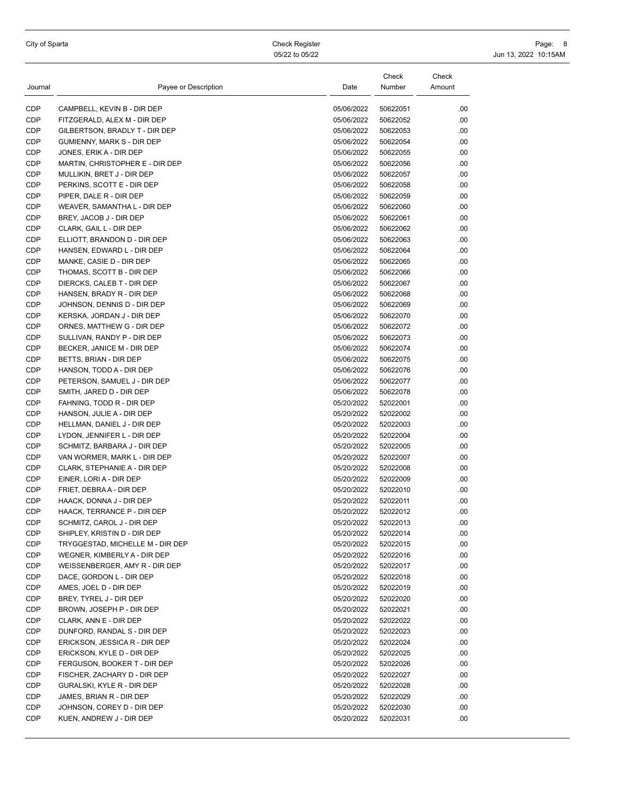City of Sparta Check Register Page: 8 05/22 to 05/22 10:15AM

| Journal | Payee or Description             | Date       | Check<br>Number | Check<br>Amount |
|---------|----------------------------------|------------|-----------------|-----------------|
| CDP     | CAMPBELL, KEVIN B - DIR DEP      | 05/06/2022 | 50622051        | .00             |
| CDP     | FITZGERALD, ALEX M - DIR DEP     | 05/06/2022 | 50622052        | .00             |
| CDP     | GILBERTSON, BRADLY T - DIR DEP   | 05/06/2022 | 50622053        | .00             |
| CDP     | GUMIENNY, MARK S - DIR DEP       | 05/06/2022 | 50622054        | .00             |
| CDP     | JONES, ERIK A - DIR DEP          | 05/06/2022 | 50622055        | .00             |
| CDP     | MARTIN, CHRISTOPHER E - DIR DEP  | 05/06/2022 | 50622056        | .00             |
| CDP     | MULLIKIN, BRET J - DIR DEP       | 05/06/2022 | 50622057        | .00             |
| CDP     | PERKINS, SCOTT E - DIR DEP       | 05/06/2022 | 50622058        | .00             |
| CDP     | PIPER, DALE R - DIR DEP          | 05/06/2022 | 50622059        | .00             |
| CDP     | WEAVER, SAMANTHA L - DIR DEP     | 05/06/2022 | 50622060        | .00             |
| CDP     | BREY, JACOB J - DIR DEP          | 05/06/2022 | 50622061        | .00             |
| CDP     | CLARK, GAIL L - DIR DEP          | 05/06/2022 | 50622062        | .00             |
| CDP     | ELLIOTT, BRANDON D - DIR DEP     | 05/06/2022 | 50622063        | .00             |
| CDP     | HANSEN, EDWARD L - DIR DEP       | 05/06/2022 | 50622064        | .00             |
| CDP     | MANKE, CASIE D - DIR DEP         | 05/06/2022 | 50622065        | .00             |
| CDP     | THOMAS, SCOTT B - DIR DEP        | 05/06/2022 | 50622066        | .00             |
| CDP     | DIERCKS, CALEB T - DIR DEP       | 05/06/2022 | 50622067        | .00             |
| CDP     | HANSEN, BRADY R - DIR DEP        | 05/06/2022 | 50622068        | .00             |
| CDP     | JOHNSON, DENNIS D - DIR DEP      | 05/06/2022 | 50622069        | .00             |
| CDP     | KERSKA, JORDAN J - DIR DEP       | 05/06/2022 | 50622070        | .00             |
| CDP     | ORNES, MATTHEW G - DIR DEP       | 05/06/2022 | 50622072        | .00             |
| CDP     | SULLIVAN, RANDY P - DIR DEP      | 05/06/2022 | 50622073        | .00             |
| CDP     | BECKER, JANICE M - DIR DEP       | 05/06/2022 | 50622074        | .00             |
| CDP     | BETTS, BRIAN - DIR DEP           | 05/06/2022 | 50622075        | .00             |
| CDP     | HANSON, TODD A - DIR DEP         | 05/06/2022 | 50622076        | .00             |
| CDP     | PETERSON, SAMUEL J - DIR DEP     | 05/06/2022 | 50622077        | .00             |
| CDP     | SMITH, JARED D - DIR DEP         | 05/06/2022 | 50622078        | .00             |
| CDP     | FAHNING, TODD R - DIR DEP        | 05/20/2022 | 52022001        | .00             |
| CDP     | HANSON, JULIE A - DIR DEP        | 05/20/2022 | 52022002        | .00             |
| CDP     | HELLMAN, DANIEL J - DIR DEP      | 05/20/2022 | 52022003        | .00             |
| CDP     | LYDON, JENNIFER L - DIR DEP      | 05/20/2022 | 52022004        | .00             |
| CDP     | SCHMITZ, BARBARA J - DIR DEP     | 05/20/2022 | 52022005        | .00             |
| CDP     | VAN WORMER, MARK L - DIR DEP     | 05/20/2022 | 52022007        | .00             |
| CDP     | CLARK, STEPHANIE A - DIR DEP     | 05/20/2022 | 52022008        | .00             |
| CDP     | EINER, LORI A - DIR DEP          | 05/20/2022 | 52022009        | .00             |
| CDP     | FRIET, DEBRA A - DIR DEP         | 05/20/2022 | 52022010        | .00             |
| CDP     | HAACK, DONNA J - DIR DEP         | 05/20/2022 | 52022011        | .00             |
| CDP     | HAACK, TERRANCE P - DIR DEP      | 05/20/2022 | 52022012        | .00             |
| CDP     | SCHMITZ, CAROL J - DIR DEP       | 05/20/2022 | 52022013        | .00             |
| CDP     | SHIPLEY, KRISTIN D - DIR DEP     | 05/20/2022 | 52022014        | .00             |
| CDP     | TRYGGESTAD, MICHELLE M - DIR DEP | 05/20/2022 | 52022015        | .00             |
| CDP     | WEGNER, KIMBERLY A - DIR DEP     | 05/20/2022 | 52022016        | .00             |
| CDP     | WEISSENBERGER, AMY R - DIR DEP   | 05/20/2022 | 52022017        | .00             |
| CDP     | DACE, GORDON L - DIR DEP         | 05/20/2022 | 52022018        | .00             |
| CDP     | AMES, JOEL D - DIR DEP           | 05/20/2022 | 52022019        | .00             |
| CDP     | BREY, TYREL J - DIR DEP          | 05/20/2022 | 52022020        | .00             |
| CDP     | BROWN, JOSEPH P - DIR DEP        | 05/20/2022 | 52022021        | .00             |
| CDP     | CLARK, ANN E - DIR DEP           | 05/20/2022 | 52022022        | .00             |
| CDP     | DUNFORD, RANDAL S - DIR DEP      | 05/20/2022 | 52022023        | .00             |
| CDP     | ERICKSON, JESSICA R - DIR DEP    | 05/20/2022 | 52022024        | .00             |
| CDP     | ERICKSON, KYLE D - DIR DEP       | 05/20/2022 | 52022025        | .00             |
| CDP     | FERGUSON, BOOKER T - DIR DEP     | 05/20/2022 | 52022026        | .00             |
| CDP     | FISCHER, ZACHARY D - DIR DEP     | 05/20/2022 | 52022027        | .00             |
| CDP     | GURALSKI, KYLE R - DIR DEP       | 05/20/2022 | 52022028        | .00             |
| CDP     | JAMES, BRIAN R - DIR DEP         | 05/20/2022 | 52022029        | .00             |
| CDP     | JOHNSON, COREY D - DIR DEP       | 05/20/2022 | 52022030        | .00             |
| CDP     | KUEN, ANDREW J - DIR DEP         | 05/20/2022 | 52022031        | .00             |
|         |                                  |            |                 |                 |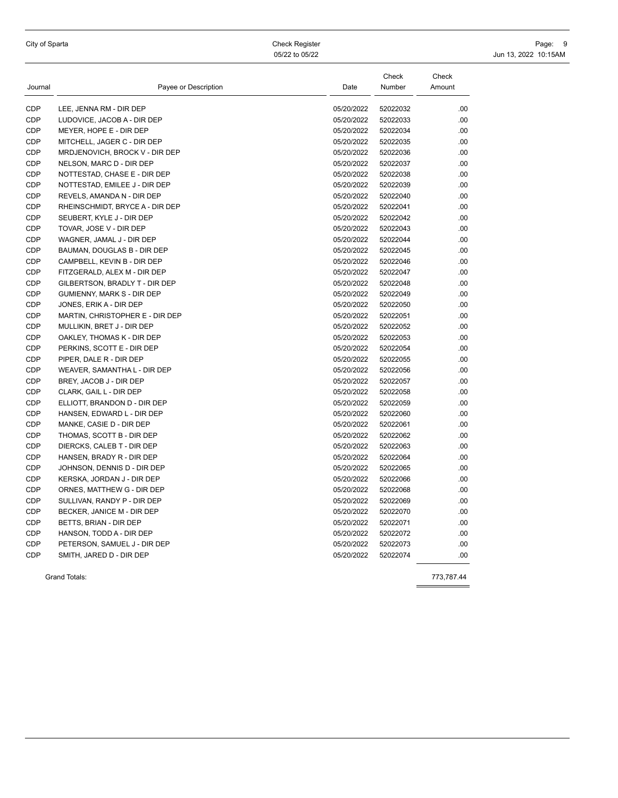City of Sparta Check Register Page: 9 05/22 to 05/22 10:15AM

| Journal    | Payee or Description            | Date       | Check<br>Number | Check<br>Amount |
|------------|---------------------------------|------------|-----------------|-----------------|
| CDP        | LEE, JENNA RM - DIR DEP         | 05/20/2022 | 52022032        | .00.            |
| <b>CDP</b> | LUDOVICE, JACOB A - DIR DEP     | 05/20/2022 | 52022033        | .00             |
| CDP        | MEYER, HOPE E - DIR DEP         | 05/20/2022 | 52022034        | .00.            |
| <b>CDP</b> | MITCHELL, JAGER C - DIR DEP     | 05/20/2022 | 52022035        | .00             |
| <b>CDP</b> | MRDJENOVICH, BROCK V - DIR DEP  | 05/20/2022 | 52022036        | .00.            |
| <b>CDP</b> | NELSON, MARC D - DIR DEP        | 05/20/2022 | 52022037        | .00.            |
| CDP        | NOTTESTAD, CHASE E - DIR DEP    | 05/20/2022 | 52022038        | .00             |
| CDP        | NOTTESTAD, EMILEE J - DIR DEP   | 05/20/2022 | 52022039        | .00.            |
| <b>CDP</b> | REVELS, AMANDA N - DIR DEP      | 05/20/2022 | 52022040        | .00.            |
| <b>CDP</b> | RHEINSCHMIDT, BRYCE A - DIR DEP | 05/20/2022 | 52022041        | .00.            |
| <b>CDP</b> | SEUBERT, KYLE J - DIR DEP       | 05/20/2022 | 52022042        | .00.            |
| CDP        | TOVAR, JOSE V - DIR DEP         | 05/20/2022 | 52022043        | .00.            |
| CDP        | WAGNER, JAMAL J - DIR DEP       | 05/20/2022 | 52022044        | .00.            |
| <b>CDP</b> | BAUMAN, DOUGLAS B - DIR DEP     | 05/20/2022 | 52022045        | .00.            |
| <b>CDP</b> | CAMPBELL, KEVIN B - DIR DEP     | 05/20/2022 | 52022046        | .00             |
| CDP        | FITZGERALD, ALEX M - DIR DEP    | 05/20/2022 | 52022047        | .00.            |
| <b>CDP</b> | GILBERTSON, BRADLY T - DIR DEP  | 05/20/2022 | 52022048        | .00.            |
| <b>CDP</b> | GUMIENNY, MARK S - DIR DEP      | 05/20/2022 | 52022049        | .00             |
| <b>CDP</b> | JONES, ERIK A - DIR DEP         | 05/20/2022 | 52022050        | .00.            |
| CDP        | MARTIN, CHRISTOPHER E - DIR DEP | 05/20/2022 | 52022051        | .00.            |
| <b>CDP</b> | MULLIKIN, BRET J - DIR DEP      | 05/20/2022 | 52022052        | .00.            |
| <b>CDP</b> | OAKLEY, THOMAS K - DIR DEP      | 05/20/2022 | 52022053        | .00.            |
| <b>CDP</b> | PERKINS, SCOTT E - DIR DEP      | 05/20/2022 | 52022054        | .00.            |
| <b>CDP</b> | PIPER, DALE R - DIR DEP         | 05/20/2022 | 52022055        | .00             |
| <b>CDP</b> | WEAVER, SAMANTHA L - DIR DEP    | 05/20/2022 | 52022056        | .00.            |
| <b>CDP</b> | BREY, JACOB J - DIR DEP         | 05/20/2022 | 52022057        | .00.            |
| <b>CDP</b> | CLARK, GAIL L - DIR DEP         | 05/20/2022 | 52022058        | .00.            |
| CDP        | ELLIOTT, BRANDON D - DIR DEP    | 05/20/2022 | 52022059        | .00             |
| <b>CDP</b> | HANSEN, EDWARD L - DIR DEP      | 05/20/2022 | 52022060        | .00.            |
| CDP        | MANKE, CASIE D - DIR DEP        | 05/20/2022 | 52022061        | .00             |
| <b>CDP</b> | THOMAS, SCOTT B - DIR DEP       | 05/20/2022 | 52022062        | .00.            |
| <b>CDP</b> | DIERCKS, CALEB T - DIR DEP      | 05/20/2022 | 52022063        | .00.            |
| CDP        | HANSEN, BRADY R - DIR DEP       | 05/20/2022 | 52022064        | .00             |
| <b>CDP</b> | JOHNSON, DENNIS D - DIR DEP     | 05/20/2022 | 52022065        | .00.            |
| CDP        | KERSKA, JORDAN J - DIR DEP      | 05/20/2022 | 52022066        | .00.            |
| <b>CDP</b> | ORNES, MATTHEW G - DIR DEP      | 05/20/2022 | 52022068        | .00.            |
| <b>CDP</b> | SULLIVAN, RANDY P - DIR DEP     | 05/20/2022 | 52022069        | .00.            |
| <b>CDP</b> | BECKER, JANICE M - DIR DEP      | 05/20/2022 | 52022070        | .00.            |
| <b>CDP</b> | BETTS, BRIAN - DIR DEP          | 05/20/2022 | 52022071        | .00             |
| CDP        | HANSON, TODD A - DIR DEP        | 05/20/2022 | 52022072        | .00.            |
| <b>CDP</b> | PETERSON, SAMUEL J - DIR DEP    | 05/20/2022 | 52022073        | .00.            |
| CDP        | SMITH, JARED D - DIR DEP        | 05/20/2022 | 52022074        | .00             |
|            | Grand Totals:                   |            |                 | 773,787.44      |

 $\equiv$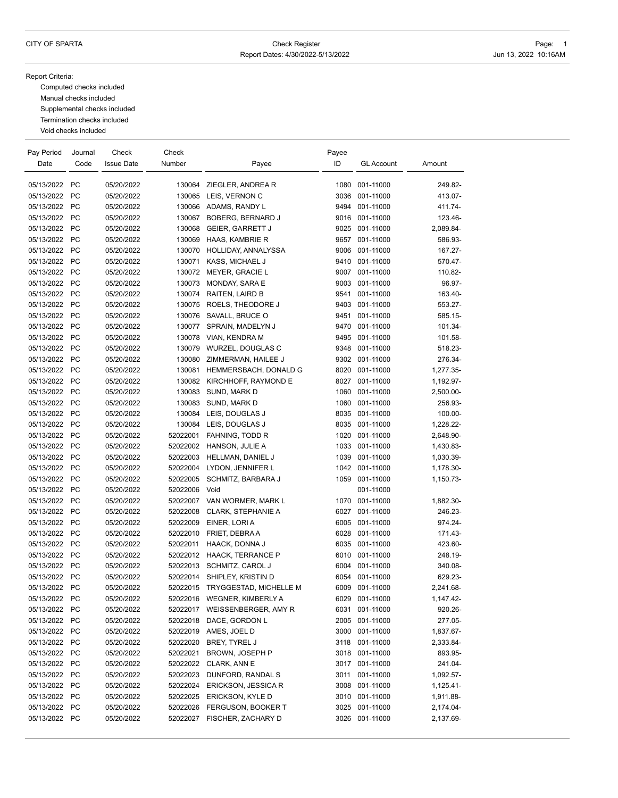#### Report Criteria:

Computed checks included Manual checks included Supplemental checks included Termination checks included Void checks included

| Pay Period    | Journal   | Check             | Check    |                             | Payee |                   |           |
|---------------|-----------|-------------------|----------|-----------------------------|-------|-------------------|-----------|
| Date          | Code      | <b>Issue Date</b> | Number   | Payee                       | ID    | <b>GL Account</b> | Amount    |
|               |           |                   |          |                             |       |                   |           |
| 05/13/2022 PC |           | 05/20/2022        |          | 130064 ZIEGLER, ANDREA R    | 1080  | 001-11000         | 249.82-   |
| 05/13/2022    | <b>PC</b> | 05/20/2022        |          | 130065 LEIS, VERNON C       | 3036  | 001-11000         | 413.07-   |
| 05/13/2022    | <b>PC</b> | 05/20/2022        |          | 130066 ADAMS, RANDY L       | 9494  | 001-11000         | 411.74-   |
| 05/13/2022    | <b>PC</b> | 05/20/2022        | 130067   | BOBERG, BERNARD J           | 9016  | 001-11000         | 123.46-   |
| 05/13/2022 PC |           | 05/20/2022        | 130068   | <b>GEIER, GARRETT J</b>     | 9025  | 001-11000         | 2,089.84- |
| 05/13/2022    | <b>PC</b> | 05/20/2022        | 130069   | HAAS, KAMBRIE R             | 9657  | 001-11000         | 586.93-   |
| 05/13/2022    | <b>PC</b> | 05/20/2022        | 130070   | HOLLIDAY, ANNALYSSA         | 9006  | 001-11000         | 167.27-   |
| 05/13/2022    | <b>PC</b> | 05/20/2022        | 130071   | KASS, MICHAEL J             |       | 9410 001-11000    | 570.47-   |
| 05/13/2022 PC |           | 05/20/2022        | 130072   | <b>MEYER, GRACIE L</b>      | 9007  | 001-11000         | 110.82-   |
| 05/13/2022    | <b>PC</b> | 05/20/2022        | 130073   | MONDAY, SARA E              | 9003  | 001-11000         | 96.97-    |
| 05/13/2022    | <b>PC</b> | 05/20/2022        | 130074   | RAITEN, LAIRD B             | 9541  | 001-11000         | 163.40-   |
| 05/13/2022    | <b>PC</b> | 05/20/2022        | 130075   | ROELS, THEODORE J           | 9403  | 001-11000         | 553.27-   |
| 05/13/2022    | <b>PC</b> | 05/20/2022        | 130076   | SAVALL, BRUCE O             | 9451  | 001-11000         | 585.15-   |
| 05/13/2022 PC |           | 05/20/2022        | 130077   | SPRAIN, MADELYN J           | 9470  | 001-11000         | 101.34-   |
| 05/13/2022 PC |           | 05/20/2022        | 130078   | VIAN, KENDRA M              | 9495  | 001-11000         | 101.58-   |
| 05/13/2022    | <b>PC</b> | 05/20/2022        | 130079   | WURZEL, DOUGLAS C           | 9348  | 001-11000         | 518.23-   |
| 05/13/2022    | <b>PC</b> | 05/20/2022        | 130080   | ZIMMERMAN, HAILEE J         |       | 9302 001-11000    | 276.34-   |
| 05/13/2022    | <b>PC</b> | 05/20/2022        | 130081   | HEMMERSBACH, DONALD G       | 8020  | 001-11000         | 1,277.35- |
| 05/13/2022 PC |           | 05/20/2022        | 130082   | KIRCHHOFF, RAYMOND E        | 8027  | 001-11000         | 1,192.97- |
| 05/13/2022    | <b>PC</b> | 05/20/2022        | 130083   | SUND, MARK D                | 1060  | 001-11000         | 2,500.00- |
| 05/13/2022    | <b>PC</b> | 05/20/2022        | 130083   | SUND, MARK D                | 1060  | 001-11000         | 256.93-   |
| 05/13/2022    | <b>PC</b> | 05/20/2022        | 130084   | LEIS, DOUGLAS J             | 8035  | 001-11000         | 100.00-   |
| 05/13/2022    | <b>PC</b> | 05/20/2022        | 130084   | LEIS, DOUGLAS J             | 8035  | 001-11000         | 1,228.22- |
| 05/13/2022 PC |           | 05/20/2022        | 52022001 | FAHNING, TODD R             | 1020  | 001-11000         | 2,648.90- |
| 05/13/2022 PC |           | 05/20/2022        | 52022002 | HANSON, JULIE A             | 1033  | 001-11000         | 1,430.83- |
| 05/13/2022    | <b>PC</b> | 05/20/2022        | 52022003 | HELLMAN, DANIEL J           | 1039  | 001-11000         | 1,030.39- |
| 05/13/2022    | <b>PC</b> | 05/20/2022        | 52022004 | LYDON, JENNIFER L           | 1042  | 001-11000         | 1,178.30- |
| 05/13/2022    | <b>PC</b> | 05/20/2022        | 52022005 | SCHMITZ, BARBARA J          | 1059  | 001-11000         | 1,150.73- |
| 05/13/2022 PC |           | 05/20/2022        | 52022006 | Void                        |       | 001-11000         |           |
| 05/13/2022 PC |           | 05/20/2022        | 52022007 | VAN WORMER, MARK L          | 1070  | 001-11000         | 1,882.30- |
| 05/13/2022    | <b>PC</b> | 05/20/2022        | 52022008 | CLARK, STEPHANIE A          | 6027  | 001-11000         | 246.23-   |
| 05/13/2022    | <b>PC</b> | 05/20/2022        | 52022009 | EINER, LORI A               | 6005  | 001-11000         | 974.24-   |
| 05/13/2022    | <b>PC</b> | 05/20/2022        | 52022010 | FRIET, DEBRAA               | 6028  | 001-11000         | 171.43-   |
| 05/13/2022 PC |           | 05/20/2022        | 52022011 | <b>HAACK, DONNA J</b>       | 6035  | 001-11000         | 423.60-   |
| 05/13/2022 PC |           | 05/20/2022        | 52022012 | <b>HAACK, TERRANCE P</b>    | 6010  | 001-11000         | 248.19-   |
| 05/13/2022    | <b>PC</b> | 05/20/2022        | 52022013 | SCHMITZ, CAROL J            | 6004  | 001-11000         | 340.08-   |
| 05/13/2022    | <b>PC</b> | 05/20/2022        | 52022014 | SHIPLEY, KRISTIN D          | 6054  | 001-11000         | 629.23-   |
| 05/13/2022 PC |           | 05/20/2022        | 52022015 | TRYGGESTAD, MICHELLE M      | 6009  | 001-11000         | 2,241.68- |
| 05/13/2022 PC |           | 05/20/2022        | 52022016 | <b>WEGNER, KIMBERLY A</b>   | 6029  | 001-11000         | 1,147.42- |
| 05/13/2022 PC |           | 05/20/2022        | 52022017 | WEISSENBERGER, AMY R        |       | 6031 001-11000    | 920.26-   |
| 05/13/2022 PC |           | 05/20/2022        | 52022018 | DACE, GORDON L              | 2005  | 001-11000         | 277.05-   |
| 05/13/2022    | PC        | 05/20/2022        |          | 52022019 AMES, JOEL D       | 3000  | 001-11000         | 1,837.67- |
| 05/13/2022    | PC        | 05/20/2022        | 52022020 | BREY, TYREL J               | 3118  | 001-11000         | 2,333.84- |
| 05/13/2022 PC |           | 05/20/2022        | 52022021 | BROWN, JOSEPH P             |       | 3018 001-11000    | 893.95-   |
| 05/13/2022 PC |           | 05/20/2022        | 52022022 | CLARK, ANN E                |       | 3017 001-11000    | 241.04-   |
| 05/13/2022 PC |           | 05/20/2022        | 52022023 | DUNFORD, RANDAL S           | 3011  | 001-11000         | 1,092.57- |
| 05/13/2022    | PC        | 05/20/2022        | 52022024 | ERICKSON, JESSICA R         | 3008  | 001-11000         | 1,125.41- |
| 05/13/2022 PC |           | 05/20/2022        | 52022025 | ERICKSON, KYLE D            | 3010  | 001-11000         | 1,911.88- |
| 05/13/2022 PC |           | 05/20/2022        | 52022026 | FERGUSON, BOOKER T          |       | 3025 001-11000    | 2,174.04- |
| 05/13/2022 PC |           | 05/20/2022        |          | 52022027 FISCHER, ZACHARY D |       | 3026 001-11000    | 2,137.69- |
|               |           |                   |          |                             |       |                   |           |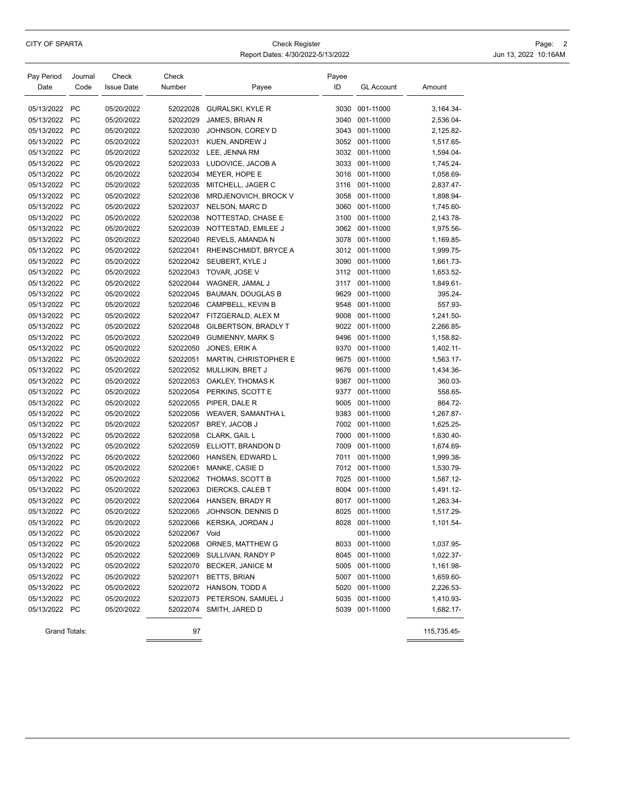# Page: 2<br>CITY OF SPARTA Page: 2<br>Jun 13, 2022 10:16AM Report Dates: 4/30/2022-5/13/2022

Jun 13, 2022 10:16AM

|  |  | eport Dates: 4/30/2022-5/13/2022 |
|--|--|----------------------------------|

| Pay Period<br>Date | Journal<br>Code        | Check<br><b>Issue Date</b> | Check<br>Number | Payee                    | Payee<br>ID | <b>GL Account</b> | Amount      |
|--------------------|------------------------|----------------------------|-----------------|--------------------------|-------------|-------------------|-------------|
|                    |                        |                            |                 |                          |             |                   |             |
| 05/13/2022         | <b>PC</b>              | 05/20/2022                 | 52022028        | <b>GURALSKI, KYLE R</b>  | 3030        | 001-11000         | 3,164.34-   |
| 05/13/2022         | <b>PC</b>              | 05/20/2022                 | 52022029        | JAMES, BRIAN R           | 3040        | 001-11000         | 2,536.04-   |
| 05/13/2022         | <b>PC</b>              | 05/20/2022                 | 52022030        | JOHNSON, COREY D         | 3043        | 001-11000         | 2,125.82-   |
| 05/13/2022         | <b>PC</b>              | 05/20/2022                 | 52022031        | KUEN, ANDREW J           | 3052        | 001-11000         | 1,517.65-   |
| 05/13/2022         | <b>PC</b>              | 05/20/2022                 | 52022032        | LEE, JENNA RM            | 3032        | 001-11000         | 1,594.04-   |
| 05/13/2022         | <b>PC</b>              | 05/20/2022                 | 52022033        | LUDOVICE, JACOB A        | 3033        | 001-11000         | 1,745.24-   |
| 05/13/2022         | <b>PC</b>              | 05/20/2022                 | 52022034        | MEYER, HOPE E            | 3016        | 001-11000         | 1,058.69-   |
| 05/13/2022         | <b>PC</b>              | 05/20/2022                 | 52022035        | MITCHELL, JAGER C        | 3116        | 001-11000         | 2,837.47-   |
| 05/13/2022         | <b>PC</b>              | 05/20/2022                 | 52022036        | MRDJENOVICH, BROCK V     | 3058        | 001-11000         | 1,898.94-   |
| 05/13/2022         | <b>PC</b>              | 05/20/2022                 | 52022037        | NELSON, MARC D           | 3060        | 001-11000         | 1,745.60-   |
| 05/13/2022         | <b>PC</b>              | 05/20/2022                 | 52022038        | NOTTESTAD, CHASE E       | 3100        | 001-11000         | 2,143.78-   |
| 05/13/2022         | <b>PC</b>              | 05/20/2022                 | 52022039        | NOTTESTAD, EMILEE J      | 3062        | 001-11000         | 1,975.56-   |
| 05/13/2022         | <b>PC</b>              | 05/20/2022                 | 52022040        | REVELS, AMANDA N         | 3078        | 001-11000         | 1,169.85-   |
| 05/13/2022         | <b>PC</b>              | 05/20/2022                 | 52022041        | RHEINSCHMIDT, BRYCE A    | 3012        | 001-11000         | 1,999.75-   |
| 05/13/2022         | <b>PC</b>              | 05/20/2022                 | 52022042        | SEUBERT, KYLE J          | 3090        | 001-11000         | 1,661.73-   |
| 05/13/2022         | <b>PC</b>              | 05/20/2022                 | 52022043        | TOVAR, JOSE V            | 3112        | 001-11000         | 1,653.52-   |
| 05/13/2022         | <b>PC</b>              | 05/20/2022                 | 52022044        | WAGNER, JAMAL J          | 3117        | 001-11000         | 1,849.61-   |
| 05/13/2022         | <b>PC</b>              | 05/20/2022                 | 52022045        | <b>BAUMAN, DOUGLAS B</b> | 9629        | 001-11000         | 395.24-     |
| 05/13/2022         | <b>PC</b>              | 05/20/2022                 | 52022046        | CAMPBELL, KEVIN B        | 9548        | 001-11000         | 557.93-     |
| 05/13/2022         | <b>PC</b>              | 05/20/2022                 | 52022047        | FITZGERALD, ALEX M       | 9008        | 001-11000         | 1,241.50-   |
| 05/13/2022         | <b>PC</b>              | 05/20/2022                 | 52022048        | GILBERTSON, BRADLY T     | 9022        | 001-11000         | 2,266.85-   |
| 05/13/2022         | <b>PC</b>              | 05/20/2022                 | 52022049        | <b>GUMIENNY, MARK S</b>  | 9496        | 001-11000         | 1,158.82-   |
| 05/13/2022         | <b>PC</b>              | 05/20/2022                 | 52022050        | JONES, ERIK A            | 9370        | 001-11000         | 1,402.11-   |
| 05/13/2022         | <b>PC</b>              | 05/20/2022                 | 52022051        | MARTIN, CHRISTOPHER E    | 9675        | 001-11000         | 1,563.17-   |
| 05/13/2022         | <b>PC</b>              | 05/20/2022                 | 52022052        | MULLIKIN, BRET J         | 9676        | 001-11000         | 1,434.36-   |
| 05/13/2022         | <b>PC</b>              | 05/20/2022                 | 52022053        | OAKLEY, THOMAS K         | 9367        | 001-11000         | 360.03-     |
| 05/13/2022         | <b>PC</b>              | 05/20/2022                 | 52022054        | PERKINS, SCOTT E         | 9377        | 001-11000         | 558.65-     |
| 05/13/2022         | <b>PC</b>              | 05/20/2022                 | 52022055        | PIPER, DALE R            | 9005        | 001-11000         | 864.72-     |
| 05/13/2022         | <b>PC</b>              | 05/20/2022                 | 52022056        | WEAVER, SAMANTHA L       | 9383        | 001-11000         | 1,267.87-   |
| 05/13/2022         | <b>PC</b>              | 05/20/2022                 | 52022057        | BREY, JACOB J            | 7002        | 001-11000         | 1,625.25-   |
| 05/13/2022         | <b>PC</b>              | 05/20/2022                 | 52022058        | CLARK, GAIL L            | 7000        | 001-11000         | 1,630.40-   |
| 05/13/2022         | <b>PC</b>              | 05/20/2022                 | 52022059        | ELLIOTT, BRANDON D       | 7009        | 001-11000         | 1,674.69-   |
| 05/13/2022         | <b>PC</b>              | 05/20/2022                 | 52022060        | HANSEN, EDWARD L         | 7011        | 001-11000         | 1,999.38-   |
| 05/13/2022         | <b>PC</b>              | 05/20/2022                 | 52022061        | MANKE, CASIE D           | 7012        | 001-11000         | 1,530.79-   |
| 05/13/2022         | <b>PC</b>              | 05/20/2022                 | 52022062        | THOMAS, SCOTT B          | 7025        | 001-11000         | 1,587.12-   |
| 05/13/2022         | <b>PC</b>              | 05/20/2022                 | 52022063        | DIERCKS, CALEB T         | 8004        | 001-11000         | 1,491.12-   |
| 05/13/2022         | <b>PC</b>              | 05/20/2022                 | 52022064        | HANSEN, BRADY R          | 8017        | 001-11000         | 1,263.34-   |
| 05/13/2022 PC      |                        | 05/20/2022                 | 52022065        | JOHNSON, DENNIS D        | 8025        | 001-11000         | 1,517.29-   |
|                    |                        |                            |                 |                          |             |                   |             |
| 05/13/2022         | <b>PC</b><br><b>PC</b> | 05/20/2022                 | 52022066        | KERSKA, JORDAN J         |             | 8028 001-11000    | 1,101.54-   |
| 05/13/2022         | PC                     | 05/20/2022<br>05/20/2022   | 52022067        | Void<br>ORNES, MATTHEW G |             | 001-11000         |             |
| 05/13/2022         |                        |                            | 52022068        |                          |             | 8033 001-11000    | 1,037.95-   |
| 05/13/2022         | PC                     | 05/20/2022                 | 52022069        | SULLIVAN, RANDY P        | 8045        | 001-11000         | 1,022.37-   |
| 05/13/2022         | <b>PC</b>              | 05/20/2022                 | 52022070        | BECKER, JANICE M         |             | 5005 001-11000    | 1,161.98-   |
| 05/13/2022         | <b>PC</b>              | 05/20/2022                 | 52022071        | <b>BETTS, BRIAN</b>      |             | 5007 001-11000    | 1,659.60-   |
| 05/13/2022         | PC                     | 05/20/2022                 | 52022072        | HANSON, TODD A           | 5020        | 001-11000         | 2,226.53-   |
| 05/13/2022         | PC                     | 05/20/2022                 | 52022073        | PETERSON, SAMUEL J       | 5035        | 001-11000         | 1,410.93-   |
| 05/13/2022         | <b>PC</b>              | 05/20/2022                 | 52022074        | SMITH, JARED D           | 5039        | 001-11000         | 1,682.17-   |
|                    | Grand Totals:          |                            | 97              |                          |             |                   | 115,735.45- |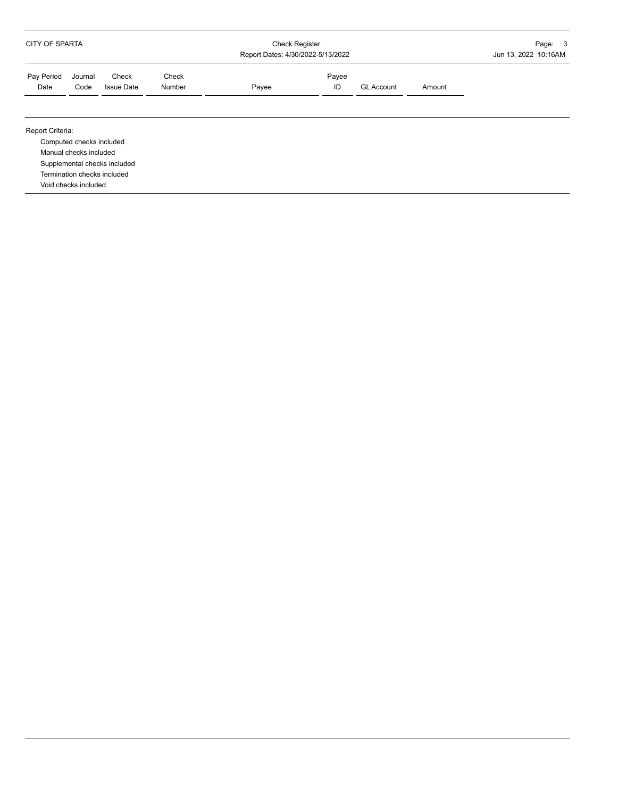| <b>CITY OF SPARTA</b> |                                                                                                           |                              |                 | <b>Check Register</b><br>Report Dates: 4/30/2022-5/13/2022 | Page: 3<br>Jun 13, 2022 10:16AM |                   |        |  |
|-----------------------|-----------------------------------------------------------------------------------------------------------|------------------------------|-----------------|------------------------------------------------------------|---------------------------------|-------------------|--------|--|
| Pay Period<br>Date    | Journal<br>Code                                                                                           | Check<br><b>Issue Date</b>   | Check<br>Number | Payee                                                      | Payee<br>ID                     | <b>GL Account</b> | Amount |  |
| Report Criteria:      | Computed checks included<br>Manual checks included<br>Termination checks included<br>Void checks included | Supplemental checks included |                 |                                                            |                                 |                   |        |  |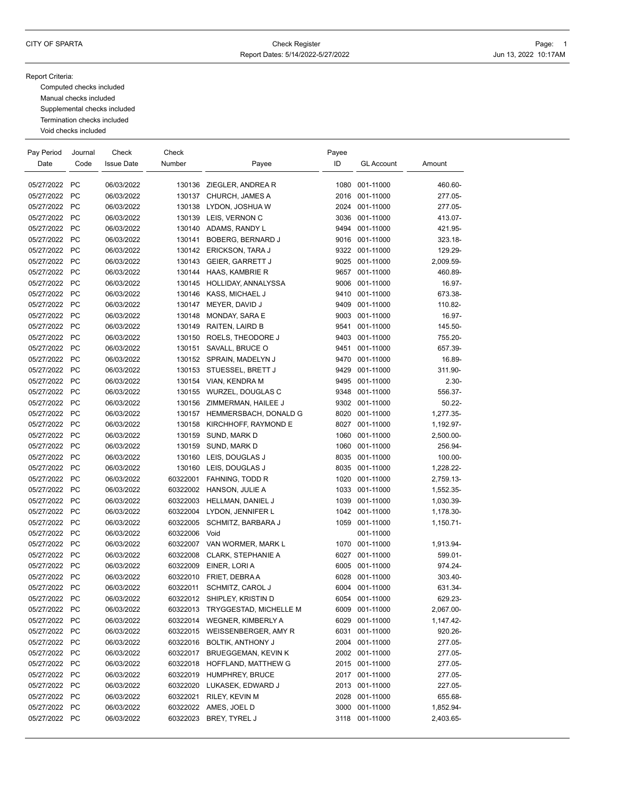Report Criteria:

Computed checks included Manual checks included Supplemental checks included Termination checks included Void checks included

| Pay Period    | Journal   | Check             | Check    |                           | Payee |                   |           |
|---------------|-----------|-------------------|----------|---------------------------|-------|-------------------|-----------|
| Date          | Code      | <b>Issue Date</b> | Number   | Payee                     | ID    | <b>GL Account</b> | Amount    |
|               |           |                   |          |                           |       |                   |           |
| 05/27/2022 PC |           | 06/03/2022        |          | 130136 ZIEGLER, ANDREA R  | 1080  | 001-11000         | 460.60-   |
| 05/27/2022    | <b>PC</b> | 06/03/2022        | 130137   | CHURCH, JAMES A           | 2016  | 001-11000         | 277.05-   |
| 05/27/2022    | <b>PC</b> | 06/03/2022        | 130138   | LYDON, JOSHUA W           | 2024  | 001-11000         | 277.05-   |
| 05/27/2022 PC |           | 06/03/2022        |          | 130139 LEIS, VERNON C     | 3036  | 001-11000         | 413.07-   |
| 05/27/2022    | <b>PC</b> | 06/03/2022        |          | 130140 ADAMS, RANDY L     | 9494  | 001-11000         | 421.95-   |
| 05/27/2022 PC |           | 06/03/2022        | 130141   | BOBERG, BERNARD J         |       | 9016 001-11000    | 323.18-   |
| 05/27/2022    | <b>PC</b> | 06/03/2022        | 130142   | ERICKSON, TARA J          |       | 9322 001-11000    | 129.29-   |
| 05/27/2022    | <b>PC</b> | 06/03/2022        | 130143   | <b>GEIER, GARRETT J</b>   | 9025  | 001-11000         | 2,009.59- |
| 05/27/2022 PC |           | 06/03/2022        | 130144   | HAAS, KAMBRIE R           | 9657  | 001-11000         | 460.89-   |
| 05/27/2022    | <b>PC</b> | 06/03/2022        | 130145   | HOLLIDAY, ANNALYSSA       | 9006  | 001-11000         | 16.97-    |
| 05/27/2022 PC |           | 06/03/2022        |          | 130146 KASS, MICHAEL J    | 9410  | 001-11000         | 673.38-   |
| 05/27/2022    | <b>PC</b> | 06/03/2022        | 130147   | MEYER, DAVID J            | 9409  | 001-11000         | 110.82-   |
| 05/27/2022 PC |           | 06/03/2022        | 130148   | MONDAY, SARA E            | 9003  | 001-11000         | 16.97-    |
| 05/27/2022 PC |           | 06/03/2022        | 130149   | RAITEN, LAIRD B           | 9541  | 001-11000         | 145.50-   |
| 05/27/2022    | <b>PC</b> | 06/03/2022        | 130150   | ROELS, THEODORE J         | 9403  | 001-11000         | 755.20-   |
| 05/27/2022    | <b>PC</b> | 06/03/2022        | 130151   | SAVALL, BRUCE O           | 9451  | 001-11000         | 657.39-   |
| 05/27/2022    | <b>PC</b> | 06/03/2022        |          | 130152 SPRAIN, MADELYN J  | 9470  | 001-11000         | 16.89-    |
| 05/27/2022 PC |           | 06/03/2022        | 130153   | STUESSEL, BRETT J         | 9429  | 001-11000         | 311.90-   |
| 05/27/2022 PC |           | 06/03/2022        | 130154   | VIAN, KENDRA M            | 9495  | 001-11000         | $2.30 -$  |
| 05/27/2022    | <b>PC</b> | 06/03/2022        | 130155   | WURZEL, DOUGLAS C         | 9348  | 001-11000         | 556.37-   |
| 05/27/2022    | <b>PC</b> | 06/03/2022        | 130156   | ZIMMERMAN, HAILEE J       |       | 9302 001-11000    | $50.22 -$ |
| 05/27/2022    | <b>PC</b> | 06/03/2022        | 130157   | HEMMERSBACH, DONALD G     | 8020  | 001-11000         | 1,277.35- |
| 05/27/2022 PC |           | 06/03/2022        | 130158   | KIRCHHOFF, RAYMOND E      | 8027  | 001-11000         | 1,192.97- |
| 05/27/2022 PC |           | 06/03/2022        | 130159   | SUND, MARK D              | 1060  | 001-11000         | 2,500.00- |
| 05/27/2022    | <b>PC</b> | 06/03/2022        | 130159   | SUND, MARK D              | 1060  | 001-11000         | 256.94-   |
| 05/27/2022    | <b>PC</b> | 06/03/2022        |          | 130160 LEIS, DOUGLAS J    | 8035  | 001-11000         | 100.00-   |
| 05/27/2022    | <b>PC</b> | 06/03/2022        | 130160   | LEIS, DOUGLAS J           | 8035  | 001-11000         | 1,228.22- |
| 05/27/2022 PC |           | 06/03/2022        | 60322001 | FAHNING, TODD R           | 1020  | 001-11000         | 2,759.13- |
| 05/27/2022 PC |           | 06/03/2022        | 60322002 | HANSON, JULIE A           | 1033  | 001-11000         | 1,552.35- |
| 05/27/2022    | <b>PC</b> | 06/03/2022        | 60322003 | HELLMAN, DANIEL J         | 1039  | 001-11000         | 1,030.39- |
| 05/27/2022    | <b>PC</b> | 06/03/2022        | 60322004 | LYDON, JENNIFER L         |       | 1042 001-11000    | 1,178.30- |
| 05/27/2022    | <b>PC</b> | 06/03/2022        | 60322005 | SCHMITZ, BARBARA J        | 1059  | 001-11000         | 1,150.71- |
| 05/27/2022    | <b>PC</b> | 06/03/2022        | 60322006 | Void                      |       | 001-11000         |           |
| 05/27/2022    | <b>PC</b> | 06/03/2022        | 60322007 | VAN WORMER, MARK L        | 1070  | 001-11000         | 1,913.94- |
| 05/27/2022    | <b>PC</b> | 06/03/2022        | 60322008 | <b>CLARK, STEPHANIE A</b> | 6027  | 001-11000         | 599.01-   |
| 05/27/2022    | <b>PC</b> | 06/03/2022        | 60322009 | EINER, LORI A             | 6005  | 001-11000         | 974.24-   |
| 05/27/2022    | <b>PC</b> | 06/03/2022        | 60322010 | FRIET, DEBRAA             | 6028  | 001-11000         | 303.40-   |
| 05/27/2022 PC |           | 06/03/2022        | 60322011 | SCHMITZ, CAROL J          | 6004  | 001-11000         | 631.34-   |
| 05/27/2022    | <b>PC</b> | 06/03/2022        | 60322012 | SHIPLEY, KRISTIN D        | 6054  | 001-11000         | 629.23-   |
| 05/27/2022 PC |           | 06/03/2022        | 60322013 | TRYGGESTAD, MICHELLE M    |       | 6009 001-11000    | 2,067.00- |
| 05/27/2022    | <b>PC</b> | 06/03/2022        | 60322014 | <b>WEGNER, KIMBERLY A</b> | 6029  | 001-11000         | 1,147.42- |
| 05/27/2022    | <b>PC</b> | 06/03/2022        | 60322015 | WEISSENBERGER, AMY R      | 6031  | 001-11000         | 920.26-   |
| 05/27/2022 PC |           | 06/03/2022        | 60322016 | <b>BOLTIK, ANTHONY J</b>  | 2004  | 001-11000         | 277.05-   |
| 05/27/2022 PC |           | 06/03/2022        | 60322017 | BRUEGGEMAN, KEVIN K       | 2002  | 001-11000         | 277.05-   |
| 05/27/2022 PC |           | 06/03/2022        | 60322018 | HOFFLAND, MATTHEW G       |       | 2015 001-11000    | 277.05-   |
| 05/27/2022 PC |           | 06/03/2022        |          | 60322019 HUMPHREY, BRUCE  |       | 2017 001-11000    | 277.05-   |
| 05/27/2022    | PC        | 06/03/2022        | 60322020 | LUKASEK, EDWARD J         |       | 2013 001-11000    | 227.05-   |
| 05/27/2022 PC |           | 06/03/2022        | 60322021 | RILEY, KEVIN M            |       | 2028 001-11000    | 655.68-   |
| 05/27/2022 PC |           | 06/03/2022        | 60322022 | AMES, JOEL D              | 3000  | 001-11000         | 1,852.94- |
| 05/27/2022 PC |           | 06/03/2022        | 60322023 | BREY, TYREL J             | 3118  | 001-11000         | 2,403.65- |
|               |           |                   |          |                           |       |                   |           |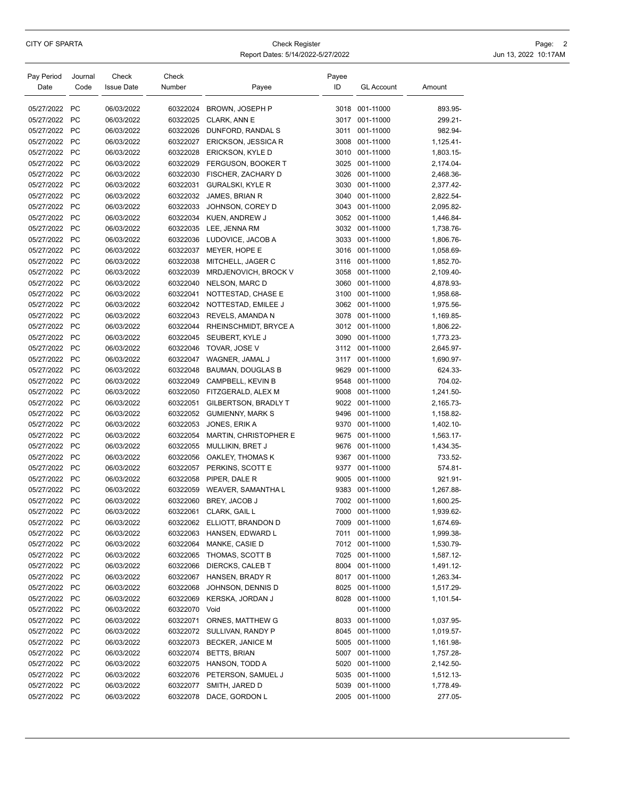# CITY OF SPARTA **CHECK Register** Check Register **Check Register** Check Register **Page: 2**

| Report Dates: 5/14/2022-5/27/2022 | Jun 13, 2022 10:17AM |  |
|-----------------------------------|----------------------|--|
|                                   |                      |  |

| Pay Period<br>Date | Journal<br>Code | Check<br><b>Issue Date</b> | Check<br>Number      | Payee                        | Payee<br>ID | <b>GL Account</b> | Amount    |
|--------------------|-----------------|----------------------------|----------------------|------------------------------|-------------|-------------------|-----------|
| 05/27/2022         | <b>PC</b>       | 06/03/2022                 | 60322024             | BROWN, JOSEPH P              |             | 3018 001-11000    | 893.95-   |
| 05/27/2022         | <b>PC</b>       | 06/03/2022                 | 60322025             | <b>CLARK, ANN E</b>          |             | 3017 001-11000    | 299.21-   |
| 05/27/2022         | <b>PC</b>       | 06/03/2022                 | 60322026             | DUNFORD, RANDAL S            | 3011        | 001-11000         | 982.94-   |
| 05/27/2022         | <b>PC</b>       | 06/03/2022                 | 60322027             | ERICKSON, JESSICA R          | 3008        | 001-11000         | 1,125.41- |
| 05/27/2022         | <b>PC</b>       | 06/03/2022                 | 60322028             | ERICKSON, KYLE D             | 3010        | 001-11000         | 1,803.15- |
| 05/27/2022         | PC              | 06/03/2022                 | 60322029             | FERGUSON, BOOKER T           | 3025        | 001-11000         | 2,174.04- |
| 05/27/2022         | <b>PC</b>       | 06/03/2022                 | 60322030             | FISCHER, ZACHARY D           | 3026        | 001-11000         | 2,468.36- |
| 05/27/2022         | <b>PC</b>       | 06/03/2022                 | 60322031             | GURALSKI, KYLE R             | 3030        | 001-11000         | 2,377.42- |
| 05/27/2022         | <b>PC</b>       | 06/03/2022                 | 60322032             | JAMES, BRIAN R               | 3040        | 001-11000         | 2,822.54- |
| 05/27/2022         | <b>PC</b>       | 06/03/2022                 | 60322033             | JOHNSON, COREY D             | 3043        | 001-11000         | 2,095.82- |
| 05/27/2022         | <b>PC</b>       | 06/03/2022                 | 60322034             | KUEN, ANDREW J               | 3052        | 001-11000         | 1,446.84- |
| 05/27/2022         | <b>PC</b>       | 06/03/2022                 | 60322035             | LEE, JENNA RM                | 3032        | 001-11000         | 1,738.76- |
| 05/27/2022         | <b>PC</b>       | 06/03/2022                 | 60322036             | LUDOVICE, JACOB A            | 3033        | 001-11000         | 1,806.76- |
| 05/27/2022         | <b>PC</b>       | 06/03/2022                 | 60322037             | MEYER, HOPE E                | 3016        | 001-11000         | 1,058.69- |
| 05/27/2022         | <b>PC</b>       | 06/03/2022                 | 60322038             | MITCHELL, JAGER C            | 3116        | 001-11000         | 1,852.70- |
| 05/27/2022         | <b>PC</b>       | 06/03/2022                 | 60322039             | MRDJENOVICH, BROCK V         | 3058        | 001-11000         | 2,109.40- |
| 05/27/2022         | <b>PC</b>       | 06/03/2022                 | 60322040             | NELSON, MARC D               | 3060        | 001-11000         | 4,878.93- |
| 05/27/2022         | <b>PC</b>       |                            |                      |                              |             |                   |           |
| 05/27/2022         |                 | 06/03/2022                 | 60322041             | NOTTESTAD, CHASE E           | 3100        | 001-11000         | 1,958.68- |
|                    | <b>PC</b>       | 06/03/2022                 | 60322042<br>60322043 | NOTTESTAD, EMILEE J          | 3062        | 001-11000         | 1,975.56- |
| 05/27/2022         | <b>PC</b>       | 06/03/2022                 |                      | REVELS, AMANDA N             | 3078        | 001-11000         | 1,169.85- |
| 05/27/2022         | <b>PC</b>       | 06/03/2022                 | 60322044             | RHEINSCHMIDT, BRYCE A        | 3012        | 001-11000         | 1,806.22- |
| 05/27/2022         | <b>PC</b>       | 06/03/2022                 | 60322045             | SEUBERT, KYLE J              | 3090        | 001-11000         | 1,773.23- |
| 05/27/2022         | <b>PC</b>       | 06/03/2022                 | 60322046             | TOVAR, JOSE V                | 3112        | 001-11000         | 2,645.97- |
| 05/27/2022         | <b>PC</b>       | 06/03/2022                 | 60322047             | WAGNER, JAMAL J              | 3117        | 001-11000         | 1,690.97- |
| 05/27/2022         | <b>PC</b>       | 06/03/2022                 | 60322048             | BAUMAN, DOUGLAS B            | 9629        | 001-11000         | 624.33-   |
| 05/27/2022         | <b>PC</b>       | 06/03/2022                 | 60322049             | CAMPBELL, KEVIN B            | 9548        | 001-11000         | 704.02-   |
| 05/27/2022         | <b>PC</b>       | 06/03/2022                 | 60322050             | FITZGERALD, ALEX M           | 9008        | 001-11000         | 1,241.50- |
| 05/27/2022         | <b>PC</b>       | 06/03/2022                 | 60322051             | GILBERTSON, BRADLY T         | 9022        | 001-11000         | 2,165.73- |
| 05/27/2022         | <b>PC</b>       | 06/03/2022                 | 60322052             | <b>GUMIENNY, MARK S</b>      | 9496        | 001-11000         | 1,158.82- |
| 05/27/2022         | <b>PC</b>       | 06/03/2022                 | 60322053             | JONES, ERIK A                | 9370        | 001-11000         | 1,402.10- |
| 05/27/2022         | <b>PC</b>       | 06/03/2022                 | 60322054             | <b>MARTIN, CHRISTOPHER E</b> | 9675        | 001-11000         | 1,563.17- |
| 05/27/2022         | <b>PC</b>       | 06/03/2022                 | 60322055             | MULLIKIN, BRET J             | 9676        | 001-11000         | 1,434.35- |
| 05/27/2022         | <b>PC</b>       | 06/03/2022                 | 60322056             | OAKLEY, THOMAS K             | 9367        | 001-11000         | 733.52-   |
| 05/27/2022         | <b>PC</b>       | 06/03/2022                 | 60322057             | PERKINS, SCOTT E             | 9377        | 001-11000         | 574.81-   |
| 05/27/2022         | <b>PC</b>       | 06/03/2022                 | 60322058             | PIPER, DALE R                | 9005        | 001-11000         | 921.91-   |
| 05/27/2022         | <b>PC</b>       | 06/03/2022                 | 60322059             | <b>WEAVER, SAMANTHA L</b>    | 9383        | 001-11000         | 1,267.88- |
| 05/27/2022         | <b>PC</b>       | 06/03/2022                 | 60322060             | BREY, JACOB J                | 7002        | 001-11000         | 1,600.25- |
| 05/27/2022         | <b>PC</b>       | 06/03/2022                 | 60322061             | CLARK, GAIL L                | 7000        | 001-11000         | 1,939.62- |
| 05/27/2022         | PC              | 06/03/2022                 |                      | 60322062 ELLIOTT, BRANDON D  |             | 7009 001-11000    | 1,674.69- |
| 05/27/2022         | PC              | 06/03/2022                 | 60322063             | HANSEN, EDWARD L             | 7011        | 001-11000         | 1,999.38- |
| 05/27/2022         | PC              | 06/03/2022                 | 60322064             | MANKE, CASIE D               |             | 7012 001-11000    | 1,530.79- |
| 05/27/2022 PC      |                 | 06/03/2022                 | 60322065             | THOMAS, SCOTT B              |             | 7025 001-11000    | 1,587.12- |
| 05/27/2022         | <b>PC</b>       | 06/03/2022                 | 60322066             | DIERCKS, CALEB T             |             | 8004 001-11000    | 1,491.12- |
| 05/27/2022         | PC              | 06/03/2022                 | 60322067             | HANSEN, BRADY R              |             | 8017 001-11000    | 1,263.34- |
| 05/27/2022         | <b>PC</b>       | 06/03/2022                 | 60322068             | JOHNSON, DENNIS D            | 8025        | 001-11000         | 1,517.29- |
| 05/27/2022         | <b>PC</b>       | 06/03/2022                 | 60322069             | KERSKA, JORDAN J             |             | 8028 001-11000    | 1,101.54- |
| 05/27/2022 PC      |                 | 06/03/2022                 | 60322070             | Void                         |             | 001-11000         |           |
| 05/27/2022         | <b>PC</b>       | 06/03/2022                 | 60322071             | ORNES, MATTHEW G             |             | 8033 001-11000    | 1,037.95- |
| 05/27/2022         | <b>PC</b>       | 06/03/2022                 |                      | 60322072 SULLIVAN, RANDY P   |             | 8045 001-11000    | 1,019.57- |
| 05/27/2022 PC      |                 | 06/03/2022                 | 60322073             | <b>BECKER, JANICE M</b>      |             | 5005 001-11000    | 1,161.98- |
| 05/27/2022 PC      |                 | 06/03/2022                 | 60322074             | <b>BETTS, BRIAN</b>          | 5007        | 001-11000         | 1,757.28- |
| 05/27/2022 PC      |                 | 06/03/2022                 | 60322075             | HANSON, TODD A               | 5020        | 001-11000         | 2,142.50- |
| 05/27/2022         | PC              | 06/03/2022                 | 60322076             | PETERSON, SAMUEL J           |             | 5035 001-11000    | 1,512.13- |
| 05/27/2022 PC      |                 | 06/03/2022                 | 60322077             | SMITH, JARED D               | 5039        | 001-11000         | 1,778.49- |
| 05/27/2022 PC      |                 | 06/03/2022                 |                      | 60322078 DACE, GORDON L      |             | 2005 001-11000    | 277.05-   |
|                    |                 |                            |                      |                              |             |                   |           |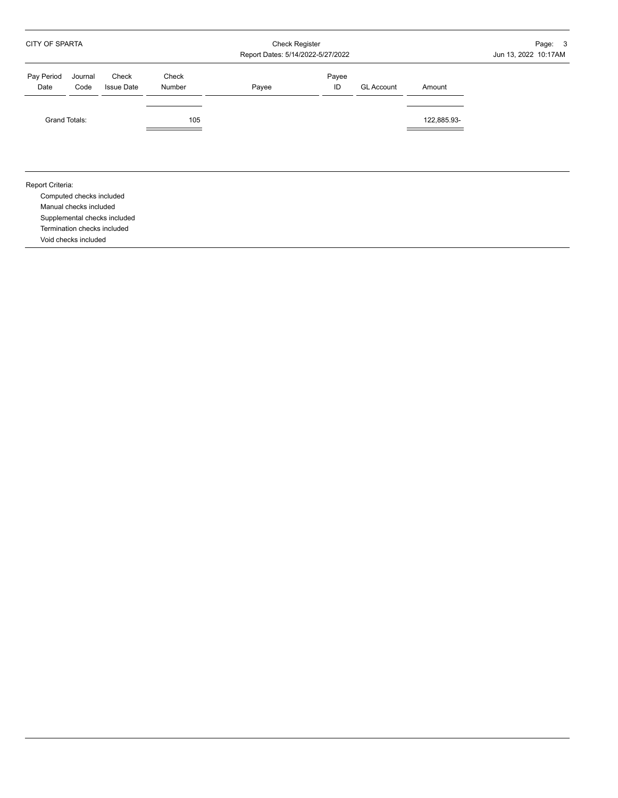| <b>GL Account</b><br>Amount |
|-----------------------------|
| 122,885.93-                 |
|                             |
|                             |
|                             |
|                             |
|                             |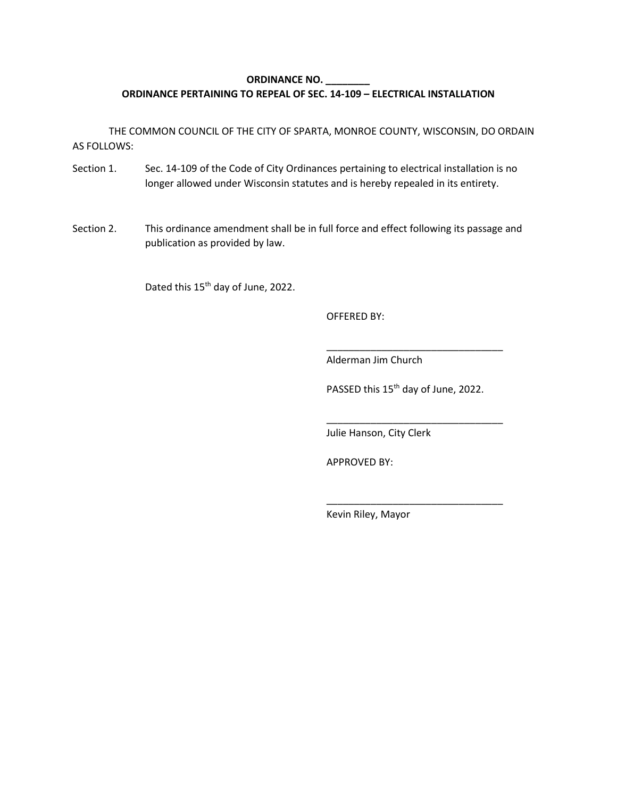#### **ORDINANCE NO. \_\_\_\_\_\_\_\_ ORDINANCE PERTAINING TO REPEAL OF SEC. 14-109 – ELECTRICAL INSTALLATION**

THE COMMON COUNCIL OF THE CITY OF SPARTA, MONROE COUNTY, WISCONSIN, DO ORDAIN AS FOLLOWS:

- Section 1. Sec. 14-109 of the Code of City Ordinances pertaining to electrical installation is no longer allowed under Wisconsin statutes and is hereby repealed in its entirety.
- Section 2. This ordinance amendment shall be in full force and effect following its passage and publication as provided by law.

Dated this 15<sup>th</sup> day of June, 2022.

OFFERED BY:

Alderman Jim Church

PASSED this 15<sup>th</sup> day of June, 2022.

\_\_\_\_\_\_\_\_\_\_\_\_\_\_\_\_\_\_\_\_\_\_\_\_\_\_\_\_\_\_\_\_

\_\_\_\_\_\_\_\_\_\_\_\_\_\_\_\_\_\_\_\_\_\_\_\_\_\_\_\_\_\_\_\_

\_\_\_\_\_\_\_\_\_\_\_\_\_\_\_\_\_\_\_\_\_\_\_\_\_\_\_\_\_\_\_\_

Julie Hanson, City Clerk

APPROVED BY: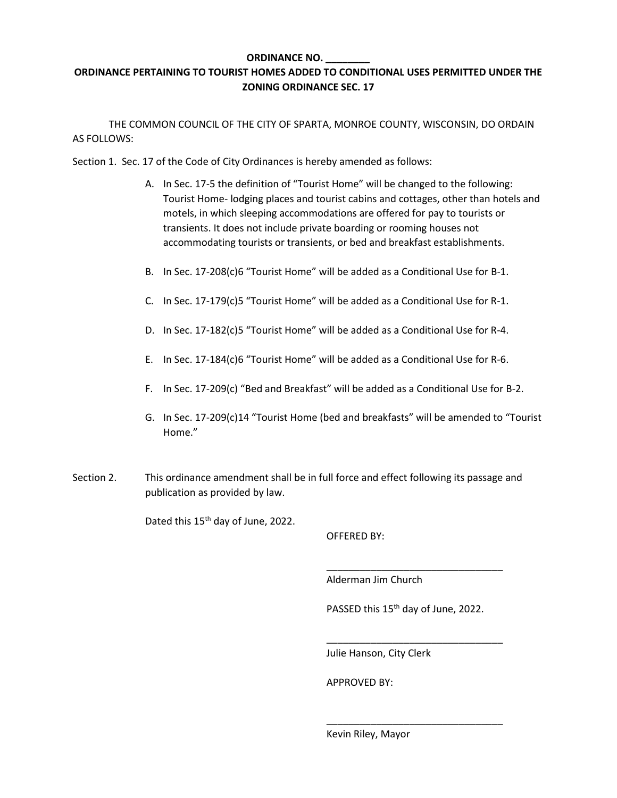#### **ORDINANCE NO. \_\_\_\_\_\_\_\_**

#### **ORDINANCE PERTAINING TO TOURIST HOMES ADDED TO CONDITIONAL USES PERMITTED UNDER THE ZONING ORDINANCE SEC. 17**

THE COMMON COUNCIL OF THE CITY OF SPARTA, MONROE COUNTY, WISCONSIN, DO ORDAIN AS FOLLOWS:

Section 1. Sec. 17 of the Code of City Ordinances is hereby amended as follows:

- A. In Sec. 17-5 the definition of "Tourist Home" will be changed to the following: Tourist Home- lodging places and tourist cabins and cottages, other than hotels and motels, in which sleeping accommodations are offered for pay to tourists or transients. It does not include private boarding or rooming houses not accommodating tourists or transients, or bed and breakfast establishments.
- B. In Sec. 17-208(c)6 "Tourist Home" will be added as a Conditional Use for B-1.
- C. In Sec. 17-179(c)5 "Tourist Home" will be added as a Conditional Use for R-1.
- D. In Sec. 17-182(c)5 "Tourist Home" will be added as a Conditional Use for R-4.
- E. In Sec. 17-184(c)6 "Tourist Home" will be added as a Conditional Use for R-6.
- F. In Sec. 17-209(c) "Bed and Breakfast" will be added as a Conditional Use for B-2.
- G. In Sec. 17-209(c)14 "Tourist Home (bed and breakfasts" will be amended to "Tourist Home."
- Section 2. This ordinance amendment shall be in full force and effect following its passage and publication as provided by law.

Dated this 15<sup>th</sup> day of June, 2022.

OFFERED BY:

Alderman Jim Church

PASSED this 15<sup>th</sup> day of June, 2022.

\_\_\_\_\_\_\_\_\_\_\_\_\_\_\_\_\_\_\_\_\_\_\_\_\_\_\_\_\_\_\_\_

\_\_\_\_\_\_\_\_\_\_\_\_\_\_\_\_\_\_\_\_\_\_\_\_\_\_\_\_\_\_\_\_

\_\_\_\_\_\_\_\_\_\_\_\_\_\_\_\_\_\_\_\_\_\_\_\_\_\_\_\_\_\_\_\_

Julie Hanson, City Clerk

APPROVED BY: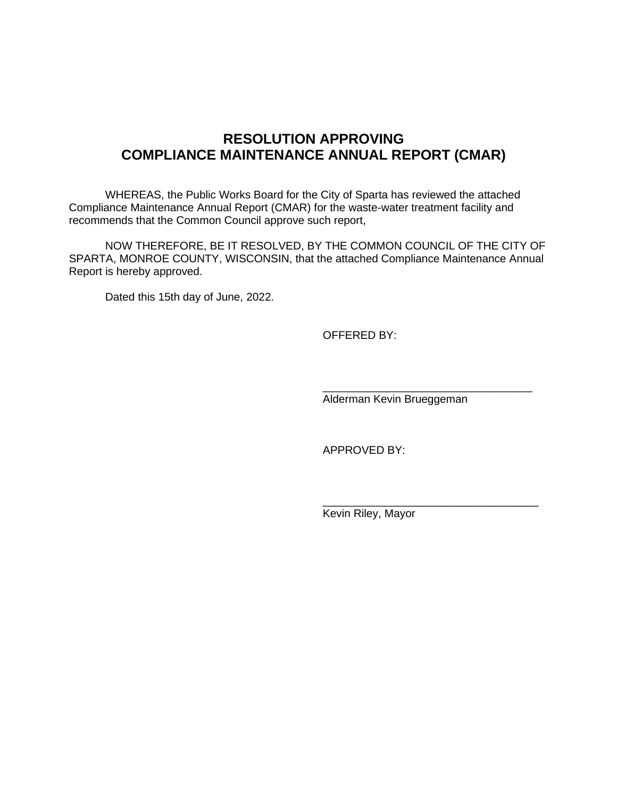## **RESOLUTION APPROVING COMPLIANCE MAINTENANCE ANNUAL REPORT (CMAR)**

WHEREAS, the Public Works Board for the City of Sparta has reviewed the attached Compliance Maintenance Annual Report (CMAR) for the waste-water treatment facility and recommends that the Common Council approve such report,

NOW THEREFORE, BE IT RESOLVED, BY THE COMMON COUNCIL OF THE CITY OF SPARTA, MONROE COUNTY, WISCONSIN, that the attached Compliance Maintenance Annual Report is hereby approved.

Dated this 15th day of June, 2022.

OFFERED BY:

Alderman Kevin Brueggeman

\_\_\_\_\_\_\_\_\_\_\_\_\_\_\_\_\_\_\_\_\_\_\_\_\_\_\_\_\_\_\_\_\_\_

\_\_\_\_\_\_\_\_\_\_\_\_\_\_\_\_\_\_\_\_\_\_\_\_\_\_\_\_\_\_\_\_\_\_\_

APPROVED BY: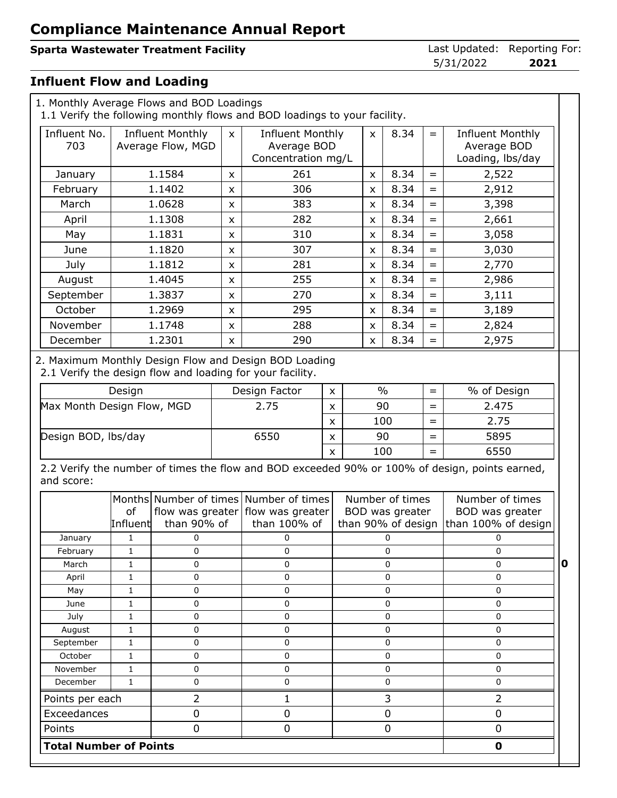## **Sparta Wastewater Treatment Facility Contract Contract Contract Contract Contract Contract Contract Contract Contract Contract Contract Contract Contract Contract Contract Contract Contract Contract Contract Contract Co**

5/31/2022 **2021**

#### **Influent Flow and Loading**

|                            | 1. Monthly Average Flows and BOD Loadings<br>1.1 Verify the following monthly flows and BOD loadings to your facility.                                                                                           |                |      |                                                                                                                                     |                           |             |               |                                                          |             |                                                                                                |   |
|----------------------------|------------------------------------------------------------------------------------------------------------------------------------------------------------------------------------------------------------------|----------------|------|-------------------------------------------------------------------------------------------------------------------------------------|---------------------------|-------------|---------------|----------------------------------------------------------|-------------|------------------------------------------------------------------------------------------------|---|
| Influent No.<br>703        | <b>Influent Monthly</b><br><b>Influent Monthly</b><br>8.34<br><b>Influent Monthly</b><br>$\pmb{\times}$<br>$=$<br>X<br>Average Flow, MGD<br>Average BOD<br>Average BOD<br>Concentration mg/L<br>Loading, lbs/day |                |      |                                                                                                                                     |                           |             |               |                                                          |             |                                                                                                |   |
| January                    |                                                                                                                                                                                                                  | 1.1584         | X    | 261                                                                                                                                 |                           |             | X             | 8.34                                                     | $=$         | 2,522                                                                                          |   |
| February                   |                                                                                                                                                                                                                  | 1.1402         | X    | 306                                                                                                                                 |                           |             | X             | 8.34                                                     | $=$         | 2,912                                                                                          |   |
| March                      |                                                                                                                                                                                                                  | 1.0628         | X    | 383                                                                                                                                 |                           |             | x             | 8.34                                                     | $=$         | 3,398                                                                                          |   |
| April                      |                                                                                                                                                                                                                  | 1.1308         | X    | 282                                                                                                                                 |                           |             | X             | 8.34                                                     | $=$         | 2,661                                                                                          |   |
| May                        |                                                                                                                                                                                                                  | 1.1831         | X    | 310                                                                                                                                 |                           |             | X             | 8.34                                                     | $=$         | 3,058                                                                                          |   |
| June                       |                                                                                                                                                                                                                  | 1.1820         | X    | 307                                                                                                                                 |                           |             | X             | 8.34                                                     | $=$         | 3,030                                                                                          |   |
| July                       |                                                                                                                                                                                                                  | 1.1812         | x    | 281                                                                                                                                 |                           |             | x             | 8.34                                                     | $=$         | 2,770                                                                                          |   |
| August                     |                                                                                                                                                                                                                  | 1.4045         | X    | 255                                                                                                                                 |                           |             | X             | 8.34                                                     | $=$         | 2,986                                                                                          |   |
| September                  |                                                                                                                                                                                                                  | 1.3837         | X    | 270                                                                                                                                 |                           |             | x             | 8.34                                                     | $=$         | 3,111                                                                                          |   |
| October                    |                                                                                                                                                                                                                  | 1.2969         | X    | 295                                                                                                                                 |                           |             | X             | 8.34                                                     | $=$         | 3,189                                                                                          |   |
| November                   |                                                                                                                                                                                                                  | 1.1748         | X    | 288                                                                                                                                 |                           |             | x             | 8.34                                                     | $=$         | 2,824                                                                                          |   |
| December                   |                                                                                                                                                                                                                  | 1.2301         | X    | 290                                                                                                                                 |                           |             | X             | 8.34                                                     | $=$         | 2,975                                                                                          |   |
|                            | Design                                                                                                                                                                                                           |                |      | 2. Maximum Monthly Design Flow and Design BOD Loading<br>2.1 Verify the design flow and loading for your facility.<br>Design Factor | X                         |             | $\frac{0}{0}$ |                                                          | $=$         | % of Design                                                                                    |   |
| Max Month Design Flow, MGD |                                                                                                                                                                                                                  |                |      | 2.75<br>$\boldsymbol{\mathsf{x}}$                                                                                                   |                           | 90<br>$=$   |               |                                                          | 2.475       |                                                                                                |   |
|                            |                                                                                                                                                                                                                  |                |      |                                                                                                                                     | X                         |             | 100<br>$=$    |                                                          |             | 2.75                                                                                           |   |
| Design BOD, lbs/day        |                                                                                                                                                                                                                  |                | 6550 |                                                                                                                                     | X                         |             | 90            |                                                          | $=$         | 5895                                                                                           |   |
|                            |                                                                                                                                                                                                                  |                |      |                                                                                                                                     | $\boldsymbol{\mathsf{x}}$ |             | 100           |                                                          | $=$         | 6550                                                                                           |   |
| and score:                 |                                                                                                                                                                                                                  |                |      |                                                                                                                                     |                           |             |               |                                                          |             | 2.2 Verify the number of times the flow and BOD exceeded 90% or 100% of design, points earned, |   |
|                            | of<br>Influent                                                                                                                                                                                                   | than 90% of    |      | Months Number of times Number of times<br>flow was greater flow was greater<br>than 100% of                                         |                           |             |               | Number of times<br>BOD was greater<br>than 90% of design |             | Number of times<br>BOD was greater<br>than 100% of design                                      |   |
| January                    | 1                                                                                                                                                                                                                | 0              |      | 0                                                                                                                                   |                           |             |               | 0                                                        |             | 0                                                                                              |   |
| February                   | 1                                                                                                                                                                                                                | 0              |      | 0                                                                                                                                   |                           |             |               | 0                                                        |             | 0                                                                                              |   |
| March                      | $\mathbf{1}$                                                                                                                                                                                                     | $\mathbf 0$    |      | $\mathbf 0$                                                                                                                         |                           |             |               | 0                                                        |             | $\mathbf{0}$                                                                                   | 0 |
| April                      | $\mathbf{1}$                                                                                                                                                                                                     | $\mathbf 0$    |      | $\mathbf 0$                                                                                                                         |                           |             |               | 0                                                        |             | $\mathbf 0$                                                                                    |   |
| May                        | $\mathbf{1}$                                                                                                                                                                                                     | $\pmb{0}$      |      | $\pmb{0}$                                                                                                                           |                           |             |               | $\pmb{0}$                                                |             | $\pmb{0}$                                                                                      |   |
| June<br>July               | 1<br>1                                                                                                                                                                                                           | 0<br>0         |      | 0<br>0                                                                                                                              |                           |             |               | $\pmb{0}$<br>0                                           |             | $\mathbf 0$<br>$\mathbf 0$                                                                     |   |
| August                     | $\mathbf{1}$                                                                                                                                                                                                     | $\pmb{0}$      |      | $\mathbf 0$                                                                                                                         |                           |             |               | 0                                                        |             | $\mathsf{O}\xspace$                                                                            |   |
| September                  | $\mathbf{1}$                                                                                                                                                                                                     | 0              |      | $\mathbf 0$                                                                                                                         |                           |             |               | 0                                                        |             | $\mathbf 0$                                                                                    |   |
| October                    | $\mathbf{1}$                                                                                                                                                                                                     | 0              |      | $\mathbf 0$                                                                                                                         |                           |             |               | 0                                                        |             | $\mathbf 0$                                                                                    |   |
| November                   | $\mathbf{1}$                                                                                                                                                                                                     | $\pmb{0}$      |      | $\pmb{0}$                                                                                                                           |                           |             |               | $\pmb{0}$                                                |             | $\mathbf 0$                                                                                    |   |
| December                   | 1                                                                                                                                                                                                                | 0              |      | 0                                                                                                                                   |                           |             |               | $\pmb{0}$                                                |             | $\pmb{0}$                                                                                      |   |
| Points per each            |                                                                                                                                                                                                                  | $\overline{2}$ |      | $\mathbf{1}$                                                                                                                        |                           |             |               | 3                                                        |             | $\overline{2}$                                                                                 |   |
| Exceedances                |                                                                                                                                                                                                                  | $\pmb{0}$      |      | $\pmb{0}$                                                                                                                           |                           |             |               | $\pmb{0}$                                                |             | $\pmb{0}$                                                                                      |   |
| Points                     |                                                                                                                                                                                                                  | $\pmb{0}$      |      | $\mathbf 0$                                                                                                                         |                           | $\mathbf 0$ |               |                                                          | $\mathbf 0$ |                                                                                                |   |

 **Total Number of Points 0**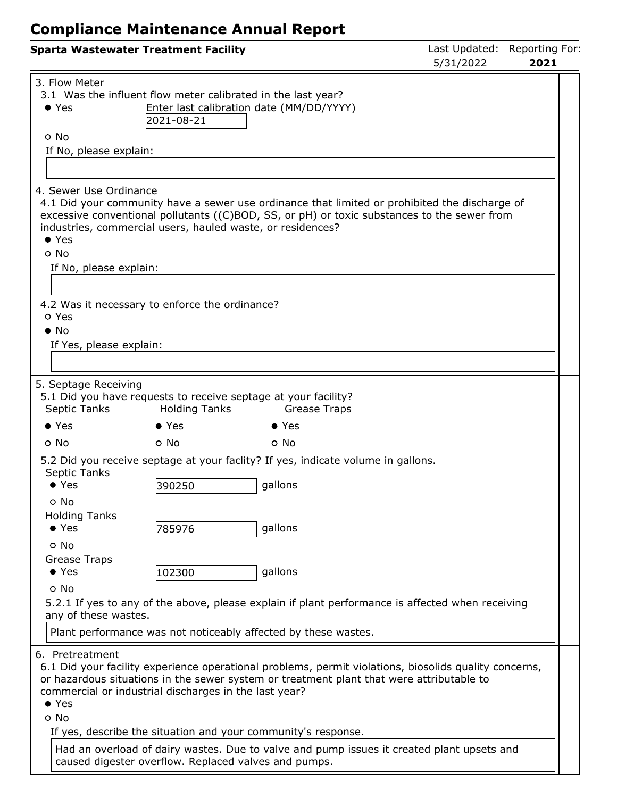|                       |                                                      | <b>Sparta Wastewater Treatment Facility</b>                                |                                                                                                                                                                                                   | 5/31/2022 | Last Updated: Reporting For:<br>2021 |
|-----------------------|------------------------------------------------------|----------------------------------------------------------------------------|---------------------------------------------------------------------------------------------------------------------------------------------------------------------------------------------------|-----------|--------------------------------------|
| $\bullet$ Yes<br>o No | 3. Flow Meter<br>If No, please explain:              | 3.1 Was the influent flow meter calibrated in the last year?<br>2021-08-21 | Enter last calibration date (MM/DD/YYYY)                                                                                                                                                          |           |                                      |
|                       |                                                      |                                                                            |                                                                                                                                                                                                   |           |                                      |
| $\bullet$ Yes<br>o No | 4. Sewer Use Ordinance<br>If No, please explain:     | industries, commercial users, hauled waste, or residences?                 | 4.1 Did your community have a sewer use ordinance that limited or prohibited the discharge of<br>excessive conventional pollutants ((C)BOD, SS, or pH) or toxic substances to the sewer from      |           |                                      |
|                       |                                                      |                                                                            |                                                                                                                                                                                                   |           |                                      |
| o Yes<br>$\bullet$ No | If Yes, please explain:                              | 4.2 Was it necessary to enforce the ordinance?                             |                                                                                                                                                                                                   |           |                                      |
|                       | 5. Septage Receiving                                 |                                                                            |                                                                                                                                                                                                   |           |                                      |
|                       | Septic Tanks                                         | <b>Holding Tanks</b>                                                       | 5.1 Did you have requests to receive septage at your facility?<br>Grease Traps                                                                                                                    |           |                                      |
| $\bullet$ Yes         |                                                      | $\bullet$ Yes                                                              | $\bullet$ Yes                                                                                                                                                                                     |           |                                      |
| o No                  |                                                      | o No                                                                       | o No                                                                                                                                                                                              |           |                                      |
|                       | Septic Tanks<br>$\bullet$ Yes                        | 390250                                                                     | 5.2 Did you receive septage at your faclity? If yes, indicate volume in gallons.<br>gallons                                                                                                       |           |                                      |
|                       | o No<br><b>Holding Tanks</b><br>$\bullet$ Yes        | 785976                                                                     | gallons                                                                                                                                                                                           |           |                                      |
|                       | o No<br><b>Grease Traps</b><br>$\bullet$ Yes<br>o No | 102300                                                                     | gallons                                                                                                                                                                                           |           |                                      |
|                       | any of these wastes.                                 |                                                                            | 5.2.1 If yes to any of the above, please explain if plant performance is affected when receiving                                                                                                  |           |                                      |
|                       |                                                      |                                                                            | Plant performance was not noticeably affected by these wastes.                                                                                                                                    |           |                                      |
| $\bullet$ Yes<br>o No | 6. Pretreatment                                      | commercial or industrial discharges in the last year?                      | 6.1 Did your facility experience operational problems, permit violations, biosolids quality concerns,<br>or hazardous situations in the sewer system or treatment plant that were attributable to |           |                                      |
|                       |                                                      | caused digester overflow. Replaced valves and pumps.                       | If yes, describe the situation and your community's response.<br>Had an overload of dairy wastes. Due to valve and pump issues it created plant upsets and                                        |           |                                      |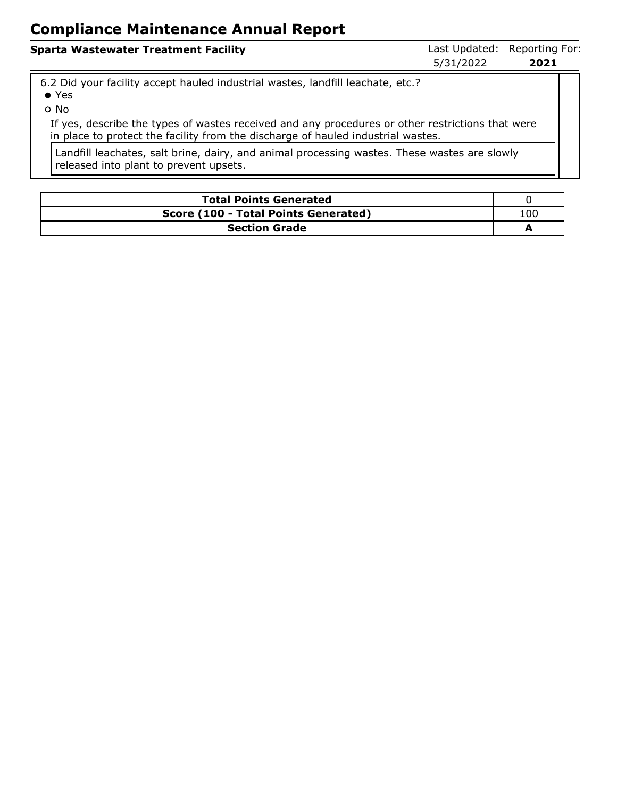| <b>Sparta Wastewater Treatment Facility</b>                                        | 5/31/2022 | Last Updated: Reporting For:<br>2021 |
|------------------------------------------------------------------------------------|-----------|--------------------------------------|
| $\,$ 6.2 Did vour facility accent hauled industrial wastes Jandfill leachate etc.2 |           |                                      |

6.2 Did your facility accept hauled industrial wastes, landfill leachate, etc.?

- Yes
- No

If yes, describe the types of wastes received and any procedures or other restrictions that were in place to protect the facility from the discharge of hauled industrial wastes.

Landfill leachates, salt brine, dairy, and animal processing wastes. These wastes are slowly released into plant to prevent upsets.

| <b>Total Points Generated</b>        |     |  |  |  |
|--------------------------------------|-----|--|--|--|
| Score (100 - Total Points Generated) | 100 |  |  |  |
| <b>Section Grade</b>                 |     |  |  |  |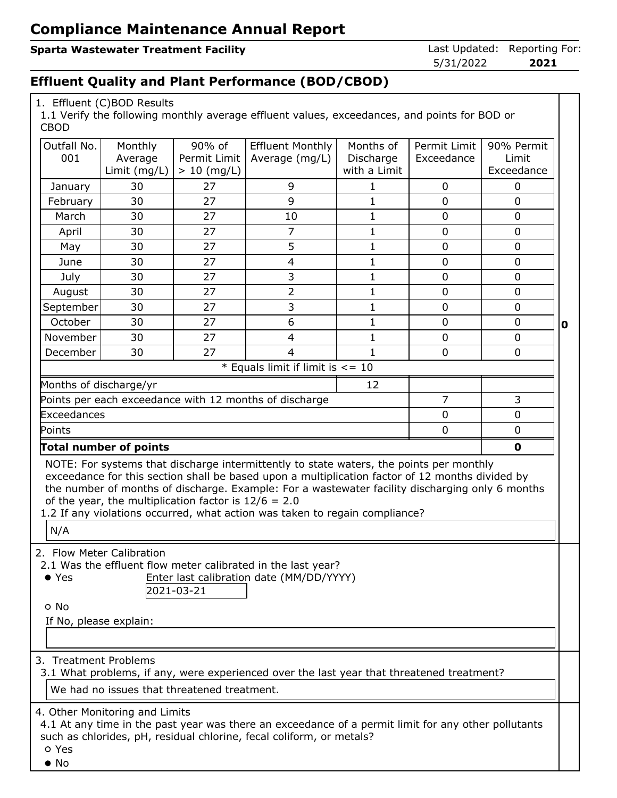### **Sparta Wastewater Treatment Facility Constrained: Reporting Forms** Last Updated: Reporting For:

5/31/2022 **2021**

### **Effluent Quality and Plant Performance (BOD/CBOD)**

| 1. Effluent (C)BOD Results |  |
|----------------------------|--|
|                            |  |

1.1 Verify the following monthly average effluent values, exceedances, and points for BOD or CBOD

| Outfall No.<br>001     | Monthly<br>Average                                                                                                 | 90% of<br>Permit Limit | <b>Effluent Monthly</b><br>Average (mg/L)                                                           | Months of<br>Discharge | Permit Limit<br>Exceedance | 90% Permit<br>Limit |   |
|------------------------|--------------------------------------------------------------------------------------------------------------------|------------------------|-----------------------------------------------------------------------------------------------------|------------------------|----------------------------|---------------------|---|
|                        | Limit (mg/L)                                                                                                       | $> 10$ (mg/L)          |                                                                                                     | with a Limit           |                            | Exceedance          |   |
| January                | 30                                                                                                                 | 27                     | 9                                                                                                   | $\mathbf{1}$           | $\mathbf 0$                | $\mathbf 0$         |   |
| February               | 30                                                                                                                 | 27                     | 9                                                                                                   | $\mathbf{1}$           | $\overline{0}$             | $\overline{0}$      |   |
| March                  | 30                                                                                                                 | 27                     | 10                                                                                                  | $\mathbf 1$            | $\mathbf 0$                | $\mathbf 0$         |   |
| April                  | 30                                                                                                                 | 27                     | 7                                                                                                   | $\mathbf{1}$           | 0                          | 0                   |   |
| May                    | 30                                                                                                                 | 27                     | 5                                                                                                   | $\mathbf{1}$           | $\mathbf 0$                | $\mathbf 0$         |   |
| June                   | 30                                                                                                                 | 27                     | $\overline{\mathbf{4}}$                                                                             | $\mathbf{1}$           | $\overline{0}$             | $\overline{0}$      |   |
| July                   | 30                                                                                                                 | 27                     | 3                                                                                                   | $\mathbf 1$            | $\mathbf 0$                | $\mathbf 0$         |   |
| August                 | 30                                                                                                                 | 27                     | 2                                                                                                   | $\mathbf{1}$           | $\mathbf 0$                | 0                   |   |
| September              | 30                                                                                                                 | 27                     | 3                                                                                                   | $\mathbf{1}$           | $\mathbf 0$                | $\mathbf 0$         |   |
| October                | 30                                                                                                                 | 27                     | 6                                                                                                   | $\mathbf{1}$           | $\overline{0}$             | 0                   | 0 |
| November               | 30                                                                                                                 | 27                     | $\overline{\mathbf{4}}$                                                                             | $\mathbf{1}$           | $\mathbf 0$                | $\mathbf 0$         |   |
| December               | 30                                                                                                                 | 27                     | $\overline{4}$                                                                                      | 1                      | 0                          | 0                   |   |
|                        |                                                                                                                    |                        | * Equals limit if limit is $\leq$ = 10                                                              |                        |                            |                     |   |
| Months of discharge/yr |                                                                                                                    |                        |                                                                                                     | 12                     |                            |                     |   |
|                        | $\overline{7}$<br>Points per each exceedance with 12 months of discharge<br>3                                      |                        |                                                                                                     |                        |                            |                     |   |
|                        | Exceedances<br>0<br>0                                                                                              |                        |                                                                                                     |                        |                            |                     |   |
| Points                 |                                                                                                                    |                        |                                                                                                     |                        | $\mathbf 0$                | $\mathbf 0$         |   |
|                        | <b>Total number of points</b>                                                                                      |                        |                                                                                                     |                        |                            | $\mathbf 0$         |   |
|                        |                                                                                                                    |                        | NOTE: For systems that discharge intermittently to state waters, the points per monthly             |                        |                            |                     |   |
|                        |                                                                                                                    |                        | exceedance for this section shall be based upon a multiplication factor of 12 months divided by     |                        |                            |                     |   |
|                        |                                                                                                                    |                        | the number of months of discharge. Example: For a wastewater facility discharging only 6 months     |                        |                            |                     |   |
|                        | of the year, the multiplication factor is $12/6 = 2.0$                                                             |                        | 1.2 If any violations occurred, what action was taken to regain compliance?                         |                        |                            |                     |   |
|                        |                                                                                                                    |                        |                                                                                                     |                        |                            |                     |   |
| N/A                    |                                                                                                                    |                        |                                                                                                     |                        |                            |                     |   |
|                        | 2. Flow Meter Calibration                                                                                          |                        |                                                                                                     |                        |                            |                     |   |
|                        |                                                                                                                    |                        | 2.1 Was the effluent flow meter calibrated in the last year?                                        |                        |                            |                     |   |
| $\bullet$ Yes          |                                                                                                                    |                        | Enter last calibration date (MM/DD/YYYY)                                                            |                        |                            |                     |   |
|                        |                                                                                                                    | 2021-03-21             |                                                                                                     |                        |                            |                     |   |
| o No                   |                                                                                                                    |                        |                                                                                                     |                        |                            |                     |   |
| If No, please explain: |                                                                                                                    |                        |                                                                                                     |                        |                            |                     |   |
|                        |                                                                                                                    |                        |                                                                                                     |                        |                            |                     |   |
|                        | 3. Treatment Problems<br>3.1 What problems, if any, were experienced over the last year that threatened treatment? |                        |                                                                                                     |                        |                            |                     |   |
|                        | We had no issues that threatened treatment.                                                                        |                        |                                                                                                     |                        |                            |                     |   |
|                        | 4. Other Monitoring and Limits                                                                                     |                        |                                                                                                     |                        |                            |                     |   |
|                        |                                                                                                                    |                        | 4.1 At any time in the past year was there an exceedance of a permit limit for any other pollutants |                        |                            |                     |   |
| o Yes                  | such as chlorides, pH, residual chlorine, fecal coliform, or metals?                                               |                        |                                                                                                     |                        |                            |                     |   |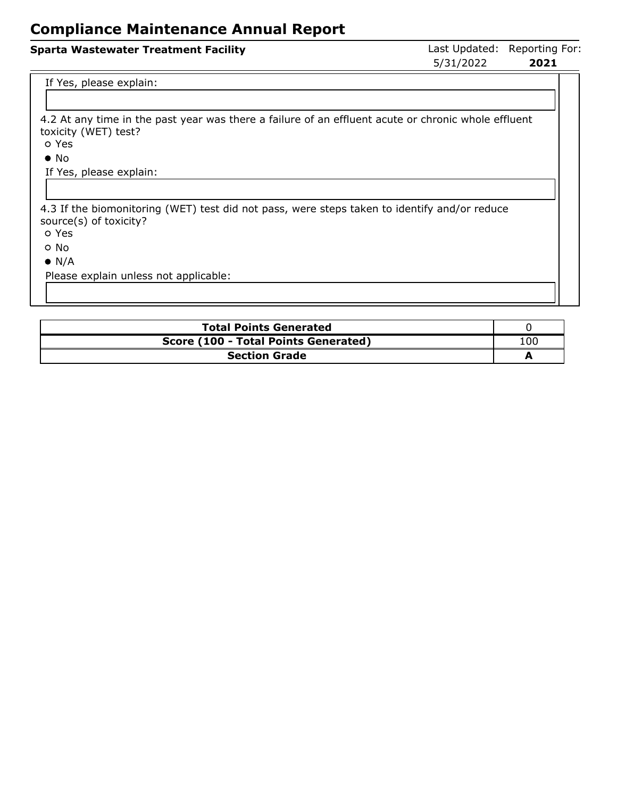# **Sparta Wastewater Treatment Facility Constrained: Reporting Forms** Last Updated: Reporting For: 5/31/2022 **2021**

If Yes, please explain:

4.2 At any time in the past year was there a failure of an effluent acute or chronic whole effluent toxicity (WET) test?

Yes

• No

If Yes, please explain:

4.3 If the biomonitoring (WET) test did not pass, were steps taken to identify and/or reduce source(s) of toxicity?

Yes

No

 $\bullet$  N/A

Please explain unless not applicable:

| <b>Total Points Generated</b>        |     |  |  |  |
|--------------------------------------|-----|--|--|--|
| Score (100 - Total Points Generated) | LOO |  |  |  |
| <b>Section Grade</b>                 |     |  |  |  |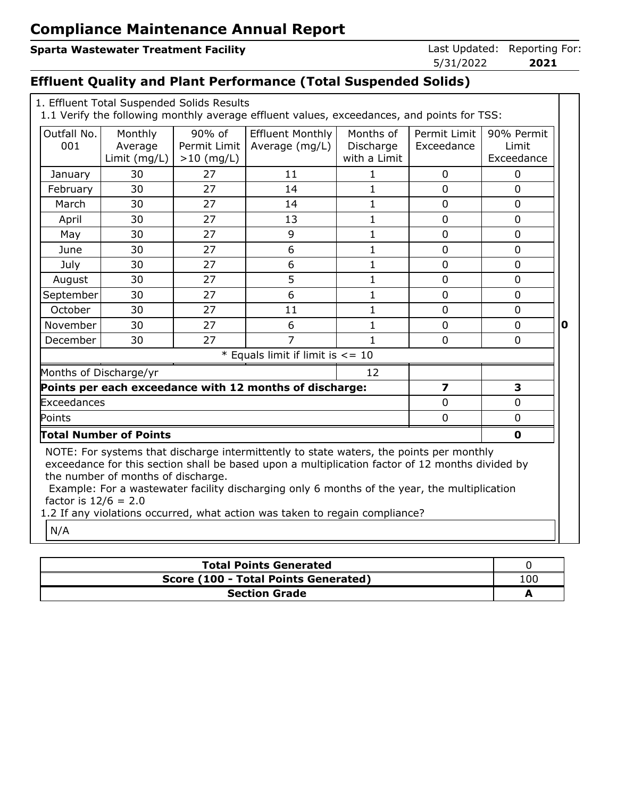## **Sparta Wastewater Treatment Facility Constrained: Reporting Forms** Last Updated: Reporting For:

| Last Updated: | Reporting Fo |  |
|---------------|--------------|--|
| 5/31/2022     | 2021         |  |

# **Effluent Quality and Plant Performance (Total Suspended Solids)**

| 1. Effluent Total Suspended Solids Results<br>1.1 Verify the following monthly average effluent values, exceedances, and points for TSS:                                                                                                                                                                                                                                                                                                         |                                    |                                        |                                                         |                                        |                            |                                   |   |
|--------------------------------------------------------------------------------------------------------------------------------------------------------------------------------------------------------------------------------------------------------------------------------------------------------------------------------------------------------------------------------------------------------------------------------------------------|------------------------------------|----------------------------------------|---------------------------------------------------------|----------------------------------------|----------------------------|-----------------------------------|---|
| Outfall No.<br>001                                                                                                                                                                                                                                                                                                                                                                                                                               | Monthly<br>Average<br>Limit (mg/L) | 90% of<br>Permit Limit<br>$>10$ (mg/L) | <b>Effluent Monthly</b><br>Average (mg/L)               | Months of<br>Discharge<br>with a Limit | Permit Limit<br>Exceedance | 90% Permit<br>Limit<br>Exceedance |   |
| January                                                                                                                                                                                                                                                                                                                                                                                                                                          | 30                                 | 27                                     | 11                                                      | 1                                      | 0                          | 0                                 |   |
| February                                                                                                                                                                                                                                                                                                                                                                                                                                         | 30                                 | 27                                     | 14                                                      | $\mathbf{1}$                           | $\overline{0}$             | $\overline{0}$                    |   |
| March                                                                                                                                                                                                                                                                                                                                                                                                                                            | 30                                 | 27                                     | 14                                                      | 1                                      | $\mathbf{0}$               | $\Omega$                          |   |
| April                                                                                                                                                                                                                                                                                                                                                                                                                                            | 30                                 | 27                                     | 13                                                      | $\mathbf{1}$                           | $\overline{0}$             | $\overline{0}$                    |   |
| May                                                                                                                                                                                                                                                                                                                                                                                                                                              | 30                                 | 27                                     | 9                                                       | 1                                      | $\overline{0}$             | $\mathbf 0$                       |   |
| June                                                                                                                                                                                                                                                                                                                                                                                                                                             | 30                                 | 27                                     | 6                                                       | $\mathbf{1}$                           | $\mathbf 0$                | 0                                 |   |
| July                                                                                                                                                                                                                                                                                                                                                                                                                                             | 30                                 | 27                                     | 6                                                       | 1                                      | $\overline{0}$             | 0                                 |   |
| August                                                                                                                                                                                                                                                                                                                                                                                                                                           | 30                                 | 27                                     | 5                                                       | $\mathbf{1}$                           | $\overline{0}$             | $\overline{0}$                    |   |
| September                                                                                                                                                                                                                                                                                                                                                                                                                                        | 30                                 | 27                                     | 6                                                       | $\mathbf 1$                            | $\mathbf{0}$               | $\overline{0}$                    |   |
| October                                                                                                                                                                                                                                                                                                                                                                                                                                          | 30                                 | 27                                     | 11                                                      | 1                                      | $\overline{0}$             | 0                                 |   |
| November                                                                                                                                                                                                                                                                                                                                                                                                                                         | 30                                 | 27                                     | 6                                                       | 1                                      | $\overline{0}$             | $\Omega$                          | 0 |
| December                                                                                                                                                                                                                                                                                                                                                                                                                                         | 30                                 | 27                                     | $\overline{7}$                                          | $\mathbf{1}$                           | $\overline{0}$             | $\overline{0}$                    |   |
|                                                                                                                                                                                                                                                                                                                                                                                                                                                  |                                    |                                        | * Equals limit if limit is $\leq$ = 10                  |                                        |                            |                                   |   |
| Months of Discharge/yr                                                                                                                                                                                                                                                                                                                                                                                                                           |                                    |                                        |                                                         | 12                                     |                            |                                   |   |
|                                                                                                                                                                                                                                                                                                                                                                                                                                                  |                                    |                                        | Points per each exceedance with 12 months of discharge: |                                        | $\overline{\mathbf{z}}$    | 3                                 |   |
| Exceedances                                                                                                                                                                                                                                                                                                                                                                                                                                      |                                    |                                        |                                                         |                                        | 0                          | 0                                 |   |
| Points                                                                                                                                                                                                                                                                                                                                                                                                                                           |                                    |                                        |                                                         |                                        | $\overline{0}$             | 0                                 |   |
|                                                                                                                                                                                                                                                                                                                                                                                                                                                  | <b>Total Number of Points</b>      |                                        |                                                         |                                        |                            | $\mathbf 0$                       |   |
| NOTE: For systems that discharge intermittently to state waters, the points per monthly<br>exceedance for this section shall be based upon a multiplication factor of 12 months divided by<br>the number of months of discharge.<br>Example: For a wastewater facility discharging only 6 months of the year, the multiplication<br>factor is $12/6 = 2.0$<br>1.2 If any violations occurred, what action was taken to regain compliance?<br>N/A |                                    |                                        |                                                         |                                        |                            |                                   |   |

| <b>Total Points Generated</b>        |     |  |  |  |
|--------------------------------------|-----|--|--|--|
| Score (100 - Total Points Generated) | 100 |  |  |  |
| <b>Section Grade</b>                 |     |  |  |  |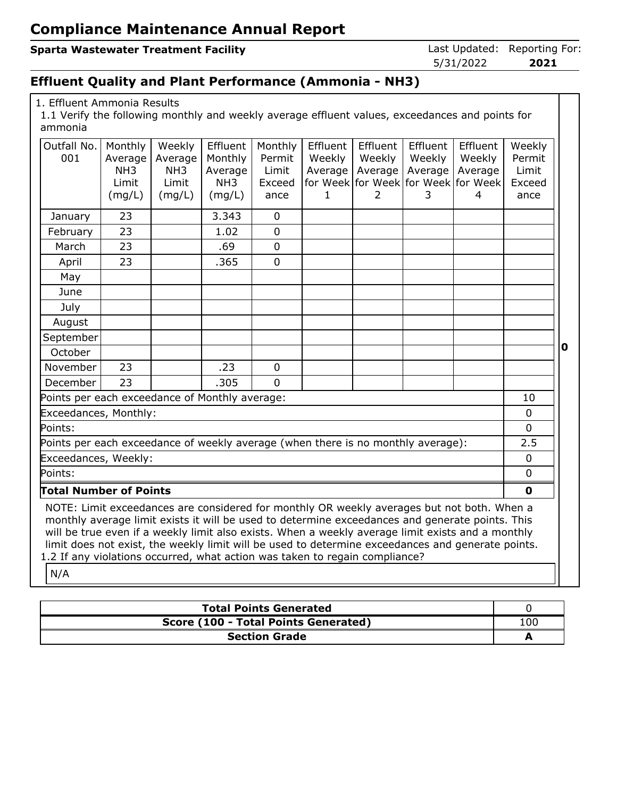#### **Sparta Wastewater Treatment Facility Constrained: Reporting Forms** Last Updated: Reporting For:

5/31/2022 **2021**

## **Effluent Quality and Plant Performance (Ammonia - NH3)**

1. Effluent Ammonia Results

1.1 Verify the following monthly and weekly average effluent values, exceedances and points for ammonia

| Outfall No.                                                                                                                                                                                                                                                                                                                                                                                                                                                                                   | Monthly                           | Weekly          | Effluent                   | Monthly        | Effluent | <b>Effluent</b> | Effluent     | Effluent                                 | Weekly         |
|-----------------------------------------------------------------------------------------------------------------------------------------------------------------------------------------------------------------------------------------------------------------------------------------------------------------------------------------------------------------------------------------------------------------------------------------------------------------------------------------------|-----------------------------------|-----------------|----------------------------|----------------|----------|-----------------|--------------|------------------------------------------|----------------|
| 001                                                                                                                                                                                                                                                                                                                                                                                                                                                                                           | Average                           | Average         | Monthly                    | Permit         | Weekly   | Weekly          | Weekly       | Weekly                                   | Permit         |
|                                                                                                                                                                                                                                                                                                                                                                                                                                                                                               | NH <sub>3</sub>                   | NH <sub>3</sub> | Average<br>NH <sub>3</sub> | Limit          | Average  | Average         | Average      | Average                                  | Limit          |
|                                                                                                                                                                                                                                                                                                                                                                                                                                                                                               | Limit<br>(mg/L)                   | Limit<br>(mg/L) | (mg/L)                     | Exceed<br>ance | 1        | $\overline{2}$  | 3            | for Week for Week for Week for Week<br>4 | Exceed<br>ance |
|                                                                                                                                                                                                                                                                                                                                                                                                                                                                                               |                                   |                 |                            |                |          |                 |              |                                          |                |
| January                                                                                                                                                                                                                                                                                                                                                                                                                                                                                       | 23                                |                 | 3.343                      | $\mathbf 0$    |          |                 |              |                                          |                |
| February                                                                                                                                                                                                                                                                                                                                                                                                                                                                                      | 23                                |                 | 1.02                       | $\mathbf 0$    |          |                 |              |                                          |                |
| March                                                                                                                                                                                                                                                                                                                                                                                                                                                                                         | 23                                |                 | .69                        | $\mathbf 0$    |          |                 |              |                                          |                |
| April                                                                                                                                                                                                                                                                                                                                                                                                                                                                                         | 23                                |                 | .365                       | $\Omega$       |          |                 |              |                                          |                |
| May                                                                                                                                                                                                                                                                                                                                                                                                                                                                                           |                                   |                 |                            |                |          |                 |              |                                          |                |
| June                                                                                                                                                                                                                                                                                                                                                                                                                                                                                          |                                   |                 |                            |                |          |                 |              |                                          |                |
| July                                                                                                                                                                                                                                                                                                                                                                                                                                                                                          |                                   |                 |                            |                |          |                 |              |                                          |                |
| August                                                                                                                                                                                                                                                                                                                                                                                                                                                                                        |                                   |                 |                            |                |          |                 |              |                                          |                |
| September                                                                                                                                                                                                                                                                                                                                                                                                                                                                                     |                                   |                 |                            |                |          |                 |              |                                          |                |
| October                                                                                                                                                                                                                                                                                                                                                                                                                                                                                       |                                   |                 |                            |                |          |                 |              |                                          |                |
| November                                                                                                                                                                                                                                                                                                                                                                                                                                                                                      | 23                                |                 | .23                        | $\mathbf 0$    |          |                 |              |                                          |                |
| December                                                                                                                                                                                                                                                                                                                                                                                                                                                                                      | 23                                |                 | .305                       | $\Omega$       |          |                 |              |                                          |                |
| Points per each exceedance of Monthly average:<br>10                                                                                                                                                                                                                                                                                                                                                                                                                                          |                                   |                 |                            |                |          |                 |              |                                          |                |
|                                                                                                                                                                                                                                                                                                                                                                                                                                                                                               | Exceedances, Monthly:<br>$\Omega$ |                 |                            |                |          |                 |              |                                          |                |
| Points:                                                                                                                                                                                                                                                                                                                                                                                                                                                                                       |                                   |                 |                            |                |          |                 |              |                                          | $\overline{0}$ |
| Points per each exceedance of weekly average (when there is no monthly average):                                                                                                                                                                                                                                                                                                                                                                                                              |                                   |                 |                            |                |          |                 |              |                                          | 2.5            |
| Exceedances, Weekly:                                                                                                                                                                                                                                                                                                                                                                                                                                                                          |                                   |                 |                            |                |          |                 |              |                                          | $\Omega$       |
| Points:                                                                                                                                                                                                                                                                                                                                                                                                                                                                                       |                                   |                 |                            |                |          |                 |              |                                          | $\mathbf 0$    |
| <b>Total Number of Points</b>                                                                                                                                                                                                                                                                                                                                                                                                                                                                 |                                   |                 |                            |                |          |                 | $\mathbf{0}$ |                                          |                |
| NOTE: Limit exceedances are considered for monthly OR weekly averages but not both. When a<br>monthly average limit exists it will be used to determine exceedances and generate points. This<br>will be true even if a weekly limit also exists. When a weekly average limit exists and a monthly<br>limit does not exist, the weekly limit will be used to determine exceedances and generate points.<br>1.2 If any violations occurred, what action was taken to regain compliance?<br>N/A |                                   |                 |                            |                |          |                 |              |                                          |                |

**Total Points Generated** 0 **Score (100 - Total Points Generated)** 100 **Section Grade A**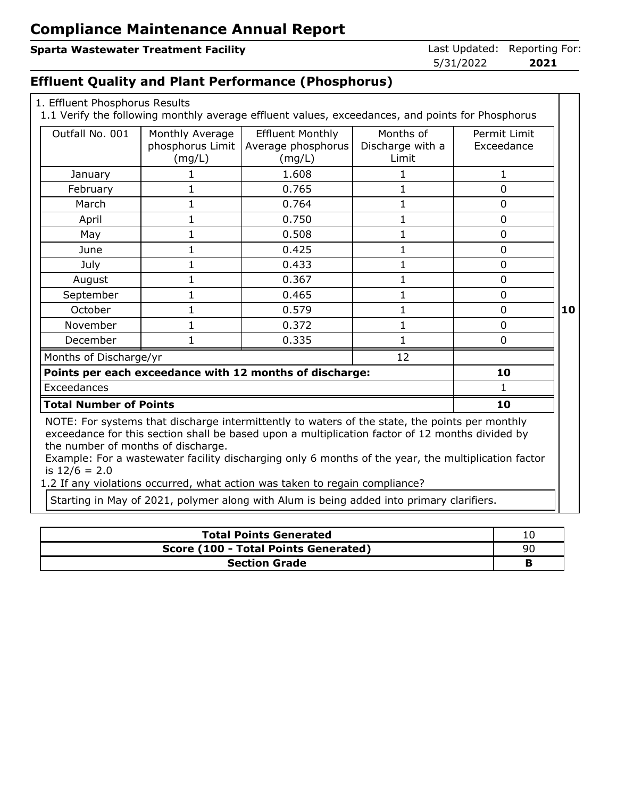#### **Sparta Wastewater Treatment Facility**

| Last Updated: Reporting For |      |
|-----------------------------|------|
| 5/31/2022                   | 2021 |

### **Effluent Quality and Plant Performance (Phosphorus)**

| 1. Effluent Phosphorus Results |  |
|--------------------------------|--|
|                                |  |

1.1 Verify the following monthly average effluent values, exceedances, and points for Phosphorus

| Outfall No. 001                                       | Monthly Average<br>phosphorus Limit<br>(mg/L) | <b>Effluent Monthly</b><br>Average phosphorus<br>(mg/L)                                                                                                                                                                                                                                                                                                                                 | Months of<br>Discharge with a<br>Limit | Permit Limit<br>Exceedance |    |  |
|-------------------------------------------------------|-----------------------------------------------|-----------------------------------------------------------------------------------------------------------------------------------------------------------------------------------------------------------------------------------------------------------------------------------------------------------------------------------------------------------------------------------------|----------------------------------------|----------------------------|----|--|
| January                                               |                                               | 1.608                                                                                                                                                                                                                                                                                                                                                                                   |                                        | $\mathbf{1}$               |    |  |
| February                                              | 1                                             | 0.765                                                                                                                                                                                                                                                                                                                                                                                   | 1                                      | $\overline{0}$             |    |  |
| March                                                 | 1                                             | 0.764                                                                                                                                                                                                                                                                                                                                                                                   | 1                                      | $\Omega$                   |    |  |
| April                                                 | 1                                             | 0.750                                                                                                                                                                                                                                                                                                                                                                                   | 1                                      | $\overline{0}$             |    |  |
| May                                                   | 1                                             | 0.508                                                                                                                                                                                                                                                                                                                                                                                   |                                        | $\Omega$                   |    |  |
| June                                                  | 1                                             | 0.425                                                                                                                                                                                                                                                                                                                                                                                   | 1                                      | 0                          |    |  |
| July                                                  | 1                                             | 0.433                                                                                                                                                                                                                                                                                                                                                                                   | 1                                      | 0                          |    |  |
| August                                                | 1                                             | 0.367                                                                                                                                                                                                                                                                                                                                                                                   | 1                                      | $\Omega$                   |    |  |
| September                                             | 1                                             | 0.465                                                                                                                                                                                                                                                                                                                                                                                   | 1                                      | $\Omega$                   |    |  |
| October                                               |                                               | 0.579                                                                                                                                                                                                                                                                                                                                                                                   | 1                                      | $\Omega$                   | 10 |  |
| November                                              | 1                                             | 0.372                                                                                                                                                                                                                                                                                                                                                                                   | 1                                      | 0                          |    |  |
| December                                              |                                               | 0.335                                                                                                                                                                                                                                                                                                                                                                                   |                                        | 0                          |    |  |
| Months of Discharge/yr                                |                                               |                                                                                                                                                                                                                                                                                                                                                                                         | 12                                     |                            |    |  |
|                                                       |                                               | Points per each exceedance with 12 months of discharge:                                                                                                                                                                                                                                                                                                                                 |                                        | 10                         |    |  |
| Exceedances                                           |                                               |                                                                                                                                                                                                                                                                                                                                                                                         |                                        |                            |    |  |
| <b>Total Number of Points</b><br>10                   |                                               |                                                                                                                                                                                                                                                                                                                                                                                         |                                        |                            |    |  |
| the number of months of discharge.<br>is $12/6 = 2.0$ |                                               | NOTE: For systems that discharge intermittently to waters of the state, the points per monthly<br>exceedance for this section shall be based upon a multiplication factor of 12 months divided by<br>Example: For a wastewater facility discharging only 6 months of the year, the multiplication factor<br>1.2 If any violations occurred, what action was taken to regain compliance? |                                        |                            |    |  |

1.2 If any violations occurred, what action was taken to regain compliance?

Starting in May of 2021, polymer along with Alum is being added into primary clarifiers.

| <b>Total Points Generated</b>        |     |  |  |  |
|--------------------------------------|-----|--|--|--|
| Score (100 - Total Points Generated) | -96 |  |  |  |
| <b>Section Grade</b>                 |     |  |  |  |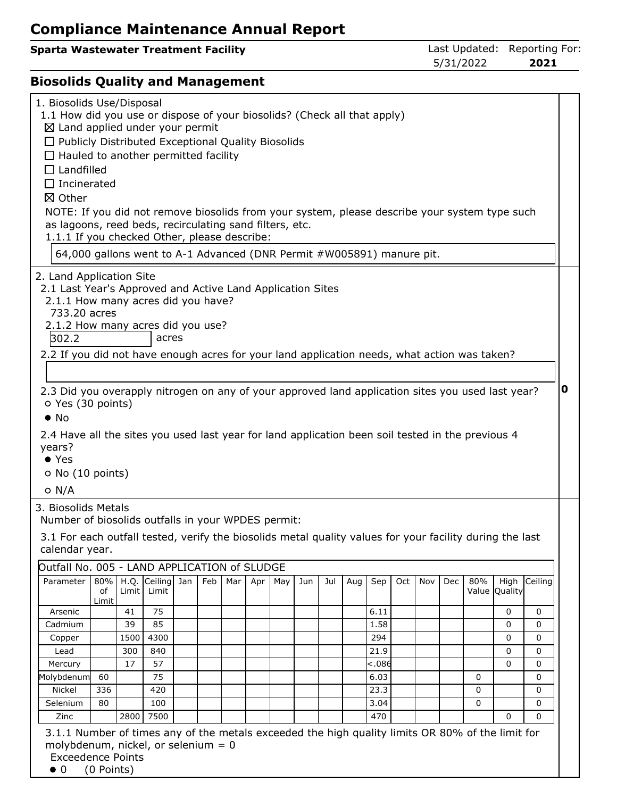|                                      | 5/31/2022 | 2021                         |
|--------------------------------------|-----------|------------------------------|
| Sparta Wastewater Treatment Facility |           | Last Updated: Reporting For: |

# **Biosolids Quality and Management**

| 1. Biosolids Use/Disposal<br>1.1 How did you use or dispose of your biosolids? (Check all that apply)<br>$\boxtimes$ Land applied under your permit<br>$\Box$ Publicly Distributed Exceptional Quality Biosolids<br>$\Box$ Hauled to another permitted facility<br>$\Box$ Landfilled<br>$\Box$ Incinerated<br>冈 Other<br>NOTE: If you did not remove biosolids from your system, please describe your system type such<br>as lagoons, reed beds, recirculating sand filters, etc.<br>1.1.1 If you checked Other, please describe:<br>64,000 gallons went to A-1 Advanced (DNR Permit #W005891) manure pit. |       |       |                                 |     |     |     |     |     |     |     |         |     |     |     |     |                       |              |   |
|------------------------------------------------------------------------------------------------------------------------------------------------------------------------------------------------------------------------------------------------------------------------------------------------------------------------------------------------------------------------------------------------------------------------------------------------------------------------------------------------------------------------------------------------------------------------------------------------------------|-------|-------|---------------------------------|-----|-----|-----|-----|-----|-----|-----|---------|-----|-----|-----|-----|-----------------------|--------------|---|
| 2. Land Application Site<br>2.1 Last Year's Approved and Active Land Application Sites<br>2.1.1 How many acres did you have?<br>733,20 acres<br>2.1.2 How many acres did you use?<br>302.2<br>2.2 If you did not have enough acres for your land application needs, what action was taken?<br>2.3 Did you overapply nitrogen on any of your approved land application sites you used last year?<br>O Yes (30 points)<br>$\bullet$ No<br>2.4 Have all the sites you used last year for land application been soil tested in the previous 4<br>years?<br>$\bullet$ Yes<br>$\circ$ No (10 points)<br>$O$ N/A  |       |       | acres                           |     |     |     |     |     |     |     |         |     |     |     |     |                       |              | 0 |
| 3. Biosolids Metals<br>Number of biosolids outfalls in your WPDES permit:<br>3.1 For each outfall tested, verify the biosolids metal quality values for your facility during the last<br>calendar year.<br>Outfall No. 005 - LAND APPLICATION of SLUDGE                                                                                                                                                                                                                                                                                                                                                    |       |       |                                 |     |     |     |     |     |     |     |         |     |     |     |     |                       |              |   |
| Parameter                                                                                                                                                                                                                                                                                                                                                                                                                                                                                                                                                                                                  | of    | Limit | 80%   H.Q. Ceiling Jan<br>Limit | Feb | Mar | Apr | May | Jun | Jul | Aug | Sep     | Oct | Nov | Dec | 80% | High<br>Value Quality | Ceiling      |   |
|                                                                                                                                                                                                                                                                                                                                                                                                                                                                                                                                                                                                            | Limit |       |                                 |     |     |     |     |     |     |     |         |     |     |     |     |                       |              |   |
| Arsenic                                                                                                                                                                                                                                                                                                                                                                                                                                                                                                                                                                                                    |       | 41    | 75                              |     |     |     |     |     |     |     | 6.11    |     |     |     |     | 0                     | $\mathbf 0$  |   |
| Cadmium                                                                                                                                                                                                                                                                                                                                                                                                                                                                                                                                                                                                    |       | 39    | 85                              |     |     |     |     |     |     |     | 1.58    |     |     |     |     | 0                     | $\Omega$     |   |
| Copper                                                                                                                                                                                                                                                                                                                                                                                                                                                                                                                                                                                                     |       | 1500  | 4300                            |     |     |     |     |     |     |     | 294     |     |     |     |     | 0                     | $\mathbf{0}$ |   |
| Lead                                                                                                                                                                                                                                                                                                                                                                                                                                                                                                                                                                                                       |       | 300   | 840                             |     |     |     |     |     |     |     | 21.9    |     |     |     |     | 0                     | 0            |   |
| Mercury                                                                                                                                                                                                                                                                                                                                                                                                                                                                                                                                                                                                    |       | 17    | 57                              |     |     |     |     |     |     |     | $-.086$ |     |     |     |     | 0                     | $\Omega$     |   |
| Molybdenum                                                                                                                                                                                                                                                                                                                                                                                                                                                                                                                                                                                                 | 60    |       | 75                              |     |     |     |     |     |     |     | 6.03    |     |     |     | 0   |                       | $\mathbf{0}$ |   |
| Nickel                                                                                                                                                                                                                                                                                                                                                                                                                                                                                                                                                                                                     | 336   |       | 420                             |     |     |     |     |     |     |     | 23.3    |     |     |     | 0   |                       | 0            |   |
| Selenium                                                                                                                                                                                                                                                                                                                                                                                                                                                                                                                                                                                                   | 80    |       | 100                             |     |     |     |     |     |     |     | 3.04    |     |     |     | 0   |                       | $\Omega$     |   |
| Zinc                                                                                                                                                                                                                                                                                                                                                                                                                                                                                                                                                                                                       |       | 2800  | 7500                            |     |     |     |     |     |     |     | 470     |     |     |     |     | 0                     | $\Omega$     |   |
| 3.1.1 Number of times any of the metals exceeded the high quality limits OR 80% of the limit for<br>molybdenum, nickel, or selenium $= 0$<br><b>Exceedence Points</b>                                                                                                                                                                                                                                                                                                                                                                                                                                      |       |       |                                 |     |     |     |     |     |     |     |         |     |     |     |     |                       |              |   |

 $\bullet$  0 (0 Points)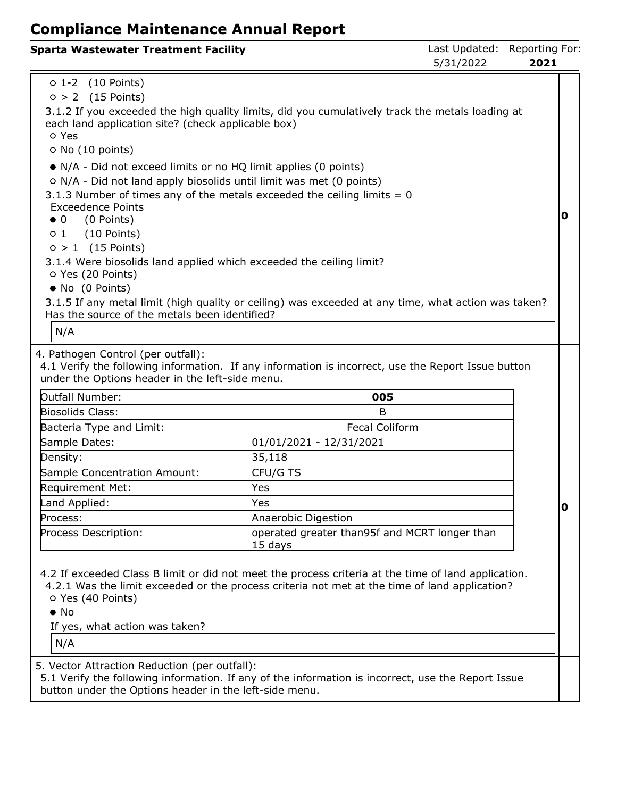| <b>Sparta Wastewater Treatment Facility</b>                                                                                                                                                                                                                                                                                                                                                                                                                                                                                                                  |                                                                                                                                                                                                                                                                                     | Last Updated: Reporting For:<br>5/31/2022 | 2021 |             |
|--------------------------------------------------------------------------------------------------------------------------------------------------------------------------------------------------------------------------------------------------------------------------------------------------------------------------------------------------------------------------------------------------------------------------------------------------------------------------------------------------------------------------------------------------------------|-------------------------------------------------------------------------------------------------------------------------------------------------------------------------------------------------------------------------------------------------------------------------------------|-------------------------------------------|------|-------------|
| $0 1-2$ (10 Points)<br>$0 > 2$ (15 Points)<br>each land application site? (check applicable box)<br>o Yes<br>O No (10 points)<br>• N/A - Did not exceed limits or no HQ limit applies (0 points)<br>o N/A - Did not land apply biosolids until limit was met (0 points)<br><b>Exceedence Points</b><br>$\bullet$ 0<br>(0 Points)<br>$(10$ Points)<br>$\circ$ 1<br>$0 > 1$ (15 Points)<br>3.1.4 Were biosolids land applied which exceeded the ceiling limit?<br>O Yes (20 Points)<br>• No (0 Points)<br>Has the source of the metals been identified?<br>N/A | 3.1.2 If you exceeded the high quality limits, did you cumulatively track the metals loading at<br>3.1.3 Number of times any of the metals exceeded the ceiling limits $= 0$<br>3.1.5 If any metal limit (high quality or ceiling) was exceeded at any time, what action was taken? |                                           |      | 0           |
| 4. Pathogen Control (per outfall):<br>under the Options header in the left-side menu.<br>Outfall Number:<br>Biosolids Class:<br>Bacteria Type and Limit:<br>Sample Dates:                                                                                                                                                                                                                                                                                                                                                                                    | 4.1 Verify the following information. If any information is incorrect, use the Report Issue button<br>005<br>B<br><b>Fecal Coliform</b><br>01/01/2021 - 12/31/2021                                                                                                                  |                                           |      |             |
| Density:<br>Sample Concentration Amount:<br>Requirement Met:<br>Land Applied:<br>Process:<br>Process Description:                                                                                                                                                                                                                                                                                                                                                                                                                                            | 35,118<br>CFU/G TS<br>Yes<br>Yes<br>Anaerobic Digestion<br>operated greater than95f and MCRT longer than                                                                                                                                                                            |                                           |      | $\mathbf 0$ |
| O Yes (40 Points)<br>$\bullet$ No<br>If yes, what action was taken?                                                                                                                                                                                                                                                                                                                                                                                                                                                                                          | 15 days<br>4.2 If exceeded Class B limit or did not meet the process criteria at the time of land application.<br>4.2.1 Was the limit exceeded or the process criteria not met at the time of land application?                                                                     |                                           |      |             |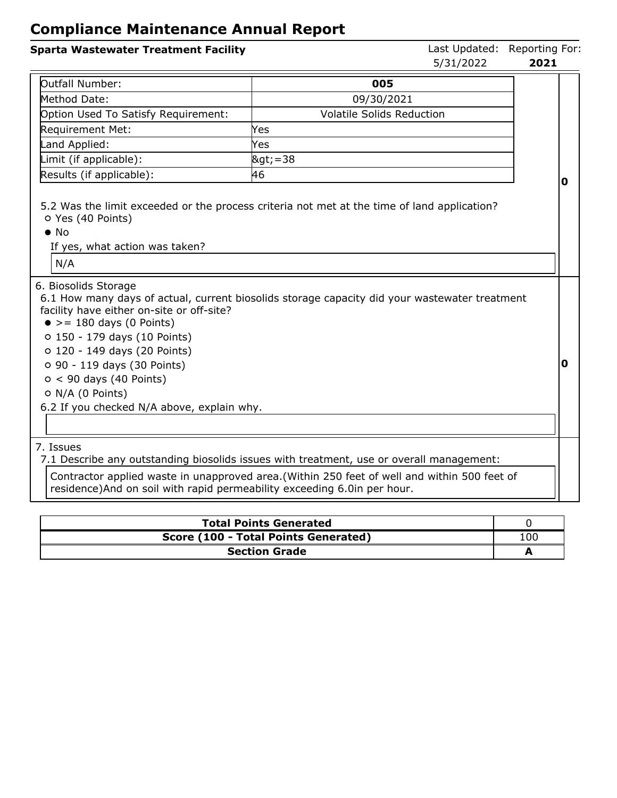#### **Sparta Wastewater Treatment Facility Constrained: Reporting Forms** Last Updated: Reporting Forms 5/31/2022 **2021** Outfall Number: **005** Method Date: 09/30/2021 Option Used To Satisfy Requirement:  $\vert$  Volatile Solids Reduction Requirement Met: Yes Land Applied: Yes  $\lfloor$ Limit (if applicable):  $\lfloor$ >=38 Results (if applicable): 46 5.2 Was the limit exceeded or the process criteria not met at the time of land application? Yes (40 Points) • No If yes, what action was taken? N/A **0** 6. Biosolids Storage 6.1 How many days of actual, current biosolids storage capacity did your wastewater treatment facility have either on-site or off-site?  $\bullet$  >= 180 days (0 Points) 150 - 179 days (10 Points) 120 - 149 days (20 Points) 90 - 119 days (30 Points)  $0 < 90$  days (40 Points)  $O$  N/A (0 Points) 6.2 If you checked N/A above, explain why. **0**

7. Issues

7.1 Describe any outstanding biosolids issues with treatment, use or overall management:

Contractor applied waste in unapproved area.(Within 250 feet of well and within 500 feet of residence)And on soil with rapid permeability exceeding 6.0in per hour.

| <b>Total Points Generated</b>        |     |
|--------------------------------------|-----|
| Score (100 - Total Points Generated) | -00 |
| <b>Section Grade</b>                 |     |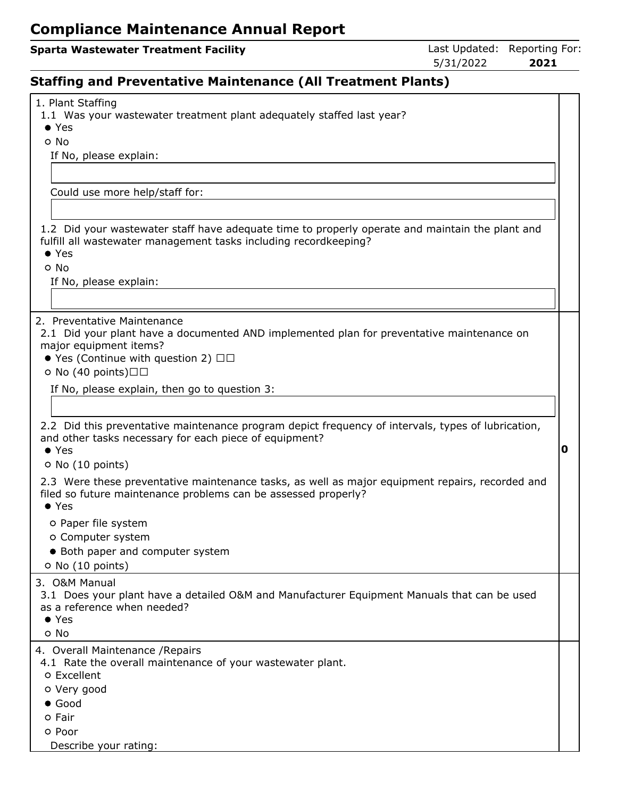## **Sparta Wastewater Treatment Facility Contract Contract Contract Contract Contract Contract Contract Contract Contract Contract Contract Contract Contract Contract Contract Contract Contract Contract Contract Contract Co**

5/31/2022 **2021**

# **Staffing and Preventative Maintenance (All Treatment Plants)**

| 1. Plant Staffing                                                                                                                                                 |   |
|-------------------------------------------------------------------------------------------------------------------------------------------------------------------|---|
| 1.1 Was your wastewater treatment plant adequately staffed last year?                                                                                             |   |
| $\bullet$ Yes                                                                                                                                                     |   |
| o No                                                                                                                                                              |   |
| If No, please explain:                                                                                                                                            |   |
|                                                                                                                                                                   |   |
| Could use more help/staff for:                                                                                                                                    |   |
|                                                                                                                                                                   |   |
|                                                                                                                                                                   |   |
| 1.2 Did your wastewater staff have adequate time to properly operate and maintain the plant and                                                                   |   |
| fulfill all wastewater management tasks including recordkeeping?                                                                                                  |   |
| $\bullet$ Yes                                                                                                                                                     |   |
| o No                                                                                                                                                              |   |
| If No, please explain:                                                                                                                                            |   |
|                                                                                                                                                                   |   |
|                                                                                                                                                                   |   |
| 2. Preventative Maintenance                                                                                                                                       |   |
| 2.1 Did your plant have a documented AND implemented plan for preventative maintenance on                                                                         |   |
| major equipment items?                                                                                                                                            |   |
| ● Yes (Continue with question 2) □□                                                                                                                               |   |
| o No (40 points)□□                                                                                                                                                |   |
| If No, please explain, then go to question 3:                                                                                                                     |   |
|                                                                                                                                                                   |   |
| 2.2 Did this preventative maintenance program depict frequency of intervals, types of lubrication,                                                                |   |
| and other tasks necessary for each piece of equipment?                                                                                                            |   |
| $\bullet$ Yes                                                                                                                                                     | 0 |
| $\circ$ No (10 points)                                                                                                                                            |   |
|                                                                                                                                                                   |   |
| 2.3 Were these preventative maintenance tasks, as well as major equipment repairs, recorded and<br>filed so future maintenance problems can be assessed properly? |   |
| $\bullet$ Yes                                                                                                                                                     |   |
|                                                                                                                                                                   |   |
| O Paper file system                                                                                                                                               |   |
| o Computer system                                                                                                                                                 |   |
| • Both paper and computer system                                                                                                                                  |   |
| O No (10 points)                                                                                                                                                  |   |
| 3. O&M Manual                                                                                                                                                     |   |
| 3.1 Does your plant have a detailed O&M and Manufacturer Equipment Manuals that can be used                                                                       |   |
| as a reference when needed?                                                                                                                                       |   |
| $\bullet$ Yes                                                                                                                                                     |   |
| o No                                                                                                                                                              |   |
| 4. Overall Maintenance / Repairs                                                                                                                                  |   |
| 4.1 Rate the overall maintenance of your wastewater plant.                                                                                                        |   |
| o Excellent                                                                                                                                                       |   |
| o Very good                                                                                                                                                       |   |
| $\bullet$ Good                                                                                                                                                    |   |
| o Fair                                                                                                                                                            |   |
| o Poor                                                                                                                                                            |   |
| Describe your rating:                                                                                                                                             |   |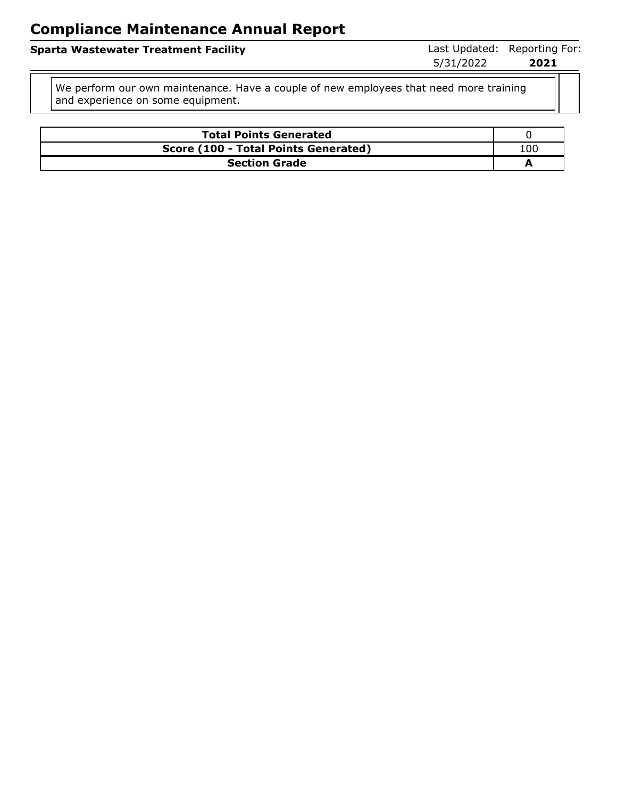| Sparta Wastewater Treatment Facility |           | Last Updated: Reporting For: |
|--------------------------------------|-----------|------------------------------|
|                                      | 5/31/2022 | 2021                         |
|                                      |           |                              |

We perform our own maintenance. Have a couple of new employees that need more training and experience on some equipment.

| <b>Total Points Generated</b>        |     |
|--------------------------------------|-----|
| Score (100 - Total Points Generated) | 10C |
| <b>Section Grade</b>                 |     |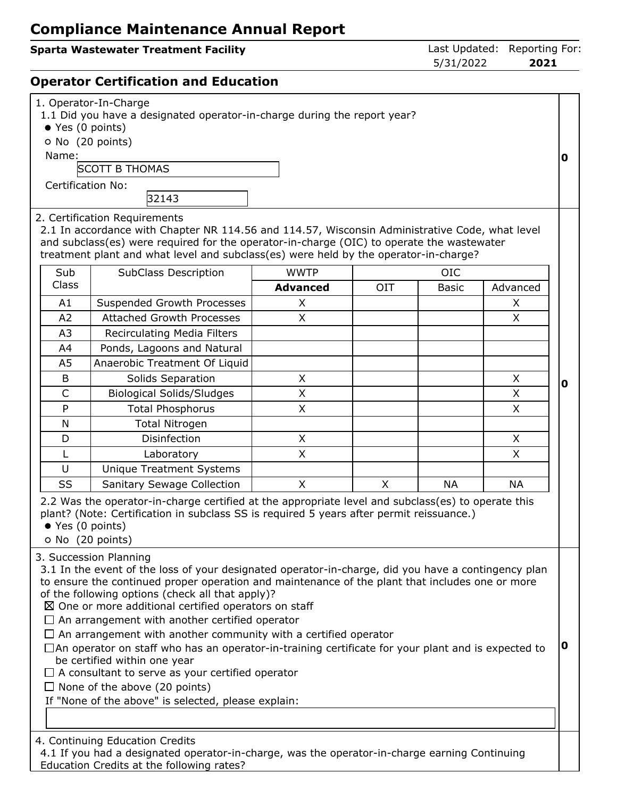## **Sparta Wastewater Treatment Facility Contract Contract Contract Contract Contract Contract Contract Contract Contract Contract Contract Contract Contract Contract Contract Contract Contract Contract Contract Contract Co**

5/31/2022 **2021**

## **Operator Certification and Education**

| 1. Operator-In-Charge<br>1.1 Did you have a designated operator-in-charge during the report year?<br>● Yes (0 points)<br>O No (20 points)<br>Name:<br><b>SCOTT B THOMAS</b><br><b>Certification No:</b><br>32143 |                                                                                                                                                                                                                                                                                                                                                                                                                                                                                                                                                                                                                                                                                                                                                                                                   |                 |            |              |           | 0           |
|------------------------------------------------------------------------------------------------------------------------------------------------------------------------------------------------------------------|---------------------------------------------------------------------------------------------------------------------------------------------------------------------------------------------------------------------------------------------------------------------------------------------------------------------------------------------------------------------------------------------------------------------------------------------------------------------------------------------------------------------------------------------------------------------------------------------------------------------------------------------------------------------------------------------------------------------------------------------------------------------------------------------------|-----------------|------------|--------------|-----------|-------------|
| Sub                                                                                                                                                                                                              | 2. Certification Requirements<br>2.1 In accordance with Chapter NR 114.56 and 114.57, Wisconsin Administrative Code, what level<br>and subclass(es) were required for the operator-in-charge (OIC) to operate the wastewater<br>treatment plant and what level and subclass(es) were held by the operator-in-charge?<br>SubClass Description                                                                                                                                                                                                                                                                                                                                                                                                                                                      | <b>WWTP</b>     |            | <b>OIC</b>   |           |             |
| Class                                                                                                                                                                                                            |                                                                                                                                                                                                                                                                                                                                                                                                                                                                                                                                                                                                                                                                                                                                                                                                   | <b>Advanced</b> | <b>OIT</b> | <b>Basic</b> | Advanced  |             |
| A1                                                                                                                                                                                                               | Suspended Growth Processes                                                                                                                                                                                                                                                                                                                                                                                                                                                                                                                                                                                                                                                                                                                                                                        | X               |            |              | X         |             |
| A2                                                                                                                                                                                                               | <b>Attached Growth Processes</b>                                                                                                                                                                                                                                                                                                                                                                                                                                                                                                                                                                                                                                                                                                                                                                  | X               |            |              | X         |             |
| A <sub>3</sub>                                                                                                                                                                                                   | Recirculating Media Filters                                                                                                                                                                                                                                                                                                                                                                                                                                                                                                                                                                                                                                                                                                                                                                       |                 |            |              |           |             |
| A4                                                                                                                                                                                                               | Ponds, Lagoons and Natural                                                                                                                                                                                                                                                                                                                                                                                                                                                                                                                                                                                                                                                                                                                                                                        |                 |            |              |           |             |
| A <sub>5</sub>                                                                                                                                                                                                   | Anaerobic Treatment Of Liquid                                                                                                                                                                                                                                                                                                                                                                                                                                                                                                                                                                                                                                                                                                                                                                     |                 |            |              |           |             |
| B                                                                                                                                                                                                                | Solids Separation                                                                                                                                                                                                                                                                                                                                                                                                                                                                                                                                                                                                                                                                                                                                                                                 | X               |            |              | X         |             |
| $\mathsf{C}$                                                                                                                                                                                                     | <b>Biological Solids/Sludges</b>                                                                                                                                                                                                                                                                                                                                                                                                                                                                                                                                                                                                                                                                                                                                                                  | X               |            |              | X         | $\mathbf 0$ |
| P                                                                                                                                                                                                                | <b>Total Phosphorus</b>                                                                                                                                                                                                                                                                                                                                                                                                                                                                                                                                                                                                                                                                                                                                                                           | $\mathsf{X}$    |            |              | X         |             |
| N                                                                                                                                                                                                                | <b>Total Nitrogen</b>                                                                                                                                                                                                                                                                                                                                                                                                                                                                                                                                                                                                                                                                                                                                                                             |                 |            |              |           |             |
| D                                                                                                                                                                                                                | Disinfection                                                                                                                                                                                                                                                                                                                                                                                                                                                                                                                                                                                                                                                                                                                                                                                      | $\sf X$         |            |              | X         |             |
| L                                                                                                                                                                                                                | Laboratory                                                                                                                                                                                                                                                                                                                                                                                                                                                                                                                                                                                                                                                                                                                                                                                        | X               |            |              | X         |             |
| U                                                                                                                                                                                                                | <b>Unique Treatment Systems</b>                                                                                                                                                                                                                                                                                                                                                                                                                                                                                                                                                                                                                                                                                                                                                                   |                 |            |              |           |             |
| SS                                                                                                                                                                                                               | <b>Sanitary Sewage Collection</b>                                                                                                                                                                                                                                                                                                                                                                                                                                                                                                                                                                                                                                                                                                                                                                 | X               | X          | <b>NA</b>    | <b>NA</b> |             |
| ● Yes (0 points)                                                                                                                                                                                                 | 2.2 Was the operator-in-charge certified at the appropriate level and subclass(es) to operate this<br>plant? (Note: Certification in subclass SS is required 5 years after permit reissuance.)<br>O No (20 points)                                                                                                                                                                                                                                                                                                                                                                                                                                                                                                                                                                                |                 |            |              |           |             |
|                                                                                                                                                                                                                  | 3. Succession Planning<br>3.1 In the event of the loss of your designated operator-in-charge, did you have a contingency plan<br>to ensure the continued proper operation and maintenance of the plant that includes one or more<br>of the following options (check all that apply)?<br>$\boxtimes$ One or more additional certified operators on staff<br>$\Box$ An arrangement with another certified operator<br>$\Box$ An arrangement with another community with a certified operator<br>$\Box$ An operator on staff who has an operator-in-training certificate for your plant and is expected to<br>be certified within one year<br>$\Box$ A consultant to serve as your certified operator<br>$\Box$ None of the above (20 points)<br>If "None of the above" is selected, please explain: |                 |            |              |           | 0           |
|                                                                                                                                                                                                                  | 4. Continuing Education Credits<br>4.1 If you had a designated operator-in-charge, was the operator-in-charge earning Continuing<br>Education Credits at the following rates?                                                                                                                                                                                                                                                                                                                                                                                                                                                                                                                                                                                                                     |                 |            |              |           |             |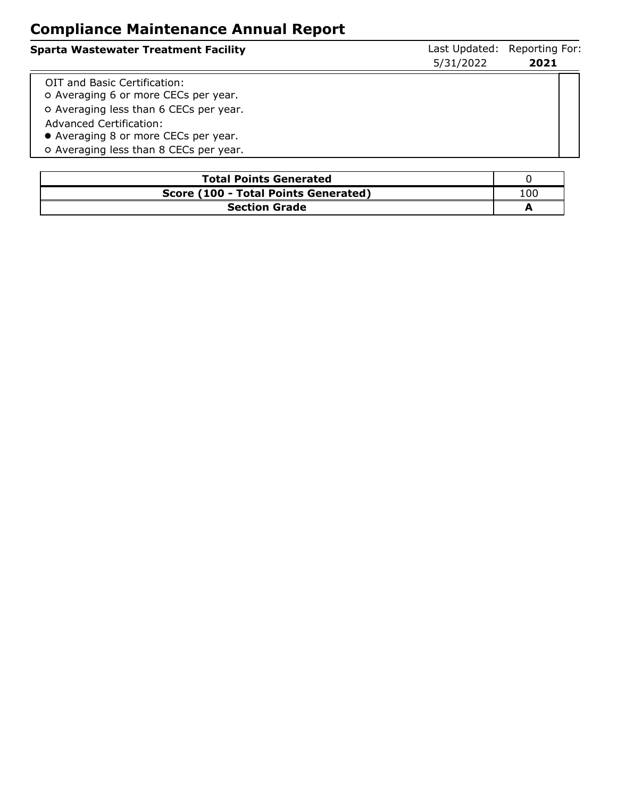| <b>Sparta Wastewater Treatment Facility</b>                                                                                                                                                                                 | 5/31/2022 | Last Updated: Reporting For:<br>2021 |
|-----------------------------------------------------------------------------------------------------------------------------------------------------------------------------------------------------------------------------|-----------|--------------------------------------|
| OIT and Basic Certification:<br>O Averaging 6 or more CECs per year.<br>o Averaging less than 6 CECs per year.<br>Advanced Certification:<br>• Averaging 8 or more CECs per year.<br>o Averaging less than 8 CECs per year. |           |                                      |

| <b>Total Points Generated</b>        |     |
|--------------------------------------|-----|
| Score (100 - Total Points Generated) | 100 |
| <b>Section Grade</b>                 |     |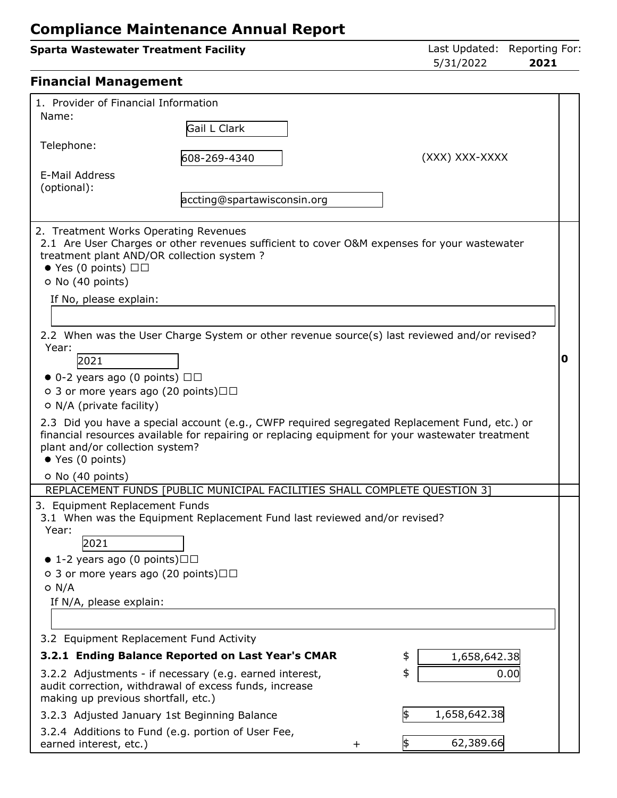| <b>Sparta Wastewater Treatment Facility</b>                                                                                                                                                                                                                                                                                                                      |                                                                                                                                                                                                                                                     | Last Updated: Reporting For:<br>5/31/2022<br>2021                                                                                                                                                                                                                                                                                                                                                |   |
|------------------------------------------------------------------------------------------------------------------------------------------------------------------------------------------------------------------------------------------------------------------------------------------------------------------------------------------------------------------|-----------------------------------------------------------------------------------------------------------------------------------------------------------------------------------------------------------------------------------------------------|--------------------------------------------------------------------------------------------------------------------------------------------------------------------------------------------------------------------------------------------------------------------------------------------------------------------------------------------------------------------------------------------------|---|
| <b>Financial Management</b>                                                                                                                                                                                                                                                                                                                                      |                                                                                                                                                                                                                                                     |                                                                                                                                                                                                                                                                                                                                                                                                  |   |
| 1. Provider of Financial Information<br>Name:                                                                                                                                                                                                                                                                                                                    | Gail L Clark                                                                                                                                                                                                                                        |                                                                                                                                                                                                                                                                                                                                                                                                  |   |
| Telephone:                                                                                                                                                                                                                                                                                                                                                       | 608-269-4340                                                                                                                                                                                                                                        | (XXX) XXX-XXXX                                                                                                                                                                                                                                                                                                                                                                                   |   |
| E-Mail Address<br>(optional):                                                                                                                                                                                                                                                                                                                                    | accting@spartawisconsin.org                                                                                                                                                                                                                         |                                                                                                                                                                                                                                                                                                                                                                                                  |   |
| 2. Treatment Works Operating Revenues<br>treatment plant AND/OR collection system?<br>$\bullet$ Yes (0 points) $\Box$<br>O No (40 points)<br>If No, please explain:<br>Year:<br>2021<br>$\bullet$ 0-2 years ago (0 points) $\Box$<br>○ 3 or more years ago (20 points) $\Box$<br>O N/A (private facility)<br>plant and/or collection system?<br>● Yes (0 points) |                                                                                                                                                                                                                                                     | 2.1 Are User Charges or other revenues sufficient to cover O&M expenses for your wastewater<br>2.2 When was the User Charge System or other revenue source(s) last reviewed and/or revised?<br>2.3 Did you have a special account (e.g., CWFP required segregated Replacement Fund, etc.) or<br>financial resources available for repairing or replacing equipment for your wastewater treatment | 0 |
| O No (40 points)                                                                                                                                                                                                                                                                                                                                                 | REPLACEMENT FUNDS [PUBLIC MUNICIPAL FACILITIES SHALL COMPLETE QUESTION 3]                                                                                                                                                                           |                                                                                                                                                                                                                                                                                                                                                                                                  |   |
| 3. Equipment Replacement Funds<br>Year:<br>2021<br>$\bullet$ 1-2 years ago (0 points) $\square \square$<br>○ 3 or more years ago (20 points) $\Box$<br>$O$ N/A<br>If N/A, please explain:<br>3.2 Equipment Replacement Fund Activity<br>making up previous shortfall, etc.)                                                                                      | 3.1 When was the Equipment Replacement Fund last reviewed and/or revised?<br>3.2.1 Ending Balance Reported on Last Year's CMAR<br>3.2.2 Adjustments - if necessary (e.g. earned interest,<br>audit correction, withdrawal of excess funds, increase | 1,658,642.38<br>\$<br>\$<br>0.00                                                                                                                                                                                                                                                                                                                                                                 |   |
|                                                                                                                                                                                                                                                                                                                                                                  | 3.2.3 Adjusted January 1st Beginning Balance                                                                                                                                                                                                        | \$<br>1,658,642.38                                                                                                                                                                                                                                                                                                                                                                               |   |

3.2.4 Additions to Fund (e.g. portion of User Fee, earned interest, etc.)  $+ 62,389.66$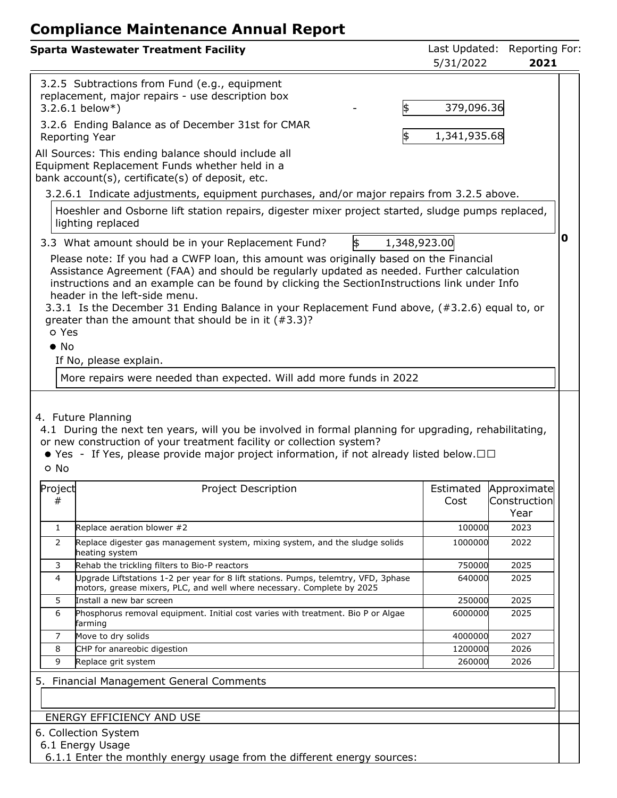| <b>Sparta Wastewater Treatment Facility</b>                                                                                                                                                                                                                                                                                                                                                                                                                                                                                                                                                                | Last Updated:<br>5/31/2022 | Reporting For:<br>2021 |   |
|------------------------------------------------------------------------------------------------------------------------------------------------------------------------------------------------------------------------------------------------------------------------------------------------------------------------------------------------------------------------------------------------------------------------------------------------------------------------------------------------------------------------------------------------------------------------------------------------------------|----------------------------|------------------------|---|
| 3.2.5 Subtractions from Fund (e.g., equipment<br>replacement, major repairs - use description box<br>\$<br>$3.2.6.1$ below*)<br>3.2.6 Ending Balance as of December 31st for CMAR                                                                                                                                                                                                                                                                                                                                                                                                                          | 379,096.36                 |                        |   |
| Reporting Year<br>1\$                                                                                                                                                                                                                                                                                                                                                                                                                                                                                                                                                                                      | 1,341,935.68               |                        |   |
| All Sources: This ending balance should include all<br>Equipment Replacement Funds whether held in a<br>bank account(s), certificate(s) of deposit, etc.                                                                                                                                                                                                                                                                                                                                                                                                                                                   |                            |                        |   |
| 3.2.6.1 Indicate adjustments, equipment purchases, and/or major repairs from 3.2.5 above.                                                                                                                                                                                                                                                                                                                                                                                                                                                                                                                  |                            |                        |   |
| Hoeshler and Osborne lift station repairs, digester mixer project started, sludge pumps replaced,<br>lighting replaced                                                                                                                                                                                                                                                                                                                                                                                                                                                                                     |                            |                        |   |
| 3.3 What amount should be in your Replacement Fund?<br>\$<br>1,348,923.00                                                                                                                                                                                                                                                                                                                                                                                                                                                                                                                                  |                            |                        | 0 |
| Please note: If you had a CWFP loan, this amount was originally based on the Financial<br>Assistance Agreement (FAA) and should be regularly updated as needed. Further calculation<br>instructions and an example can be found by clicking the SectionInstructions link under Info<br>header in the left-side menu.<br>3.3.1 Is the December 31 Ending Balance in your Replacement Fund above, (#3.2.6) equal to, or<br>greater than the amount that should be in it $(*3.3)$ ?<br>o Yes<br>$\bullet$ No<br>If No, please explain.<br>More repairs were needed than expected. Will add more funds in 2022 |                            |                        |   |
| 4.1 During the next ten years, will you be involved in formal planning for upgrading, rehabilitating,<br>or new construction of your treatment facility or collection system?<br>• Yes - If Yes, please provide major project information, if not already listed below. $\Box$ $\Box$<br>o No<br>Project<br>Project Description                                                                                                                                                                                                                                                                            |                            | Estimated Approximate  |   |
| #                                                                                                                                                                                                                                                                                                                                                                                                                                                                                                                                                                                                          | Cost                       | Construction<br>Year   |   |
| Replace aeration blower #2<br>$\mathbf{1}$                                                                                                                                                                                                                                                                                                                                                                                                                                                                                                                                                                 | 100000                     | 2023                   |   |
| 2<br>Replace digester gas management system, mixing system, and the sludge solids<br>heating system                                                                                                                                                                                                                                                                                                                                                                                                                                                                                                        | 1000000                    | 2022                   |   |
| Rehab the trickling filters to Bio-P reactors<br>3                                                                                                                                                                                                                                                                                                                                                                                                                                                                                                                                                         | 750000                     | 2025                   |   |
| Upgrade Liftstations 1-2 per year for 8 lift stations. Pumps, telemtry, VFD, 3phase<br>4<br>motors, grease mixers, PLC, and well where necessary. Complete by 2025                                                                                                                                                                                                                                                                                                                                                                                                                                         | 640000                     | 2025                   |   |
| 5<br>Install a new bar screen                                                                                                                                                                                                                                                                                                                                                                                                                                                                                                                                                                              | 250000                     | 2025                   |   |
| Phosphorus removal equipment. Initial cost varies with treatment. Bio P or Algae<br>6<br>farming                                                                                                                                                                                                                                                                                                                                                                                                                                                                                                           | 6000000                    | 2025                   |   |
| Move to dry solids<br>7                                                                                                                                                                                                                                                                                                                                                                                                                                                                                                                                                                                    | 4000000                    | 2027                   |   |
| CHP for anareobic digestion<br>8                                                                                                                                                                                                                                                                                                                                                                                                                                                                                                                                                                           | 1200000                    | 2026                   |   |
| 9<br>Replace grit system                                                                                                                                                                                                                                                                                                                                                                                                                                                                                                                                                                                   | 260000                     | 2026                   |   |
| 5. Financial Management General Comments                                                                                                                                                                                                                                                                                                                                                                                                                                                                                                                                                                   |                            |                        |   |
| ENERGY EFFICIENCY AND USE                                                                                                                                                                                                                                                                                                                                                                                                                                                                                                                                                                                  |                            |                        |   |
| 6. Collection System<br>6.1 Energy Usage<br>6.1.1 Enter the monthly energy usage from the different energy sources:                                                                                                                                                                                                                                                                                                                                                                                                                                                                                        |                            |                        |   |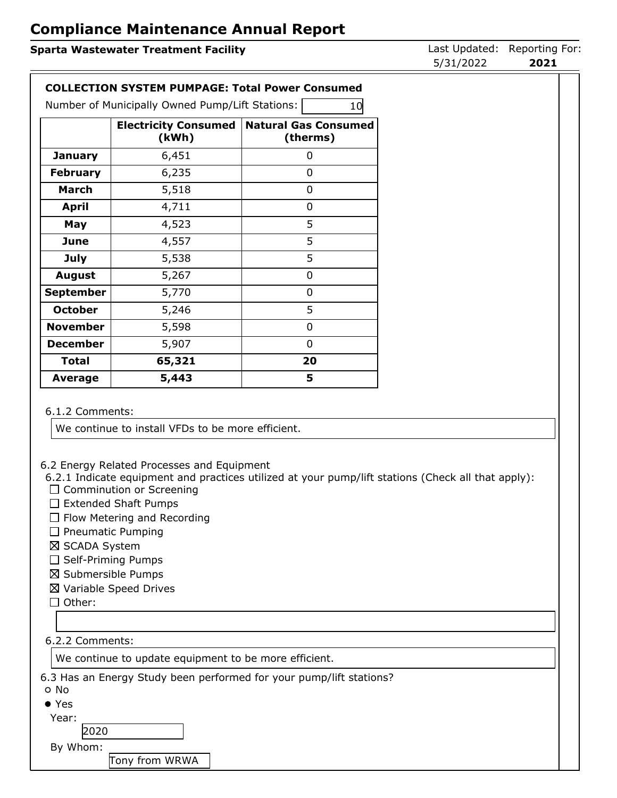### **Sparta Wastewater Treatment Facility Constrained: Reporting Forms** Last Updated: Reporting For: 5/31/2022 **2021 COLLECTION SYSTEM PUMPAGE: Total Power Consumed** Number of Municipally Owned Pump/Lift Stations: 10 **Electricity Consumed (kWh) Natural Gas Consumed (therms) January**  $\begin{array}{|c|c|c|} \hline \textbf{6,451} & \textbf{0} \end{array}$ **February** 6,235 0 **March** 1 5,518 1 0 **April** 4,711 0 **May**  $\begin{array}{|c|c|c|c|} \hline \textbf{May} & \textbf{4.523} & \textbf{5.53} \ \hline \end{array}$ **June** 1 4,557 5 **July** 1 5,538 1 5 **August** 5,267 0 **September** 5,770 1 **October** | 5,246 | 5 **November** 5,598 0 **December** 5,907 0 **Total 65,321 20 Average 5,443 5**

#### 6.1.2 Comments:

We continue to install VFDs to be more efficient.

6.2 Energy Related Processes and Equipment

6.2.1 Indicate equipment and practices utilized at your pump/lift stations (Check all that apply):

- $\square$  Comminution or Screening
- $\square$  Extended Shaft Pumps
- $\Box$  Flow Metering and Recording
- $\square$  Pneumatic Pumping
- ⊠ SCADA System
- $\square$  Self-Priming Pumps
- $\boxtimes$  Submersible Pumps
- Variable Speed Drives
- $\Box$  Other:

#### 6.2.2 Comments:

We continue to update equipment to be more efficient.

6.3 Has an Energy Study been performed for your pump/lift stations?

- No
- Yes

Year:

2020

By Whom:

Tony from WRWA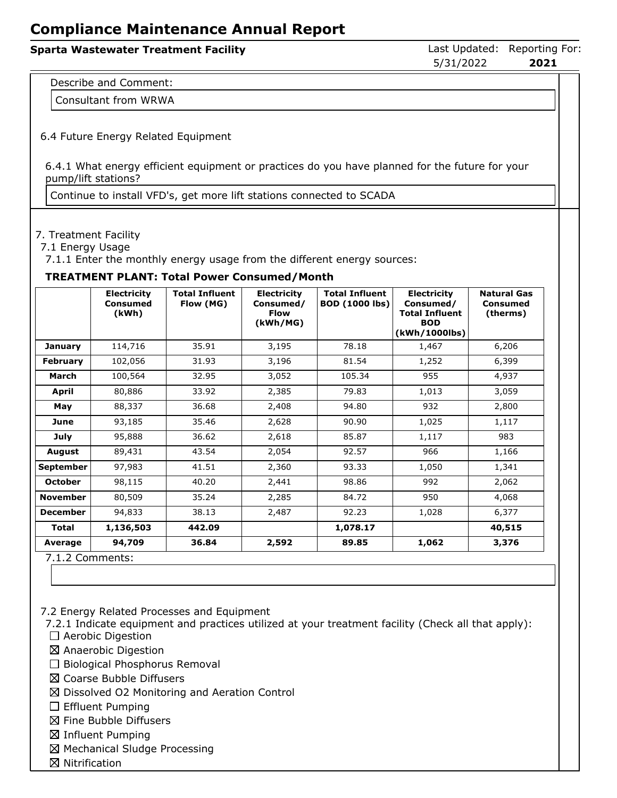# **Sparta Wastewater Treatment Facility Constrained: Reporting Forms** Last Updated: Reporting For: 5/31/2022 **2021** Describe and Comment: Consultant from WRWA 6.4 Future Energy Related Equipment

6.4.1 What energy efficient equipment or practices do you have planned for the future for your pump/lift stations?

Continue to install VFD's, get more lift stations connected to SCADA

#### 7. Treatment Facility

7.1 Energy Usage

7.1.1 Enter the monthly energy usage from the different energy sources:

#### **TREATMENT PLANT: Total Power Consumed/Month**

|                  | <b>Electricity</b><br>Consumed<br>(kWh) | <b>Total Influent</b><br>Flow (MG) | <b>Electricity</b><br>Consumed/<br><b>Flow</b><br>(kWh/MG) | <b>Total Influent</b><br><b>BOD (1000 lbs)</b> | <b>Electricity</b><br>Consumed/<br><b>Total Influent</b><br><b>BOD</b><br>(kWh/1000lbs) | <b>Natural Gas</b><br><b>Consumed</b><br>(therms) |
|------------------|-----------------------------------------|------------------------------------|------------------------------------------------------------|------------------------------------------------|-----------------------------------------------------------------------------------------|---------------------------------------------------|
| <b>January</b>   | 114,716                                 | 35.91                              | 3,195                                                      | 78.18                                          | 1,467                                                                                   | 6,206                                             |
| <b>February</b>  | 102,056                                 | 31.93                              | 3,196                                                      | 81.54                                          | 1,252                                                                                   | 6,399                                             |
| March            | 100,564                                 | 32.95                              | 3,052                                                      | 105.34                                         | 955                                                                                     | 4,937                                             |
| <b>April</b>     | 80,886                                  | 33.92                              | 2,385                                                      | 79.83                                          | 1,013                                                                                   | 3,059                                             |
| May              | 88,337                                  | 36.68                              | 2,408                                                      | 94.80                                          | 932                                                                                     | 2,800                                             |
| June             | 93,185                                  | 35.46                              | 2,628                                                      | 90.90                                          | 1,025                                                                                   | 1,117                                             |
| July             | 95,888                                  | 36.62                              | 2,618                                                      | 85.87                                          | 1,117                                                                                   | 983                                               |
| <b>August</b>    | 89,431                                  | 43.54                              | 2,054                                                      | 92.57                                          | 966                                                                                     | 1,166                                             |
| <b>September</b> | 97,983                                  | 41.51                              | 2,360                                                      | 93.33                                          | 1,050                                                                                   | 1,341                                             |
| <b>October</b>   | 98,115                                  | 40.20                              | 2,441                                                      | 98.86                                          | 992                                                                                     | 2,062                                             |
| <b>November</b>  | 80,509                                  | 35.24                              | 2,285                                                      | 84.72                                          | 950                                                                                     | 4,068                                             |
| <b>December</b>  | 94,833                                  | 38.13                              | 2,487                                                      | 92.23                                          | 1,028                                                                                   | 6,377                                             |
| <b>Total</b>     | 1,136,503                               | 442.09                             |                                                            | 1,078.17                                       |                                                                                         | 40,515                                            |
| Average          | 94,709                                  | 36.84                              | 2,592                                                      | 89.85                                          | 1,062                                                                                   | 3,376                                             |
| 712 Commanter    |                                         |                                    |                                                            |                                                |                                                                                         |                                                   |

7.1.2 Comments:

7.2 Energy Related Processes and Equipment

7.2.1 Indicate equipment and practices utilized at your treatment facility (Check all that apply):

- $\Box$  Aerobic Digestion
- Anaerobic Digestion
- $\Box$  Biological Phosphorus Removal
- Coarse Bubble Diffusers
- $\boxtimes$  Dissolved O2 Monitoring and Aeration Control
- $\Box$  Effluent Pumping
- $\boxtimes$  Fine Bubble Diffusers
- $\boxtimes$  Influent Pumping
- Mechanical Sludge Processing
- $\boxtimes$  Nitrification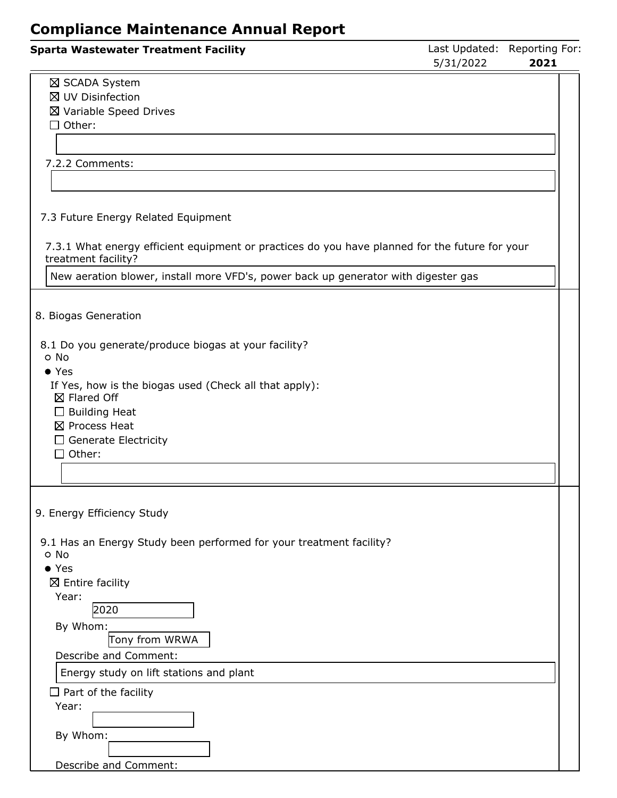| <b>Sparta Wastewater Treatment Facility</b>                                                                                                                                                                                      | Last Updated: Reporting For:<br>5/31/2022 | 2021 |  |
|----------------------------------------------------------------------------------------------------------------------------------------------------------------------------------------------------------------------------------|-------------------------------------------|------|--|
| ⊠ SCADA System<br>⊠ UV Disinfection<br>⊠ Variable Speed Drives<br>$\Box$ Other:                                                                                                                                                  |                                           |      |  |
| 7.2.2 Comments:                                                                                                                                                                                                                  |                                           |      |  |
| 7.3 Future Energy Related Equipment                                                                                                                                                                                              |                                           |      |  |
| 7.3.1 What energy efficient equipment or practices do you have planned for the future for your<br>treatment facility?                                                                                                            |                                           |      |  |
| New aeration blower, install more VFD's, power back up generator with digester gas                                                                                                                                               |                                           |      |  |
| 8. Biogas Generation                                                                                                                                                                                                             |                                           |      |  |
| 8.1 Do you generate/produce biogas at your facility?<br>o No<br>$\bullet$ Yes<br>If Yes, how is the biogas used (Check all that apply):<br>⊠ Flared Off<br>$\Box$ Building Heat<br>⊠ Process Heat<br>$\Box$ Generate Electricity |                                           |      |  |
| $\Box$ Other:                                                                                                                                                                                                                    |                                           |      |  |
| 9. Energy Efficiency Study                                                                                                                                                                                                       |                                           |      |  |
| 9.1 Has an Energy Study been performed for your treatment facility?<br>o No<br>$\bullet$ Yes<br>$\boxtimes$ Entire facility                                                                                                      |                                           |      |  |
| Year:<br>2020<br>By Whom:                                                                                                                                                                                                        |                                           |      |  |
| Tony from WRWA<br>Describe and Comment:                                                                                                                                                                                          |                                           |      |  |
| Energy study on lift stations and plant                                                                                                                                                                                          |                                           |      |  |
| $\Box$ Part of the facility<br>Year:<br>By Whom:                                                                                                                                                                                 |                                           |      |  |
| Describe and Comment:                                                                                                                                                                                                            |                                           |      |  |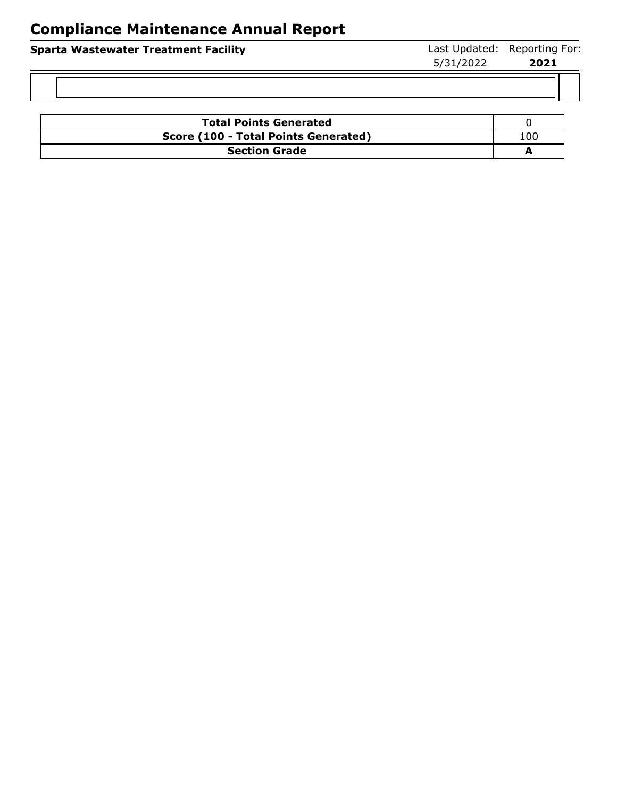| <b>Sparta Wastewater Treatment Facility</b> | 5/31/2022 | Last Updated: Reporting For:<br>2021 |
|---------------------------------------------|-----------|--------------------------------------|
|                                             |           |                                      |
| <b>Total Doints Generated</b>               |           |                                      |

| <b>Total Points Generated</b>        |     |
|--------------------------------------|-----|
| Score (100 - Total Points Generated) | 00، |
| <b>Section Grade</b>                 |     |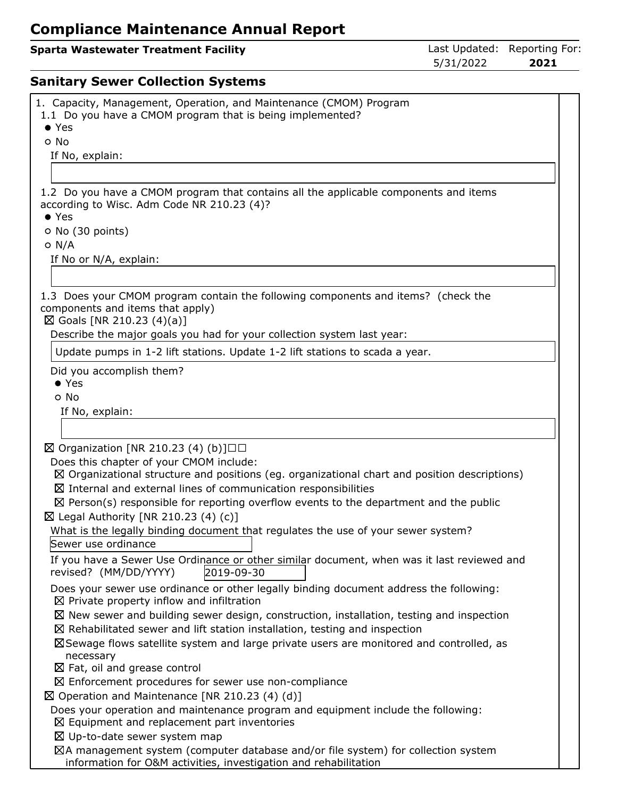## **Sparta Wastewater Treatment Facility Constrained: Reporting Formational Last Updated: Reporting Formation Constrained:**

5/31/2022 **2021**

## **Sanitary Sewer Collection Systems**

| 1. Capacity, Management, Operation, and Maintenance (CMOM) Program<br>1.1 Do you have a CMOM program that is being implemented?<br>$\bullet$ Yes    |
|-----------------------------------------------------------------------------------------------------------------------------------------------------|
| o No                                                                                                                                                |
| If No, explain:                                                                                                                                     |
|                                                                                                                                                     |
|                                                                                                                                                     |
| 1.2 Do you have a CMOM program that contains all the applicable components and items                                                                |
| according to Wisc. Adm Code NR 210.23 (4)?                                                                                                          |
| $\bullet$ Yes                                                                                                                                       |
| O No (30 points)<br>$O$ N/A                                                                                                                         |
| If No or N/A, explain:                                                                                                                              |
|                                                                                                                                                     |
|                                                                                                                                                     |
| 1.3 Does your CMOM program contain the following components and items? (check the<br>components and items that apply)<br>⊠ Goals [NR 210.23 (4)(a)] |
| Describe the major goals you had for your collection system last year:                                                                              |
| Update pumps in 1-2 lift stations. Update 1-2 lift stations to scada a year.                                                                        |
| Did you accomplish them?                                                                                                                            |
| $\bullet$ Yes                                                                                                                                       |
| o No                                                                                                                                                |
| If No, explain:                                                                                                                                     |
|                                                                                                                                                     |
|                                                                                                                                                     |
| $\boxtimes$ Organization [NR 210.23 (4) (b)]□□                                                                                                      |
| Does this chapter of your CMOM include:<br>$\boxtimes$ Organizational structure and positions (eg. organizational chart and position descriptions)  |
| $\boxtimes$ Internal and external lines of communication responsibilities                                                                           |
| $\boxtimes$ Person(s) responsible for reporting overflow events to the department and the public                                                    |
| $\boxtimes$ Legal Authority [NR 210.23 (4) (c)]                                                                                                     |
| What is the legally binding document that regulates the use of your sewer system?                                                                   |
| Sewer use ordinance                                                                                                                                 |
| If you have a Sewer Use Ordinance or other similar document, when was it last reviewed and<br>2019-09-30<br>revised? (MM/DD/YYYY)                   |
| Does your sewer use ordinance or other legally binding document address the following:                                                              |
| $\boxtimes$ Private property inflow and infiltration                                                                                                |
| $\boxtimes$ New sewer and building sewer design, construction, installation, testing and inspection                                                 |
| $\boxtimes$ Rehabilitated sewer and lift station installation, testing and inspection                                                               |
| ⊠Sewage flows satellite system and large private users are monitored and controlled, as                                                             |
| necessary                                                                                                                                           |
| $\boxtimes$ Fat, oil and grease control                                                                                                             |
| $\boxtimes$ Enforcement procedures for sewer use non-compliance                                                                                     |
| $\boxtimes$ Operation and Maintenance [NR 210.23 (4) (d)]                                                                                           |
| Does your operation and maintenance program and equipment include the following:                                                                    |
| $\boxtimes$ Equipment and replacement part inventories                                                                                              |
| $\boxtimes$ Up-to-date sewer system map<br>⊠A management system (computer database and/or file system) for collection system                        |
| information for O&M activities, investigation and rehabilitation                                                                                    |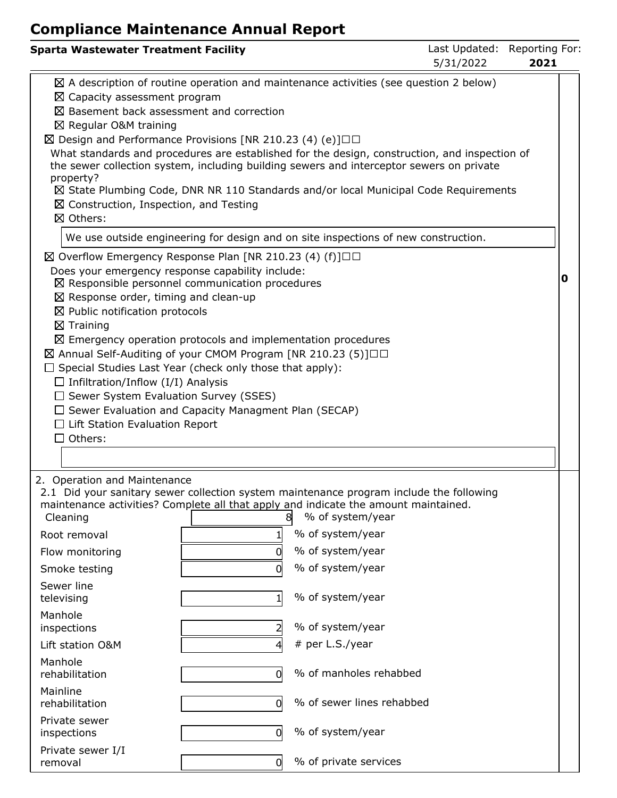| <b>Sparta Wastewater Treatment Facility</b>                                                                                                                                                                                                                                                                                                                                                                                                                                                                                                                                                                                                                                                  |             |                                                                                                                                                                                          | Last Updated: Reporting For:<br>5/31/2022 | 2021 |  |
|----------------------------------------------------------------------------------------------------------------------------------------------------------------------------------------------------------------------------------------------------------------------------------------------------------------------------------------------------------------------------------------------------------------------------------------------------------------------------------------------------------------------------------------------------------------------------------------------------------------------------------------------------------------------------------------------|-------------|------------------------------------------------------------------------------------------------------------------------------------------------------------------------------------------|-------------------------------------------|------|--|
| $\boxtimes$ Capacity assessment program<br>$\boxtimes$ Basement back assessment and correction<br>⊠ Regular O&M training<br>$\boxtimes$ Design and Performance Provisions [NR 210.23 (4) (e)] $\Box$<br>What standards and procedures are established for the design, construction, and inspection of<br>the sewer collection system, including building sewers and interceptor sewers on private<br>property?<br>$\boxtimes$ Construction, Inspection, and Testing<br>⊠ Others:                                                                                                                                                                                                             |             | $\boxtimes$ A description of routine operation and maintenance activities (see question 2 below)<br>⊠ State Plumbing Code, DNR NR 110 Standards and/or local Municipal Code Requirements |                                           |      |  |
|                                                                                                                                                                                                                                                                                                                                                                                                                                                                                                                                                                                                                                                                                              |             | We use outside engineering for design and on site inspections of new construction.                                                                                                       |                                           |      |  |
| $\boxtimes$ Overflow Emergency Response Plan [NR 210.23 (4) (f)] $\Box$<br>Does your emergency response capability include:<br>$\boxtimes$ Responsible personnel communication procedures<br>$\boxtimes$ Response order, timing and clean-up<br>$\boxtimes$ Public notification protocols<br>$\boxtimes$ Training<br>$\boxtimes$ Emergency operation protocols and implementation procedures<br>⊠ Annual Self-Auditing of your CMOM Program [NR 210.23 (5)]□□<br>$\Box$ Special Studies Last Year (check only those that apply):<br>$\Box$ Infiltration/Inflow (I/I) Analysis<br>$\Box$ Sewer System Evaluation Survey (SSES)<br>$\Box$ Sewer Evaluation and Capacity Managment Plan (SECAP) |             |                                                                                                                                                                                          |                                           | 0    |  |
| $\Box$ Lift Station Evaluation Report                                                                                                                                                                                                                                                                                                                                                                                                                                                                                                                                                                                                                                                        |             |                                                                                                                                                                                          |                                           |      |  |
| $\Box$ Others:                                                                                                                                                                                                                                                                                                                                                                                                                                                                                                                                                                                                                                                                               |             |                                                                                                                                                                                          |                                           |      |  |
|                                                                                                                                                                                                                                                                                                                                                                                                                                                                                                                                                                                                                                                                                              |             |                                                                                                                                                                                          |                                           |      |  |
| 2. Operation and Maintenance<br>2.1 Did your sanitary sewer collection system maintenance program include the following<br>maintenance activities? Complete all that apply and indicate the amount maintained.<br>Cleaning<br>Root removal<br>Flow monitoring<br>Smoke testing                                                                                                                                                                                                                                                                                                                                                                                                               | 8<br>1<br>0 | % of system/year<br>% of system/year<br>% of system/year<br>% of system/year                                                                                                             |                                           |      |  |
| Sewer line                                                                                                                                                                                                                                                                                                                                                                                                                                                                                                                                                                                                                                                                                   |             |                                                                                                                                                                                          |                                           |      |  |
| televising                                                                                                                                                                                                                                                                                                                                                                                                                                                                                                                                                                                                                                                                                   | $1\vert$    | % of system/year                                                                                                                                                                         |                                           |      |  |
| Manhole<br>inspections                                                                                                                                                                                                                                                                                                                                                                                                                                                                                                                                                                                                                                                                       |             | % of system/year                                                                                                                                                                         |                                           |      |  |
| Lift station O&M                                                                                                                                                                                                                                                                                                                                                                                                                                                                                                                                                                                                                                                                             |             | # per L.S./year                                                                                                                                                                          |                                           |      |  |
| Manhole<br>rehabilitation                                                                                                                                                                                                                                                                                                                                                                                                                                                                                                                                                                                                                                                                    | O           | % of manholes rehabbed                                                                                                                                                                   |                                           |      |  |
| Mainline<br>rehabilitation                                                                                                                                                                                                                                                                                                                                                                                                                                                                                                                                                                                                                                                                   | 0           | % of sewer lines rehabbed                                                                                                                                                                |                                           |      |  |
| Private sewer<br>inspections                                                                                                                                                                                                                                                                                                                                                                                                                                                                                                                                                                                                                                                                 | 0           | % of system/year                                                                                                                                                                         |                                           |      |  |
| Private sewer I/I<br>removal                                                                                                                                                                                                                                                                                                                                                                                                                                                                                                                                                                                                                                                                 | 0           | % of private services                                                                                                                                                                    |                                           |      |  |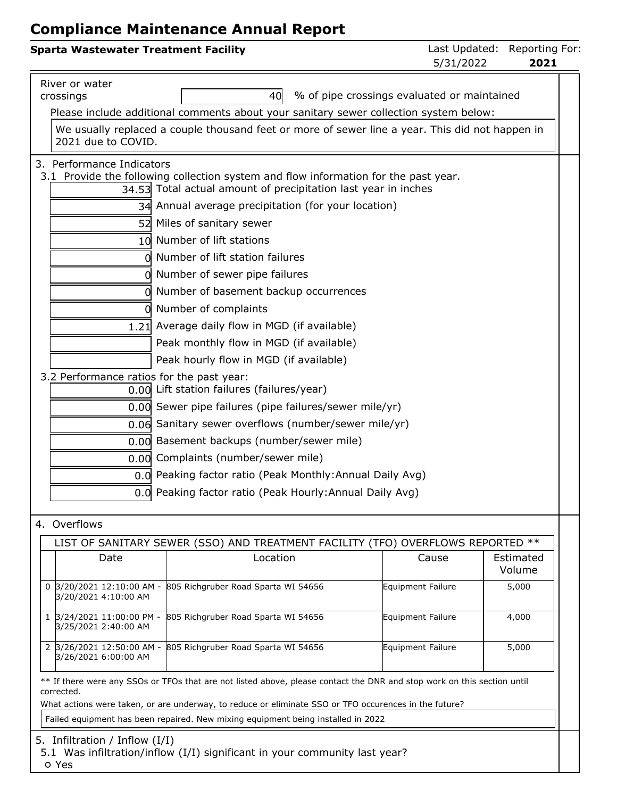| <b>Sparta Wastewater Treatment Facility</b>          |                                                                                                                                                       | 5/31/2022                                   | Last Updated: Reporting For:<br>2021 |
|------------------------------------------------------|-------------------------------------------------------------------------------------------------------------------------------------------------------|---------------------------------------------|--------------------------------------|
| River or water<br>crossings                          | 40<br>Please include additional comments about your sanitary sewer collection system below:                                                           | % of pipe crossings evaluated or maintained |                                      |
| 2021 due to COVID.                                   | We usually replaced a couple thousand feet or more of sewer line a year. This did not happen in                                                       |                                             |                                      |
| 3. Performance Indicators                            | 3.1 Provide the following collection system and flow information for the past year.<br>34.53 Total actual amount of precipitation last year in inches |                                             |                                      |
|                                                      | 34 Annual average precipitation (for your location)                                                                                                   |                                             |                                      |
|                                                      | 52 Miles of sanitary sewer                                                                                                                            |                                             |                                      |
|                                                      | 10 Number of lift stations                                                                                                                            |                                             |                                      |
|                                                      | Number of lift station failures                                                                                                                       |                                             |                                      |
|                                                      | Number of sewer pipe failures                                                                                                                         |                                             |                                      |
|                                                      | Number of basement backup occurrences                                                                                                                 |                                             |                                      |
|                                                      | 0 Number of complaints                                                                                                                                |                                             |                                      |
|                                                      | 1.21 Average daily flow in MGD (if available)                                                                                                         |                                             |                                      |
|                                                      | Peak monthly flow in MGD (if available)                                                                                                               |                                             |                                      |
|                                                      | Peak hourly flow in MGD (if available)                                                                                                                |                                             |                                      |
|                                                      | 3.2 Performance ratios for the past year:                                                                                                             |                                             |                                      |
|                                                      | 0.00 Lift station failures (failures/year)                                                                                                            |                                             |                                      |
|                                                      | 0.00 Sewer pipe failures (pipe failures/sewer mile/yr)                                                                                                |                                             |                                      |
|                                                      | 0.06 Sanitary sewer overflows (number/sewer mile/yr)                                                                                                  |                                             |                                      |
|                                                      | 0.00 Basement backups (number/sewer mile)                                                                                                             |                                             |                                      |
|                                                      | 0.00 Complaints (number/sewer mile)                                                                                                                   |                                             |                                      |
|                                                      | 0.0 Peaking factor ratio (Peak Monthly: Annual Daily Avg)                                                                                             |                                             |                                      |
|                                                      | 0.0 Peaking factor ratio (Peak Hourly: Annual Daily Avg)                                                                                              |                                             |                                      |
| 4. Overflows                                         |                                                                                                                                                       |                                             |                                      |
|                                                      | LIST OF SANITARY SEWER (SSO) AND TREATMENT FACILITY (TFO) OVERFLOWS REPORTED **                                                                       |                                             |                                      |
| Date                                                 | Location                                                                                                                                              | Cause                                       | Estimated<br>Volume                  |
| 3/20/2021 12:10:00 AM -<br>0<br>3/20/2021 4:10:00 AM | 805 Richgruber Road Sparta WI 54656                                                                                                                   | Equipment Failure                           | 5,000                                |
| 1 3/24/2021 11:00:00 PM -<br>3/25/2021 2:40:00 AM    | 805 Richgruber Road Sparta WI 54656                                                                                                                   | Equipment Failure                           | 4,000                                |
| 2 3/26/2021 12:50:00 AM -<br>3/26/2021 6:00:00 AM    | 805 Richgruber Road Sparta WI 54656                                                                                                                   | Equipment Failure                           | 5,000                                |
| corrected.                                           | ** If there were any SSOs or TFOs that are not listed above, please contact the DNR and stop work on this section until                               |                                             |                                      |

What actions were taken, or are underway, to reduce or eliminate SSO or TFO occurences in the future?

Failed equipment has been repaired. New mixing equipment being installed in 2022

5. Infiltration / Inflow (I/I)

5.1 Was infiltration/inflow (I/I) significant in your community last year?

Yes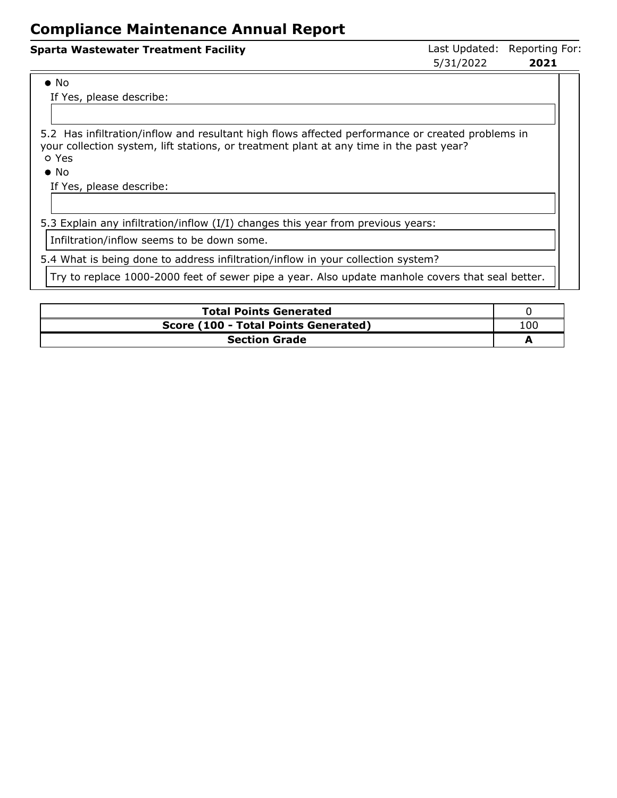| <b>Sparta Wastewater Treatment Facility</b> | 5/31/2022 | Last Updated: Reporting For:<br>2021 |  |
|---------------------------------------------|-----------|--------------------------------------|--|
| $\bullet$ No                                |           |                                      |  |

If Yes, please describe:

5.2 Has infiltration/inflow and resultant high flows affected performance or created problems in your collection system, lift stations, or treatment plant at any time in the past year? Yes

No

If Yes, please describe:

5.3 Explain any infiltration/inflow (I/I) changes this year from previous years:

Infiltration/inflow seems to be down some.

5.4 What is being done to address infiltration/inflow in your collection system?

Try to replace 1000-2000 feet of sewer pipe a year. Also update manhole covers that seal better.

| <b>Total Points Generated</b>        |     |
|--------------------------------------|-----|
| Score (100 - Total Points Generated) | 100 |
| <b>Section Grade</b>                 |     |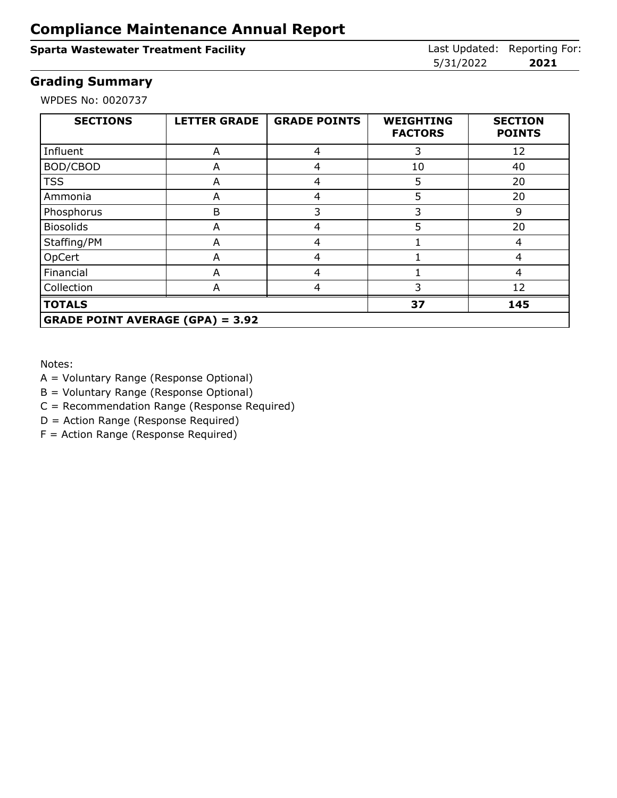### **Sparta Wastewater Treatment Facility Constrained: Reporting Forms** Last Updated: Reporting Forms

5/31/2022 **2021**

### **Grading Summary**

WPDES No: 0020737

| <b>SECTIONS</b>                         | <b>LETTER GRADE</b> | <b>GRADE POINTS</b> | <b>WEIGHTING</b><br><b>FACTORS</b> | <b>SECTION</b><br><b>POINTS</b> |
|-----------------------------------------|---------------------|---------------------|------------------------------------|---------------------------------|
| Influent                                | A                   | 4                   | 3                                  | 12                              |
| BOD/CBOD                                | A                   | 4                   | 10                                 | 40                              |
| <b>TSS</b>                              | A                   | 4                   | 5                                  | 20                              |
| Ammonia                                 | A                   | 4                   | 5                                  | 20                              |
| Phosphorus                              | B                   | 3                   | 3                                  | 9                               |
| <b>Biosolids</b>                        | A                   | 4                   | 5                                  | 20                              |
| Staffing/PM                             | A                   | 4                   |                                    | 4                               |
| OpCert                                  | A                   | 4                   |                                    | 4                               |
| Financial                               | A                   | 4                   |                                    | 4                               |
| Collection                              | A                   | 4                   | 3                                  | 12                              |
| <b>TOTALS</b>                           |                     |                     | 37                                 | 145                             |
| <b>GRADE POINT AVERAGE (GPA) = 3.92</b> |                     |                     |                                    |                                 |

Notes:

A = Voluntary Range (Response Optional)

B = Voluntary Range (Response Optional)

C = Recommendation Range (Response Required)

D = Action Range (Response Required)

F = Action Range (Response Required)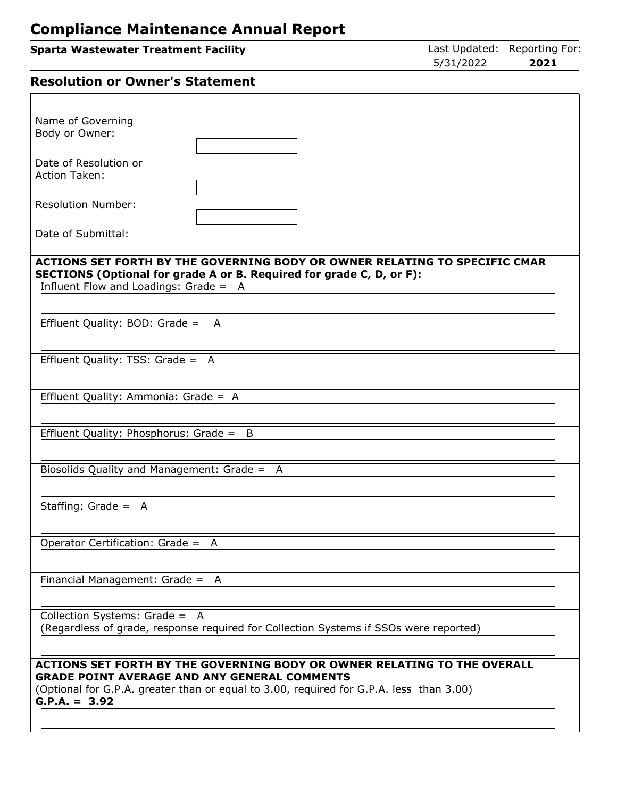| <b>Sparta Wastewater Treatment Facility</b> | Last Updated: Reporting For: |      |
|---------------------------------------------|------------------------------|------|
|                                             | 5/31/2022                    | 2021 |
|                                             |                              |      |

# **Resolution or Owner's Statement**

| Name of Governing<br>Body or Owner:                                                                                                                |
|----------------------------------------------------------------------------------------------------------------------------------------------------|
| Date of Resolution or                                                                                                                              |
| <b>Action Taken:</b>                                                                                                                               |
| <b>Resolution Number:</b>                                                                                                                          |
|                                                                                                                                                    |
| Date of Submittal:                                                                                                                                 |
| ACTIONS SET FORTH BY THE GOVERNING BODY OR OWNER RELATING TO SPECIFIC CMAR<br>SECTIONS (Optional for grade A or B. Required for grade C, D, or F): |
| Influent Flow and Loadings: Grade = A                                                                                                              |
| Effluent Quality: BOD: Grade =<br>A                                                                                                                |
|                                                                                                                                                    |
| Effluent Quality: TSS: Grade = A                                                                                                                   |
|                                                                                                                                                    |
| Effluent Quality: Ammonia: Grade = A                                                                                                               |
| Effluent Quality: Phosphorus: Grade = B                                                                                                            |
|                                                                                                                                                    |
| Biosolids Quality and Management: Grade = A                                                                                                        |
|                                                                                                                                                    |
| Staffing: Grade = $A$                                                                                                                              |
| Operator Certification: Grade = A                                                                                                                  |
|                                                                                                                                                    |
| Financial Management: Grade = A                                                                                                                    |
| Collection Systems: Grade = A                                                                                                                      |
| (Regardless of grade, response required for Collection Systems if SSOs were reported)                                                              |
|                                                                                                                                                    |
| ACTIONS SET FORTH BY THE GOVERNING BODY OR OWNER RELATING TO THE OVERALL<br><b>GRADE POINT AVERAGE AND ANY GENERAL COMMENTS</b>                    |
| (Optional for G.P.A. greater than or equal to 3.00, required for G.P.A. less than 3.00)<br>$G.P.A. = 3.92$                                         |
|                                                                                                                                                    |
|                                                                                                                                                    |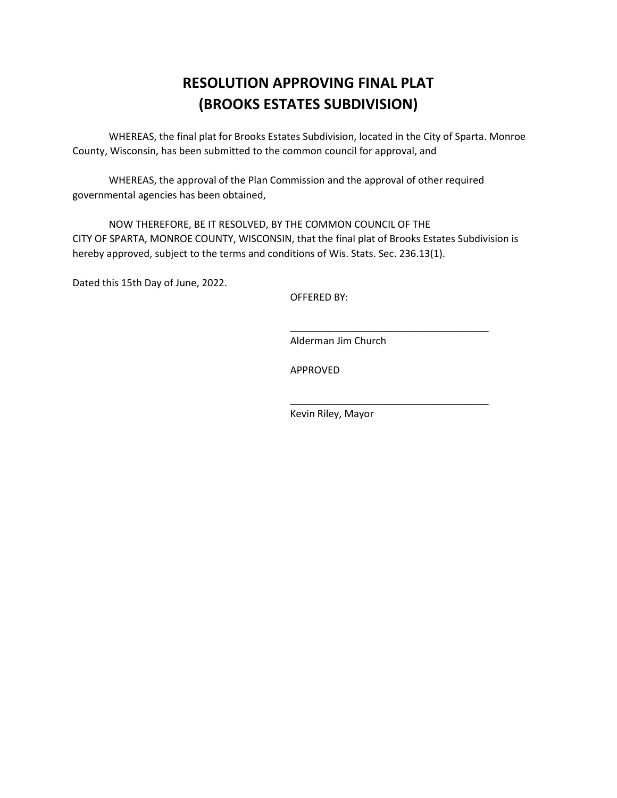# **RESOLUTION APPROVING FINAL PLAT (BROOKS ESTATES SUBDIVISION)**

WHEREAS, the final plat for Brooks Estates Subdivision, located in the City of Sparta. Monroe County, Wisconsin, has been submitted to the common council for approval, and

WHEREAS, the approval of the Plan Commission and the approval of other required governmental agencies has been obtained,

NOW THEREFORE, BE IT RESOLVED, BY THE COMMON COUNCIL OF THE CITY OF SPARTA, MONROE COUNTY, WISCONSIN, that the final plat of Brooks Estates Subdivision is hereby approved, subject to the terms and conditions of Wis. Stats. Sec. 236.13(1).

Dated this 15th Day of June, 2022.

OFFERED BY:

Alderman Jim Church

\_\_\_\_\_\_\_\_\_\_\_\_\_\_\_\_\_\_\_\_\_\_\_\_\_\_\_\_\_\_\_\_\_\_\_\_

\_\_\_\_\_\_\_\_\_\_\_\_\_\_\_\_\_\_\_\_\_\_\_\_\_\_\_\_\_\_\_\_\_\_\_\_

APPROVED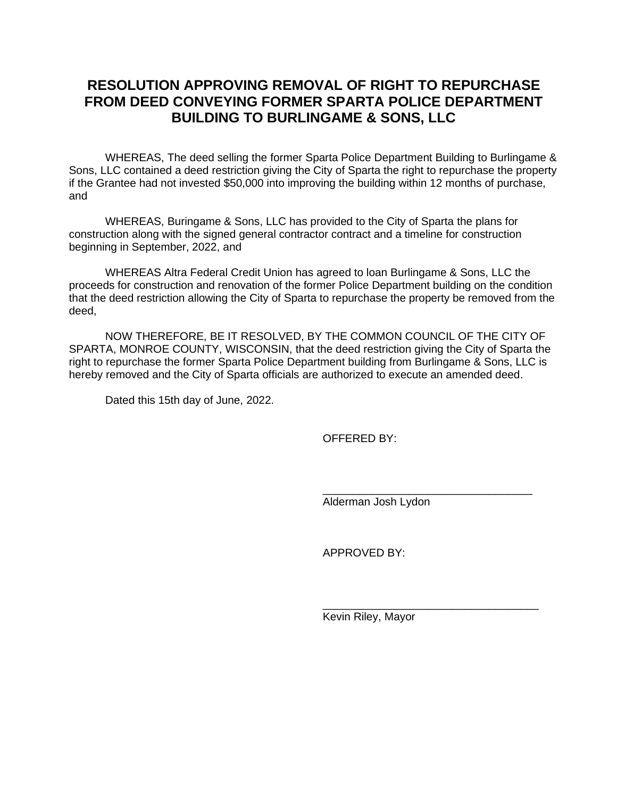### **RESOLUTION APPROVING REMOVAL OF RIGHT TO REPURCHASE FROM DEED CONVEYING FORMER SPARTA POLICE DEPARTMENT BUILDING TO BURLINGAME & SONS, LLC**

WHEREAS, The deed selling the former Sparta Police Department Building to Burlingame & Sons, LLC contained a deed restriction giving the City of Sparta the right to repurchase the property if the Grantee had not invested \$50,000 into improving the building within 12 months of purchase, and

WHEREAS, Buringame & Sons, LLC has provided to the City of Sparta the plans for construction along with the signed general contractor contract and a timeline for construction beginning in September, 2022, and

WHEREAS Altra Federal Credit Union has agreed to loan Burlingame & Sons, LLC the proceeds for construction and renovation of the former Police Department building on the condition that the deed restriction allowing the City of Sparta to repurchase the property be removed from the deed,

NOW THEREFORE, BE IT RESOLVED, BY THE COMMON COUNCIL OF THE CITY OF SPARTA, MONROE COUNTY, WISCONSIN, that the deed restriction giving the City of Sparta the right to repurchase the former Sparta Police Department building from Burlingame & Sons, LLC is hereby removed and the City of Sparta officials are authorized to execute an amended deed.

Dated this 15th day of June, 2022.

OFFERED BY:

Alderman Josh Lydon

\_\_\_\_\_\_\_\_\_\_\_\_\_\_\_\_\_\_\_\_\_\_\_\_\_\_\_\_\_\_\_\_\_\_

\_\_\_\_\_\_\_\_\_\_\_\_\_\_\_\_\_\_\_\_\_\_\_\_\_\_\_\_\_\_\_\_\_\_\_

APPROVED BY: